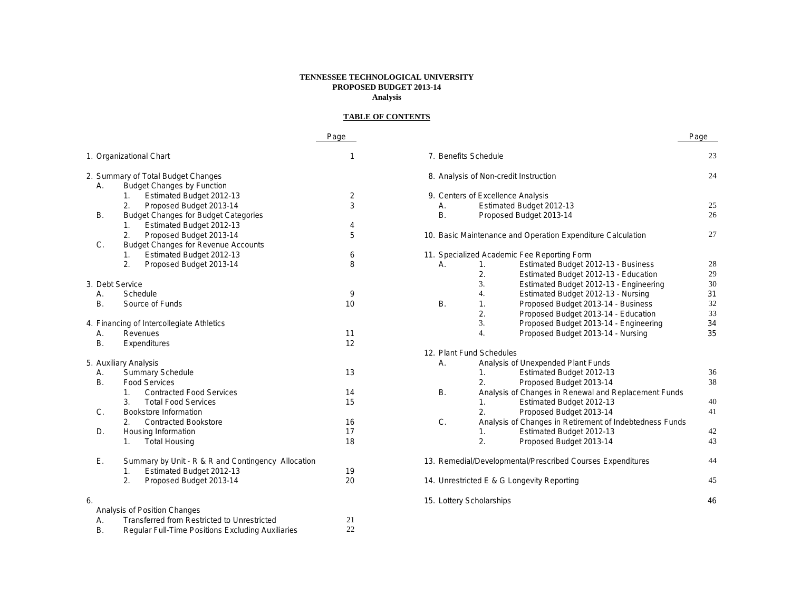#### **TENNESSEE TECHNOLOGICAL UNIVERSITY PROPOSED BUDGET 2013-14 Analysis**

#### **TABLE OF CONTENTS**

|           |                                                    | Page |           |                                            |                                                             | Page |
|-----------|----------------------------------------------------|------|-----------|--------------------------------------------|-------------------------------------------------------------|------|
|           | 1. Organizational Chart                            | 1    |           | 7. Benefits Schedule                       |                                                             | 23   |
|           | 2. Summary of Total Budget Changes                 |      |           |                                            | 8. Analysis of Non-credit Instruction                       | 24   |
| Α.        | <b>Budget Changes by Function</b>                  |      |           |                                            |                                                             |      |
|           | Estimated Budget 2012-13<br>1 <sub>1</sub>         | 2    |           |                                            | 9. Centers of Excellence Analysis                           |      |
|           | Proposed Budget 2013-14<br>2.                      | 3    | А.        |                                            | Estimated Budget 2012-13                                    | 25   |
| Β.        | <b>Budget Changes for Budget Categories</b>        |      | <b>B.</b> |                                            | Proposed Budget 2013-14                                     | 26   |
|           | Estimated Budget 2012-13<br>$1_{\cdot}$            | 4    |           |                                            |                                                             |      |
|           | Proposed Budget 2013-14<br>2.                      | 5    |           |                                            | 10. Basic Maintenance and Operation Expenditure Calculation | 27   |
| C.        | <b>Budget Changes for Revenue Accounts</b>         |      |           |                                            |                                                             |      |
|           | Estimated Budget 2012-13<br>1.                     | 6    |           |                                            | 11. Specialized Academic Fee Reporting Form                 |      |
|           | Proposed Budget 2013-14<br>2.                      | 8    | А.        | 1.                                         | Estimated Budget 2012-13 - Business                         | 28   |
|           |                                                    |      |           | 2.                                         | Estimated Budget 2012-13 - Education                        | 29   |
|           | 3. Debt Service                                    |      |           | 3.                                         | Estimated Budget 2012-13 - Engineering                      | 30   |
| Α.        | Schedule                                           | 9    |           | $\overline{4}$ .                           | Estimated Budget 2012-13 - Nursing                          | 31   |
| <b>B.</b> | Source of Funds                                    | 10   | <b>B.</b> | 1.                                         | Proposed Budget 2013-14 - Business                          | 32   |
|           |                                                    |      |           | 2.                                         | Proposed Budget 2013-14 - Education                         | 33   |
|           | 4. Financing of Intercollegiate Athletics          |      |           | 3.                                         | Proposed Budget 2013-14 - Engineering                       | 34   |
| Α.        | Revenues                                           | 11   |           | 4.                                         | Proposed Budget 2013-14 - Nursing                           | 35   |
| В.        | Expenditures                                       | 12   |           |                                            |                                                             |      |
|           |                                                    |      |           | 12. Plant Fund Schedules                   |                                                             |      |
|           | 5. Auxiliary Analysis                              |      | А.        |                                            | Analysis of Unexpended Plant Funds                          |      |
| А.        | <b>Summary Schedule</b>                            | 13   |           | 1.                                         | Estimated Budget 2012-13                                    | 36   |
| <b>B.</b> | <b>Food Services</b>                               |      |           | 2.                                         | Proposed Budget 2013-14                                     | 38   |
|           | <b>Contracted Food Services</b><br>$\mathbf{1}$ .  | 14   | <b>B.</b> |                                            | Analysis of Changes in Renewal and Replacement Funds        |      |
|           | 3.<br><b>Total Food Services</b>                   | 15   |           | $\mathbf{1}$ .                             | Estimated Budget 2012-13                                    | 40   |
| C.        | <b>Bookstore Information</b>                       |      |           | 2.                                         | Proposed Budget 2013-14                                     | 41   |
|           | 2.<br><b>Contracted Bookstore</b>                  | 16   | $C$ .     |                                            | Analysis of Changes in Retirement of Indebtedness Funds     |      |
| D.        | Housing Information                                | 17   |           | 1.                                         | Estimated Budget 2012-13                                    | 42   |
|           | <b>Total Housing</b><br>1.                         | 18   |           | 2.                                         | Proposed Budget 2013-14                                     | 43   |
| E.        | Summary by Unit - R & R and Contingency Allocation |      |           |                                            | 13. Remedial/Developmental/Prescribed Courses Expenditures  | 44   |
|           | Estimated Budget 2012-13<br>1 <sub>1</sub>         | 19   |           |                                            |                                                             |      |
|           | 2.<br>Proposed Budget 2013-14                      | 20   |           | 14. Unrestricted E & G Longevity Reporting | 45                                                          |      |
| 6.        |                                                    |      |           | 15. Lottery Scholarships                   |                                                             | 46   |
|           | Analysis of Position Changes                       |      |           |                                            |                                                             |      |
| Α.        | <b>Transferred from Restricted to Unrestricted</b> | 21   |           |                                            |                                                             |      |
| Β.        | Regular Full-Time Positions Excluding Auxiliaries  | 22   |           |                                            |                                                             |      |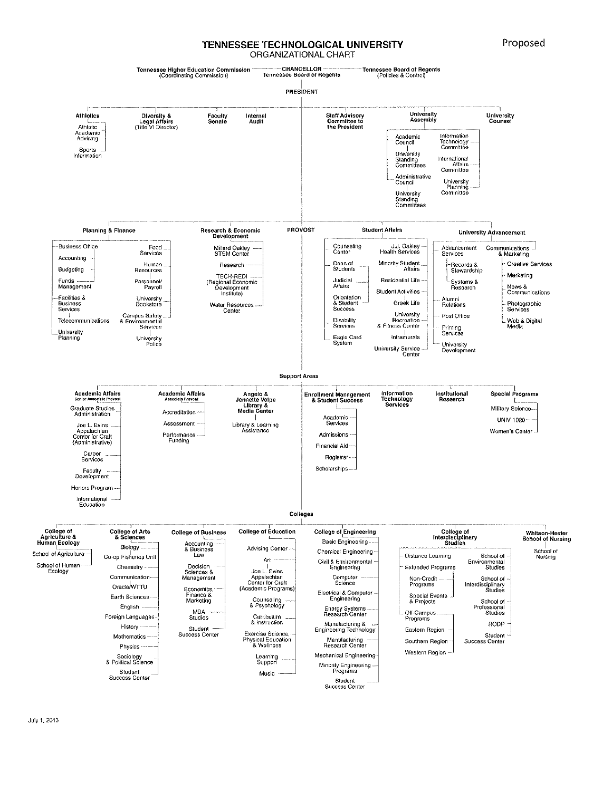#### TENNESSEE TECHNOLOGICAL UNIVERSITY ORGANIZATIONAL CHART

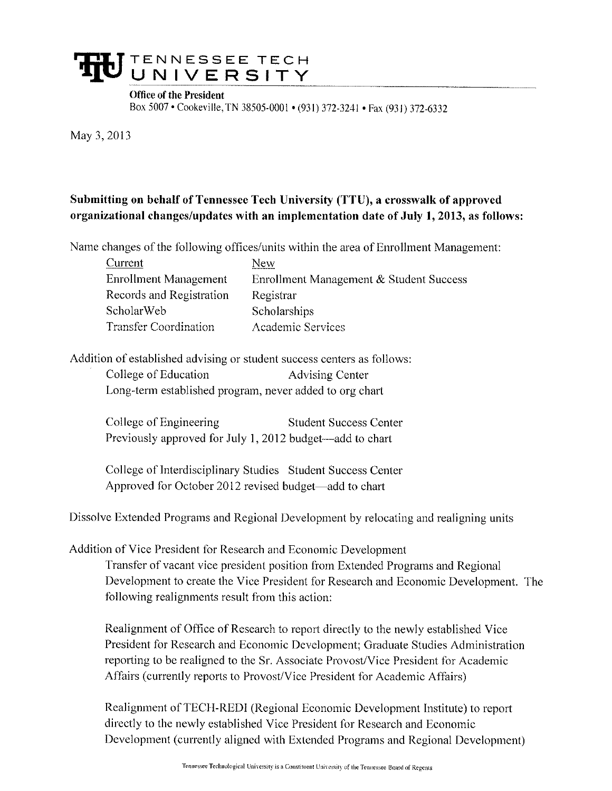# TENNESSEE TECH<br>UNIVERSITY

## **Office of the President**

Box 5007 • Cookeville, TN 38505-0001 • (931) 372-3241 • Fax (931) 372-6332

May 3, 2013

## Submitting on behalf of Tennessee Tech University (TTU), a crosswalk of approved organizational changes/updates with an implementation date of July 1, 2013, as follows:

Name changes of the following offices/units within the area of Enrollment Management:

| Current                      | New                                     |
|------------------------------|-----------------------------------------|
| Enrollment Management        | Enrollment Management & Student Success |
| Records and Registration     | Registrar                               |
| ScholarWeb                   | Scholarships                            |
| <b>Transfer Coordination</b> | Academic Services                       |

Addition of established advising or student success centers as follows: College of Education **Advising Center** Long-term established program, never added to org chart

> College of Engineering **Student Success Center** Previously approved for July 1, 2012 budget—add to chart

> College of Interdisciplinary Studies Student Success Center Approved for October 2012 revised budget—add to chart

Dissolve Extended Programs and Regional Development by relocating and realigning units

Addition of Vice President for Research and Economic Development Transfer of vacant vice president position from Extended Programs and Regional Development to create the Vice President for Research and Economic Development. The following realignments result from this action:

Realignment of Office of Research to report directly to the newly established Vice President for Research and Economic Development: Graduate Studies Administration reporting to be realigned to the Sr. Associate Provost/Vice President for Academic Affairs (currently reports to Provost/Vice President for Academic Affairs)

Realignment of TECH-REDI (Regional Economic Development Institute) to report directly to the newly established Vice President for Research and Economic Development (currently aligned with Extended Programs and Regional Development)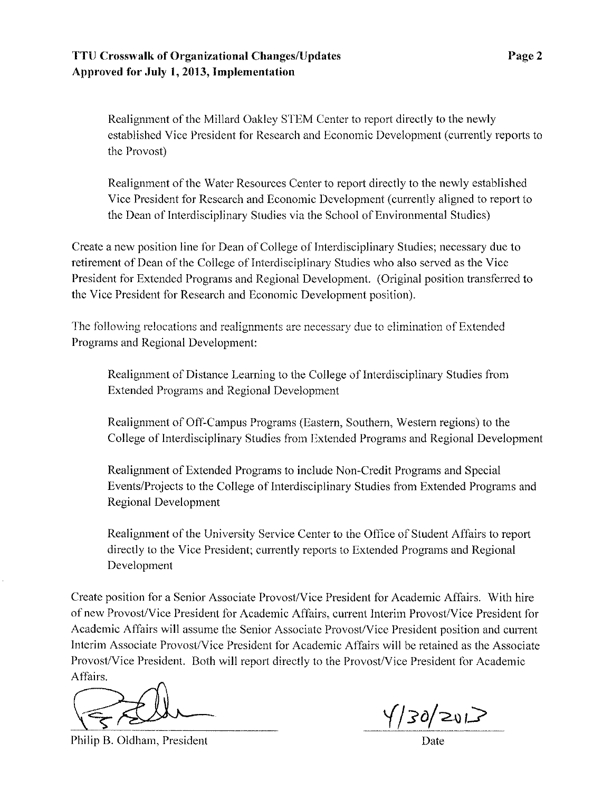Realignment of the Millard Oakley STEM Center to report directly to the newly established Vice President for Research and Economic Development (currently reports to the Provost

Realignment of the Water Resources Center to report directly to the newly established Vice President for Research and Economic Development (currently aligned to report to the Dean of Interdisciplinary Studies via the School of Environmental Studies)

Create a new position line for Dean of College of Interdisciplinary Studies; necessary due to retirement of Dean of the College of Interdisciplinary Studies who also served as the Vice President for Extended Programs and Regional Development. (Original position transferred to the Vice President for Research and Economic Development position).

The following relocations and realignments are necessary due to elimination of Extended Programs and Regional Development:

Realignment of Distance Learning to the College of Interdisciplinary Studies from **Extended Programs and Regional Development** 

Realignment of Off-Campus Programs (Eastern, Southern, Western regions) to the College of Interdisciplinary Studies from Extended Programs and Regional Development

Realignment of Extended Programs to include Non-Credit Programs and Special Events/Projects to the College of Interdisciplinary Studies from Extended Programs and **Regional Development** 

Realignment of the University Service Center to the Office of Student Affairs to report directly to the Vice President; currently reports to Extended Programs and Regional Development

Create position for a Senior Associate Provost/Vice President for Academic Affairs. With hire of new Provost/Vice President for Academic Affairs, current Interim Provost/Vice President for Academic Affairs will assume the Senior Associate Provost/Vice President position and current Interim Associate Provost/Vice President for Academic Affairs will be retained as the Associate Provost/Vice President. Both will report directly to the Provost/Vice President for Academic Affairs.

Philip B. Oldham, President

 $4/30/2012$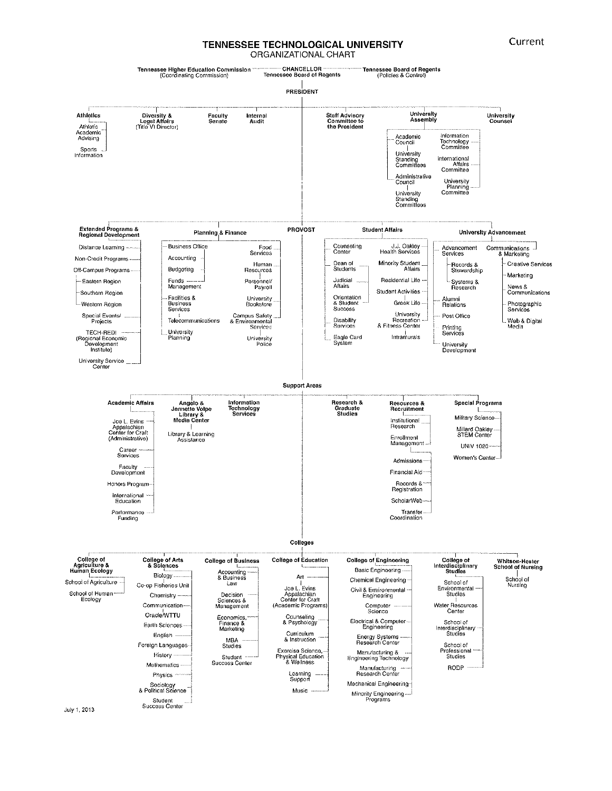Current

#### TENNESSEE TECHNOLOGICAL UNIVERSITY ORGANIZATIONAL CHART

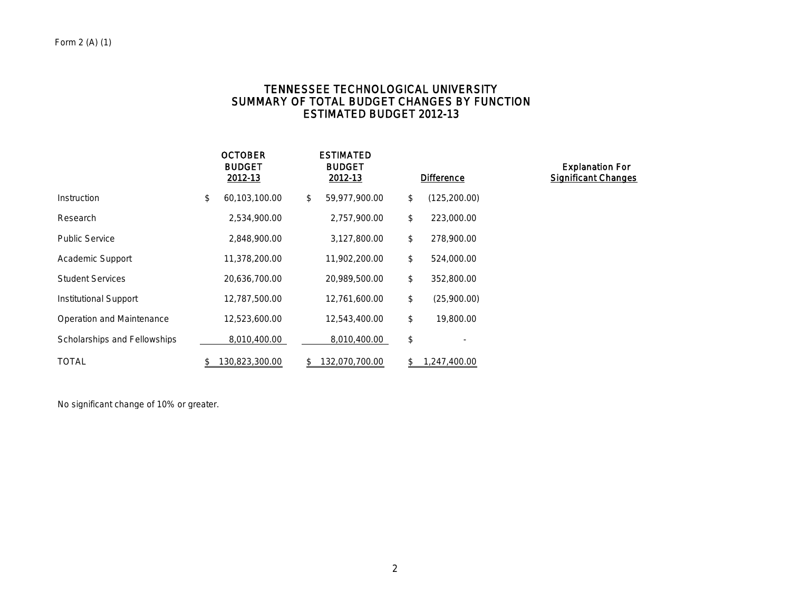## TENNESSEE TECHNOLOGICAL UNIVERSITY SUMMARY OF TOTAL BUDGET CHANGES BY FUNCTION ESTIMATED BUDGET 2012-13

|                              | <b>OCTOBER</b><br><b>BUDGET</b><br>2012-13 | <b>ESTIMATED</b><br><b>BUDGET</b><br>2012-13 | <b>Difference</b>   | <b>Explanation For</b><br><b>Significant Changes</b> |
|------------------------------|--------------------------------------------|----------------------------------------------|---------------------|------------------------------------------------------|
| Instruction                  | \$<br>60,103,100.00                        | \$<br>59,977,900.00                          | \$<br>(125, 200.00) |                                                      |
| Research                     | 2,534,900.00                               | 2,757,900.00                                 | \$<br>223,000.00    |                                                      |
| <b>Public Service</b>        | 2,848,900.00                               | 3,127,800.00                                 | \$<br>278,900.00    |                                                      |
| Academic Support             | 11,378,200.00                              | 11,902,200.00                                | \$<br>524,000.00    |                                                      |
| <b>Student Services</b>      | 20,636,700.00                              | 20,989,500.00                                | \$<br>352,800.00    |                                                      |
| <b>Institutional Support</b> | 12,787,500.00                              | 12,761,600.00                                | \$<br>(25,900.00)   |                                                      |
| Operation and Maintenance    | 12,523,600.00                              | 12,543,400.00                                | \$<br>19,800.00     |                                                      |
| Scholarships and Fellowships | 8,010,400.00                               | 8,010,400.00                                 | \$                  |                                                      |
| <b>TOTAL</b>                 | 130,823,300.00                             | \$<br>132,070,700.00                         | 1,247,400.00        |                                                      |

No significant change of 10% or greater.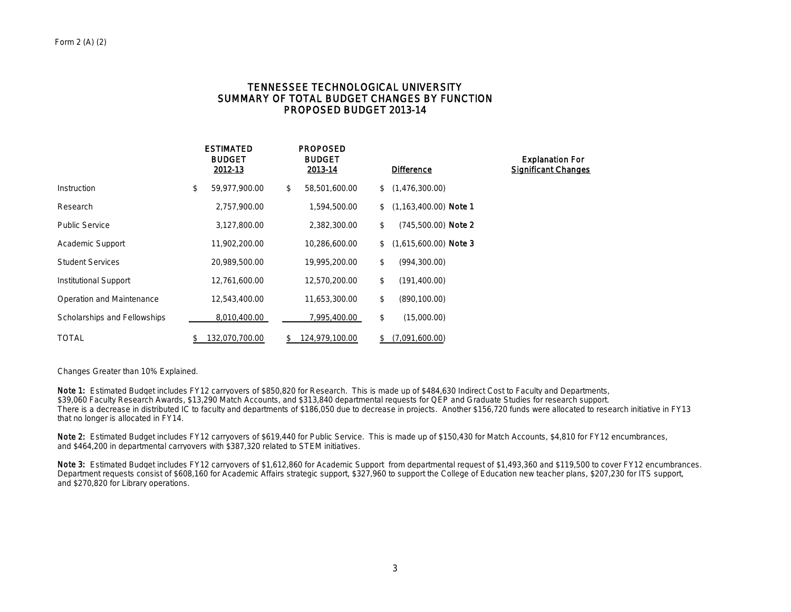## TENNESSEE TECHNOLOGICAL UNIVERSITY SUMMARY OF TOTAL BUDGET CHANGES BY FUNCTION PROPOSED BUDGET 2013-14

|                              | <b>ESTIMATED</b><br><b>BUDGET</b><br>2012-13 | <b>PROPOSED</b><br><b>BUDGET</b><br>2013-14 | <b>Difference</b>             | <b>Explanation For</b><br><b>Significant Changes</b> |
|------------------------------|----------------------------------------------|---------------------------------------------|-------------------------------|------------------------------------------------------|
| Instruction                  | \$<br>59,977,900.00                          | \$<br>58,501,600.00                         | \$<br>(1,476,300.00)          |                                                      |
| Research                     | 2,757,900.00                                 | 1,594,500.00                                | \$<br>$(1,163,400.00)$ Note 1 |                                                      |
| <b>Public Service</b>        | 3,127,800.00                                 | 2,382,300.00                                | \$<br>$(745,500.00)$ Note 2   |                                                      |
| Academic Support             | 11,902,200.00                                | 10,286,600.00                               | \$<br>$(1,615,600.00)$ Note 3 |                                                      |
| <b>Student Services</b>      | 20,989,500.00                                | 19,995,200.00                               | \$<br>(994, 300.00)           |                                                      |
| Institutional Support        | 12,761,600.00                                | 12,570,200.00                               | \$<br>(191, 400.00)           |                                                      |
| Operation and Maintenance    | 12,543,400.00                                | 11,653,300.00                               | \$<br>(890, 100.00)           |                                                      |
| Scholarships and Fellowships | 8,010,400.00                                 | 7,995,400.00                                | \$<br>(15,000.00)             |                                                      |
| <b>TOTAL</b>                 | \$<br>132,070,700.00                         | \$<br>124,979,100.00                        | \$<br>(7,091,600.00)          |                                                      |

Changes Greater than 10% Explained.

Note 1: Estimated Budget includes FY12 carryovers of \$850,820 for Research. This is made up of \$484,630 Indirect Cost to Faculty and Departments, \$39,060 Faculty Research Awards, \$13,290 Match Accounts, and \$313,840 departmental requests for QEP and Graduate Studies for research support. There is a decrease in distributed IC to faculty and departments of \$186,050 due to decrease in projects. Another \$156,720 funds were allocated to research initiative in FY13 that no longer is allocated in FY14.

Note 2: Estimated Budget includes FY12 carryovers of \$619,440 for Public Service. This is made up of \$150,430 for Match Accounts, \$4,810 for FY12 encumbrances, and \$464,200 in departmental carryovers with \$387,320 related to STEM initiatives.

Note 3: Estimated Budget includes FY12 carryovers of \$1,612,860 for Academic Support from departmental request of \$1,493,360 and \$119,500 to cover FY12 encumbrances. Department requests consist of \$608,160 for Academic Affairs strategic support, \$327,960 to support the College of Education new teacher plans, \$207,230 for ITS support, and \$270,820 for Library operations.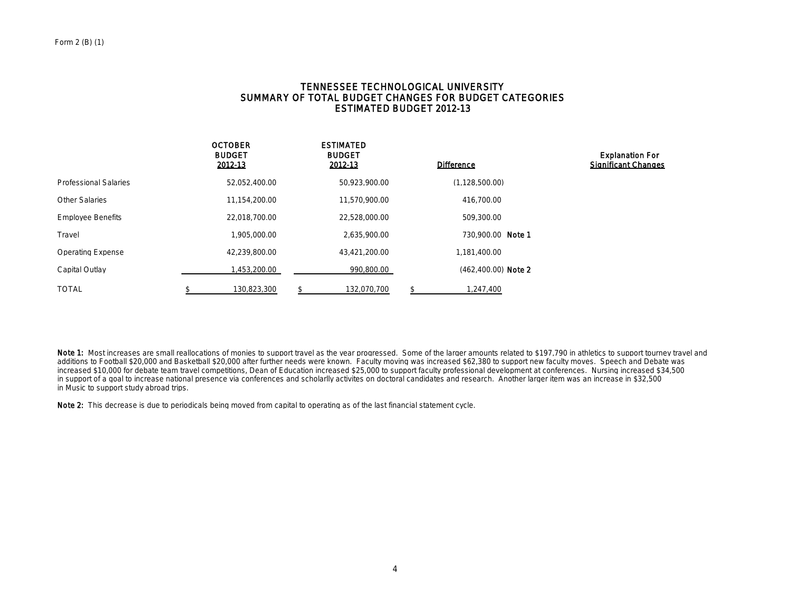## TENNESSEE TECHNOLOGICAL UNIVERSITY SUMMARY OF TOTAL BUDGET CHANGES FOR BUDGET CATEGORIES ESTIMATED BUDGET 2012-13

|                              | <b>OCTOBER</b><br><b>BUDGET</b><br>2012-13 | <b>ESTIMATED</b><br><b>BUDGET</b><br>2012-13 | <b>Difference</b>     | <b>Explanation For</b><br><b>Significant Changes</b> |
|------------------------------|--------------------------------------------|----------------------------------------------|-----------------------|------------------------------------------------------|
| <b>Professional Salaries</b> | 52,052,400.00                              | 50,923,900.00                                | (1, 128, 500.00)      |                                                      |
| Other Salaries               | 11,154,200.00                              | 11,570,900.00                                | 416,700.00            |                                                      |
| <b>Employee Benefits</b>     | 22.018.700.00                              | 22.528.000.00                                | 509,300.00            |                                                      |
| Travel                       | 1,905,000.00                               | 2.635.900.00                                 | 730.900.00 Note 1     |                                                      |
| <b>Operating Expense</b>     | 42,239,800.00                              | 43,421,200.00                                | 1,181,400.00          |                                                      |
| Capital Outlay               | 453,200.00                                 | 990,800.00                                   | $(462.400.00)$ Note 2 |                                                      |
| <b>TOTAL</b>                 | 130.823.300                                | 132.070.700                                  | 1.247.400             |                                                      |

Note 1: Most increases are small reallocations of monies to support travel as the year progressed. Some of the larger amounts related to \$197,790 in athletics to support tourney travel and additions to Football \$20,000 and Basketball \$20,000 after further needs were known. Faculty moving was increased \$62,380 to support new faculty moves. Speech and Debate was increased \$10,000 for debate team travel competitions, Dean of Education increased \$25,000 to support faculty professional development at conferences. Nursing increased \$34,500 in support of a goal to increase national presence via conferences and scholarlly activites on doctoral candidates and research. Another larger item was an increase in \$32,500 in Music to support study abroad trips.

Note 2: This decrease is due to periodicals being moved from capital to operating as of the last financial statement cycle.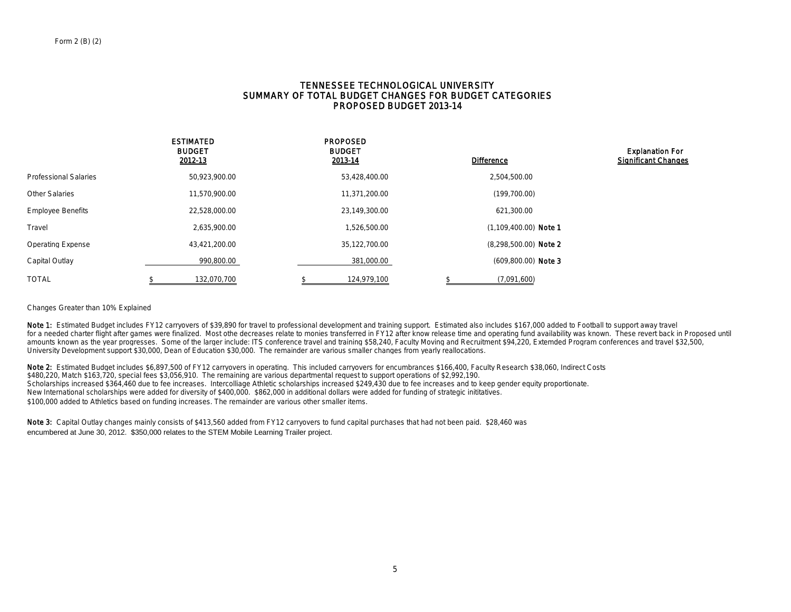#### TENNESSEE TECHNOLOGICAL UNIVERSITY SUMMARY OF TOTAL BUDGET CHANGES FOR BUDGET CATEGORIES PROPOSED BUDGET 2013-14

|                              | <b>ESTIMATED</b><br><b>BUDGET</b><br>2012-13 | <b>PROPOSED</b><br><b>BUDGET</b><br>2013-14 | <b>Difference</b>       | <b>Explanation For</b><br><b>Significant Changes</b> |
|------------------------------|----------------------------------------------|---------------------------------------------|-------------------------|------------------------------------------------------|
| <b>Professional Salaries</b> | 50,923,900.00                                | 53,428,400.00                               | 2,504,500.00            |                                                      |
| <b>Other Salaries</b>        | 11.570.900.00                                | 11,371,200.00                               | (199, 700.00)           |                                                      |
| <b>Employee Benefits</b>     | 22,528,000.00                                | 23,149,300.00                               | 621,300.00              |                                                      |
| Travel                       | 2,635,900.00                                 | 1,526,500.00                                | $(1,109,400.00)$ Note 1 |                                                      |
| <b>Operating Expense</b>     | 43,421,200.00                                | 35,122,700.00                               | $(8,298,500.00)$ Note 2 |                                                      |
| Capital Outlay               | 990,800.00                                   | 381,000.00                                  | $(609,800.00)$ Note 3   |                                                      |
| <b>TOTAL</b>                 | 132,070,700                                  | 124,979,100                                 | (7,091,600)             |                                                      |

Changes Greater than 10% Explained

Note 1: Estimated Budget includes FY12 carryovers of \$39,890 for travel to professional development and training support. Estimated also includes \$167,000 added to Football to support away travel for a needed charter flight after games were finalized. Most othe decreases relate to monies transferred in FY12 after know release time and operating fund availability was known. These revert back in Proposed until amounts known as the year progresses. Some of the larger include: ITS conference travel and training \$58,240, Faculty Moving and Recruitment \$94,220, Extemded Program conferences and travel \$32,500, University Development support \$30,000, Dean of Education \$30,000. The remainder are various smaller changes from yearly reallocations.

Note 2: Estimated Budget includes \$6,897,500 of FY12 carryovers in operating. This included carryovers for encumbrances \$166,400, Faculty Research \$38,060, Indirect Costs \$480,220, Match \$163,720, special fees \$3,056,910. The remaining are various departmental request to support operations of \$2,992,190. Scholarships increased \$364,460 due to fee increases. Intercolliage Athletic scholarships increased \$249,430 due to fee increases and to keep gender equity proportionate. New International scholarships were added for diversity of \$400,000. \$862,000 in additional dollars were added for funding of strategic inititatives. \$100,000 added to Athletics based on funding increases. The remainder are various other smaller items.

Note 3: Capital Outlay changes mainly consists of \$413,560 added from FY12 carryovers to fund capital purchases that had not been paid. \$28,460 was encumbered at June 30, 2012. \$350,000 relates to the STEM Mobile Learning Trailer project.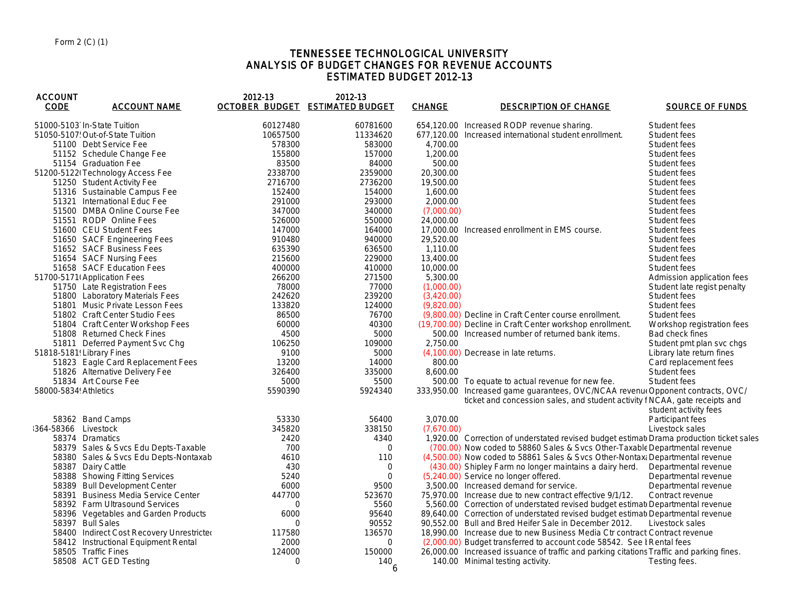## TENNESSEE TECHNOLOGICAL UNIVERSITY ANALYSIS OF BUDGET CHANGES FOR REVENUE ACCOUNTS ESTIMATED BUDGET 2012-13

| <b>ACCOUNT</b>       |                                           | 2012-13     | 2012-13                                |               |                                                                                          |                             |
|----------------------|-------------------------------------------|-------------|----------------------------------------|---------------|------------------------------------------------------------------------------------------|-----------------------------|
| <b>CODE</b>          | <b>ACCOUNT NAME</b>                       |             | <b>OCTOBER BUDGET ESTIMATED BUDGET</b> | <b>CHANGE</b> | <b>DESCRIPTION OF CHANGE</b>                                                             | <b>SOURCE OF FUNDS</b>      |
|                      | 51000-5103 In-State Tuition               | 60127480    | 60781600                               |               | 654,120.00 Increased RODP revenue sharing.                                               | Student fees                |
|                      | 51050-5107! Out-of-State Tuition          | 10657500    | 11334620                               |               | 677.120.00 Increased international student enrollment.                                   | Student fees                |
|                      | 51100 Debt Service Fee                    | 578300      | 583000                                 | 4,700.00      |                                                                                          | Student fees                |
|                      | 51152 Schedule Change Fee                 | 155800      | 157000                                 | 1,200.00      |                                                                                          | Student fees                |
|                      | 51154 Graduation Fee                      | 83500       | 84000                                  | 500.00        |                                                                                          | Student fees                |
|                      | 51200-5122 Technology Access Fee          | 2338700     | 2359000                                | 20,300.00     |                                                                                          | Student fees                |
|                      | 51250 Student Activity Fee                | 2716700     | 2736200                                | 19,500.00     |                                                                                          | Student fees                |
|                      | 51316 Sustainable Campus Fee              | 152400      | 154000                                 | 1,600.00      |                                                                                          | Student fees                |
|                      | 51321 International Educ Fee              | 291000      | 293000                                 | 2,000.00      |                                                                                          | Student fees                |
|                      | 51500 DMBA Online Course Fee              | 347000      | 340000                                 | (7,000.00)    |                                                                                          | Student fees                |
|                      | 51551 RODP Online Fees                    | 526000      | 550000                                 | 24,000.00     |                                                                                          | Student fees                |
|                      | 51600 CEU Student Fees                    | 147000      | 164000                                 |               | 17,000.00 Increased enrollment in EMS course.                                            | Student fees                |
|                      | 51650 SACF Engineering Fees               | 910480      | 940000                                 | 29,520.00     |                                                                                          | Student fees                |
|                      | 51652 SACF Business Fees                  | 635390      | 636500                                 | 1,110.00      |                                                                                          | Student fees                |
|                      | 51654 SACF Nursing Fees                   | 215600      | 229000                                 | 13,400.00     |                                                                                          | Student fees                |
|                      | 51658 SACF Education Fees                 | 400000      | 410000                                 | 10,000.00     |                                                                                          | Student fees                |
|                      | 51700-5171 Application Fees               | 266200      | 271500                                 | 5,300.00      |                                                                                          | Admission application fees  |
|                      | 51750 Late Registration Fees              | 78000       | 77000                                  | (1,000.00)    |                                                                                          | Student late regist penalty |
|                      | 51800 Laboratory Materials Fees           | 242620      | 239200                                 | (3,420.00)    |                                                                                          | Student fees                |
|                      | 51801 Music Private Lesson Fees           | 133820      | 124000                                 | (9,820.00)    |                                                                                          | Student fees                |
|                      | 51802 Craft Center Studio Fees            | 86500       | 76700                                  |               | (9,800.00) Decline in Craft Center course enrollment.                                    | Student fees                |
|                      | 51804 Craft Center Workshop Fees          | 60000       | 40300                                  |               | (19,700.00) Decline in Craft Center workshop enrollment.                                 | Workshop registration fees  |
|                      | 51808 Returned Check Fines                | 4500        | 5000                                   |               | 500.00 Increased number of returned bank items.                                          | Bad check fines             |
|                      | 51811 Deferred Payment Svc Chq            | 106250      | 109000                                 | 2.750.00      |                                                                                          | Student pmt plan svc chgs   |
|                      | 51818-5181' Library Fines                 | 9100        | 5000                                   |               | (4,100.00) Decrease in late returns.                                                     | Library late return fines   |
|                      | 51823 Eagle Card Replacement Fees         | 13200       | 14000                                  | 800.00        |                                                                                          | Card replacement fees       |
|                      | 51826 Alternative Delivery Fee            | 326400      | 335000                                 | 8.600.00      |                                                                                          | Student fees                |
|                      | 51834 Art Course Fee                      | 5000        | 5500                                   |               | 500.00 To equate to actual revenue for new fee.                                          | Student fees                |
| 58000-5834 Athletics |                                           | 5590390     | 5924340                                |               | 333,950.00 Increased game guarantees, OVC/NCAA revenu Opponent contracts, OVC/           |                             |
|                      |                                           |             |                                        |               | ticket and concession sales, and student activity f NCAA, gate receipts and              |                             |
|                      |                                           |             |                                        |               |                                                                                          | student activity fees       |
|                      | 58362 Band Camps                          | 53330       | 56400                                  | 3,070.00      |                                                                                          | Participant fees            |
| 3364-58366 Livestock |                                           | 345820      | 338150                                 | (7,670.00)    |                                                                                          | Livestock sales             |
|                      | 58374 Dramatics                           | 2420        | 4340                                   |               | 1,920.00 Correction of understated revised budget estimat Drama production ticket sales  |                             |
|                      | 58379 Sales & Svcs Edu Depts-Taxable      | 700         | $\Omega$                               |               | (700.00) Now coded to 58860 Sales & Svcs Other-Taxable Departmental revenue              |                             |
|                      | 58380 Sales & Svcs Edu Depts-Nontaxab     | 4610        | 110                                    |               | (4,500.00) Now coded to 58861 Sales & Svcs Other-Nontax: Departmental revenue            |                             |
|                      | 58387 Dairy Cattle                        | 430         | $\Omega$                               |               | (430.00) Shipley Farm no longer maintains a dairy herd.                                  | Departmental revenue        |
|                      | 58388 Showing Fitting Services            | 5240        | $\Omega$                               |               | (5,240.00) Service no longer offered.                                                    | Departmental revenue        |
|                      | 58389 Bull Development Center             | 6000        | 9500                                   |               | 3,500.00 Increased demand for service.                                                   | Departmental revenue        |
|                      | 58391 Business Media Service Center       | 447700      | 523670                                 |               | 75,970.00 Increase due to new contract effective 9/1/12.                                 | Contract revenue            |
|                      | 58392 Farm Ultrasound Services            | $\Omega$    | 5560                                   |               | 5,560.00 Correction of understated revised budget estimat Departmental revenue           |                             |
|                      | 58396 Vegetables and Garden Products      | 6000        | 95640                                  |               | 89,640.00 Correction of understated revised budget estimat Departmental revenue          |                             |
|                      | 58397 Bull Sales                          | $\Omega$    | 90552                                  |               | 90,552.00 Bull and Bred Heifer Sale in December 2012.                                    | Livestock sales             |
|                      | 58400 Indirect Cost Recovery Unrestricted | 117580      | 136570                                 |               | 18,990.00 Increase due to new Business Media Ctr contract Contract revenue               |                             |
|                      | 58412 Instructional Equipment Rental      | 2000        | $\Omega$                               |               | (2,000.00) Budget transferred to account code 58542. See I Rental fees                   |                             |
|                      | 58505 Traffic Fines                       | 124000      | 150000                                 |               | 26,000.00 Increased issuance of traffic and parking citations Traffic and parking fines. |                             |
|                      | 58508 ACT GED Testing                     | $\mathbf 0$ | 140                                    |               | 140.00 Minimal testing activity.                                                         | Testing fees.               |
|                      |                                           |             | 6                                      |               |                                                                                          |                             |
|                      |                                           |             |                                        |               |                                                                                          |                             |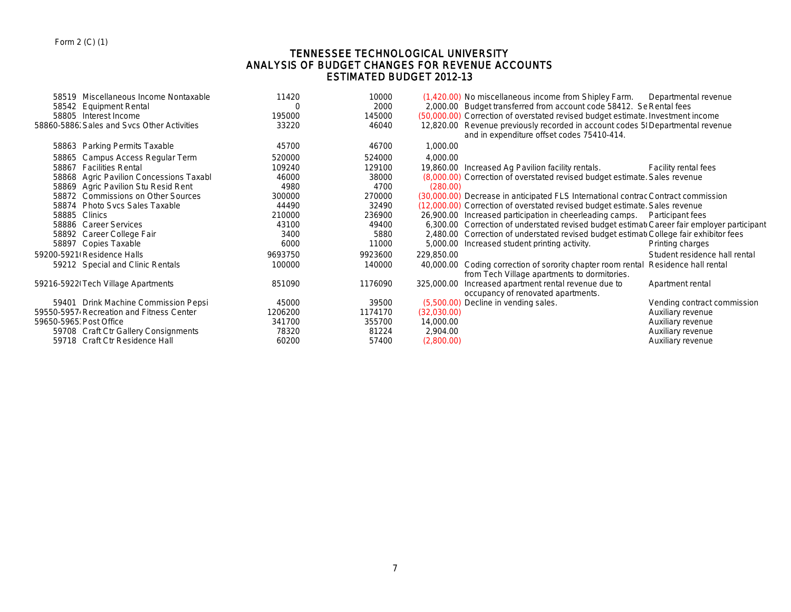## TENNESSEE TECHNOLOGICAL UNIVERSITY ANALYSIS OF BUDGET CHANGES FOR REVENUE ACCOUNTS ESTIMATED BUDGET 2012-13

| 58519 Miscellaneous Income Nontaxable<br>58542 Equipment Rental | 11420   | 10000<br>2000 |             | (1,420.00) No miscellaneous income from Shipley Farm.<br>2,000.00 Budget transferred from account code 58412. Se Rental fees | Departmental revenue          |
|-----------------------------------------------------------------|---------|---------------|-------------|------------------------------------------------------------------------------------------------------------------------------|-------------------------------|
| 58805 Interest Income                                           | 195000  | 145000        |             | (50,000.00) Correction of overstated revised budget estimate. Investment income                                              |                               |
| 58860-5886. Sales and Svcs Other Activities                     | 33220   | 46040         |             | 12,820.00 Revenue previously recorded in account codes 5 Departmental revenue<br>and in expenditure offset codes 75410-414.  |                               |
| 58863 Parking Permits Taxable                                   | 45700   | 46700         | 1,000.00    |                                                                                                                              |                               |
| 58865 Campus Access Regular Term                                | 520000  | 524000        | 4,000.00    |                                                                                                                              |                               |
| 58867 Facilities Rental                                         | 109240  | 129100        |             | 19,860.00 Increased Ag Pavilion facility rentals.                                                                            | <b>Facility rental fees</b>   |
| 58868 Agric Pavilion Concessions Taxabl                         | 46000   | 38000         |             | (8,000.00) Correction of overstated revised budget estimate. Sales revenue                                                   |                               |
| 58869 Agric Pavilion Stu Resid Rent                             | 4980    | 4700          | (280.00)    |                                                                                                                              |                               |
| 58872 Commissions on Other Sources                              | 300000  | 270000        |             | (30,000.00) Decrease in anticipated FLS International contrac Contract commission                                            |                               |
| 58874 Photo Svcs Sales Taxable                                  | 44490   | 32490         |             | (12,000.00) Correction of overstated revised budget estimate. Sales revenue                                                  |                               |
| 58885 Clinics                                                   | 210000  | 236900        |             | 26,900.00 Increased participation in cheerleading camps.                                                                     | Participant fees              |
| 58886 Career Services                                           | 43100   | 49400         |             | 6,300.00 Correction of understated revised budget estimat Career fair employer participant                                   |                               |
| 58892 Career College Fair                                       | 3400    | 5880          |             | 2,480.00 Correction of understated revised budget estimate College fair exhibitor fees                                       |                               |
| 58897 Copies Taxable                                            | 6000    | 11000         |             | 5,000.00 Increased student printing activity.                                                                                | Printing charges              |
| 59200-5921 Residence Halls                                      | 9693750 | 9923600       | 229,850.00  |                                                                                                                              | Student residence hall rental |
| 59212 Special and Clinic Rentals                                | 100000  | 140000        |             | 40,000.00 Coding correction of sorority chapter room rental<br>from Tech Village apartments to dormitories.                  | Residence hall rental         |
| 59216-5922 Tech Village Apartments                              | 851090  | 1176090       | 325,000.00  | Increased apartment rental revenue due to<br>occupancy of renovated apartments.                                              | Apartment rental              |
| 59401 Drink Machine Commission Pepsi                            | 45000   | 39500         |             | (5,500.00) Decline in vending sales.                                                                                         | Vending contract commission   |
| 59550-5957 Recreation and Fitness Center                        | 1206200 | 1174170       | (32,030.00) |                                                                                                                              | Auxiliary revenue             |
| 59650-5965. Post Office                                         | 341700  | 355700        | 14,000.00   |                                                                                                                              | Auxiliary revenue             |
| 59708 Craft Ctr Gallery Consignments                            | 78320   | 81224         | 2,904.00    |                                                                                                                              | Auxiliary revenue             |
| 59718 Craft Ctr Residence Hall                                  | 60200   | 57400         | (2,800.00)  |                                                                                                                              | Auxiliary revenue             |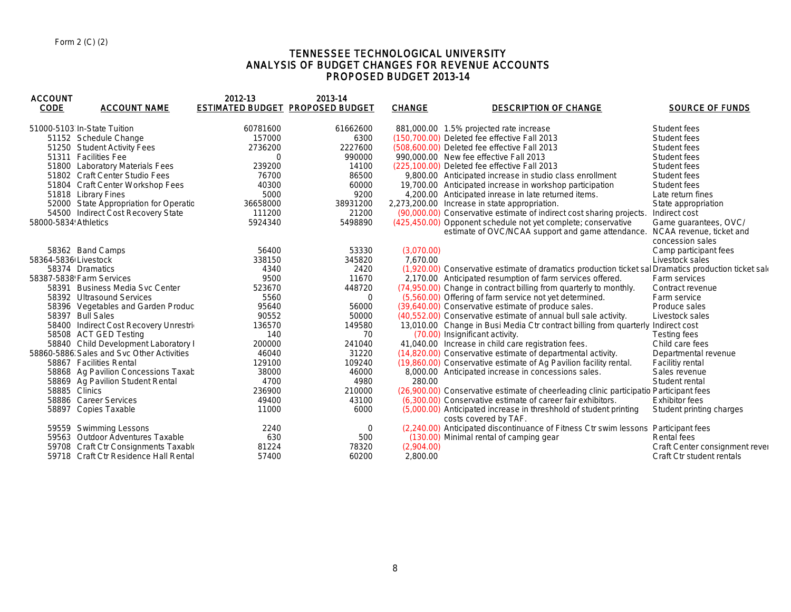## TENNESSEE TECHNOLOGICAL UNIVERSITY ANALYSIS OF BUDGET CHANGES FOR REVENUE ACCOUNTS PROPOSED BUDGET 2013-14

| <b>ACCOUNT</b>       |                                           | 2012-13                                 | 2013-14  |               |                                                                                                      |                                |  |
|----------------------|-------------------------------------------|-----------------------------------------|----------|---------------|------------------------------------------------------------------------------------------------------|--------------------------------|--|
| <b>CODE</b>          | <b>ACCOUNT NAME</b>                       | <b>ESTIMATED BUDGET PROPOSED BUDGET</b> |          | <b>CHANGE</b> | <b>DESCRIPTION OF CHANGE</b>                                                                         | <b>SOURCE OF FUNDS</b>         |  |
|                      | 51000-5103 In-State Tuition               | 60781600                                | 61662600 |               | 881,000.00 1.5% projected rate increase                                                              | Student fees                   |  |
|                      | 51152 Schedule Change                     | 157000                                  | 6300     |               | (150,700.00) Deleted fee effective Fall 2013                                                         | Student fees                   |  |
|                      | 51250 Student Activity Fees               | 2736200                                 | 2227600  |               | (508,600.00) Deleted fee effective Fall 2013                                                         | Student fees                   |  |
|                      | 51311 Facilities Fee                      | 0                                       | 990000   |               | 990,000,00 New fee effective Fall 2013                                                               | Student fees                   |  |
|                      | 51800 Laboratory Materials Fees           | 239200                                  | 14100    |               | (225,100.00) Deleted fee effective Fall 2013                                                         | Student fees                   |  |
|                      | 51802 Craft Center Studio Fees            | 76700                                   | 86500    |               | 9,800.00 Anticipated increase in studio class enrollment                                             | Student fees                   |  |
|                      | 51804 Craft Center Workshop Fees          | 40300                                   | 60000    |               | 19,700.00 Anticipated increase in workshop participation                                             | Student fees                   |  |
|                      | 51818 Library Fines                       | 5000                                    | 9200     |               | 4,200.00 Anticipated inrease in late returned items.                                                 | Late return fines              |  |
|                      | 52000 State Appropriation for Operatic    | 36658000                                | 38931200 |               | 2,273,200.00 Increase in state appropriation.                                                        | State appropriation            |  |
|                      | 54500 Indirect Cost Recovery State        | 111200                                  | 21200    |               | (90,000.00) Conservative estimate of indirect cost sharing projects.                                 | Indirect cost                  |  |
| 58000-5834 Athletics |                                           | 5924340                                 | 5498890  |               | (425,450.00) Opponent schedule not yet complete; conservative                                        | Game quarantees, OVC/          |  |
|                      |                                           |                                         |          |               | estimate of OVC/NCAA support and game attendance.                                                    | NCAA revenue, ticket and       |  |
|                      |                                           |                                         |          |               |                                                                                                      | concession sales               |  |
|                      | 58362 Band Camps                          | 56400                                   | 53330    | (3,070.00)    |                                                                                                      | Camp participant fees          |  |
| 58364-5836 Livestock |                                           | 338150                                  | 345820   | 7.670.00      |                                                                                                      | Livestock sales                |  |
|                      | 58374 Dramatics                           | 4340                                    | 2420     |               | (1,920.00) Conservative estimate of dramatics production ticket sal Dramatics production ticket sale |                                |  |
|                      | 58387-5838 Farm Services                  | 9500                                    | 11670    |               | 2,170.00 Anticipated resumption of farm services offered.                                            | Farm services                  |  |
|                      | 58391 Business Media Svc Center           | 523670                                  | 448720   |               | (74,950.00) Change in contract billing from quarterly to monthly.                                    | Contract revenue               |  |
|                      | 58392 Ultrasound Services                 | 5560                                    | $\Omega$ |               | (5,560.00) Offering of farm service not yet determined.                                              | Farm service                   |  |
|                      | 58396 Vegetables and Garden Produc        | 95640                                   | 56000    |               | (39,640.00) Conservative estimate of produce sales.                                                  | Produce sales                  |  |
|                      | 58397 Bull Sales                          | 90552                                   | 50000    |               | (40,552.00) Conservative estimate of annual bull sale activity.                                      | Livestock sales                |  |
|                      | 58400 Indirect Cost Recovery Unrestri     | 136570                                  | 149580   |               | 13,010.00 Change in Busi Media Ctr contract billing from quarterly Indirect cost                     |                                |  |
|                      | 58508 ACT GED Testing                     | 140                                     | 70       |               | (70.00) Insignificant activity.                                                                      | Testing fees                   |  |
|                      | 58840 Child Development Laboratory        | 200000                                  | 241040   |               | 41,040.00 Increase in child care registration fees.                                                  | Child care fees                |  |
|                      | 58860-5886 Sales and Svc Other Activities | 46040                                   | 31220    |               | (14,820.00) Conservative estimate of departmental activity.                                          | Departmental revenue           |  |
|                      | 58867 Facilities Rental                   | 129100                                  | 109240   |               | (19,860.00) Conservative estimate of Aq Pavilion facility rental.                                    | <b>Facilitiy rental</b>        |  |
|                      | 58868 Ag Pavilion Concessions Taxat       | 38000                                   | 46000    |               | 8,000.00 Anticipated increase in concessions sales.                                                  | Sales revenue                  |  |
|                      | 58869 Ag Pavilion Student Rental          | 4700                                    | 4980     | 280.00        |                                                                                                      | Student rental                 |  |
|                      | 58885 Clinics                             | 236900                                  | 210000   |               | (26,900.00) Conservative estimate of cheerleading clinic participatio Participant fees               |                                |  |
|                      | 58886 Career Services                     | 49400                                   | 43100    |               | (6,300.00) Conservative estimate of career fair exhibitors.                                          | Exhibitor fees                 |  |
|                      | 58897 Copies Taxable                      | 11000                                   | 6000     |               | (5,000.00) Anticipated increase in threshhold of student printing<br>costs covered by TAF.           | Student printing charges       |  |
|                      | 59559 Swimming Lessons                    | 2240                                    | 0        |               | (2,240.00) Anticipated discontinuance of Fitness Ctr swim lessons Participant fees                   |                                |  |
|                      | 59563 Outdoor Adventures Taxable          | 630                                     | 500      |               | (130.00) Minimal rental of camping gear                                                              | <b>Rental fees</b>             |  |
|                      | 59708 Craft Ctr Consignments Taxable      | 81224                                   | 78320    | (2,904.00)    |                                                                                                      | Craft Center consignment rever |  |
|                      | 59718 Craft Ctr Residence Hall Rental     | 57400                                   | 60200    | 2,800.00      |                                                                                                      | Craft Ctr student rentals      |  |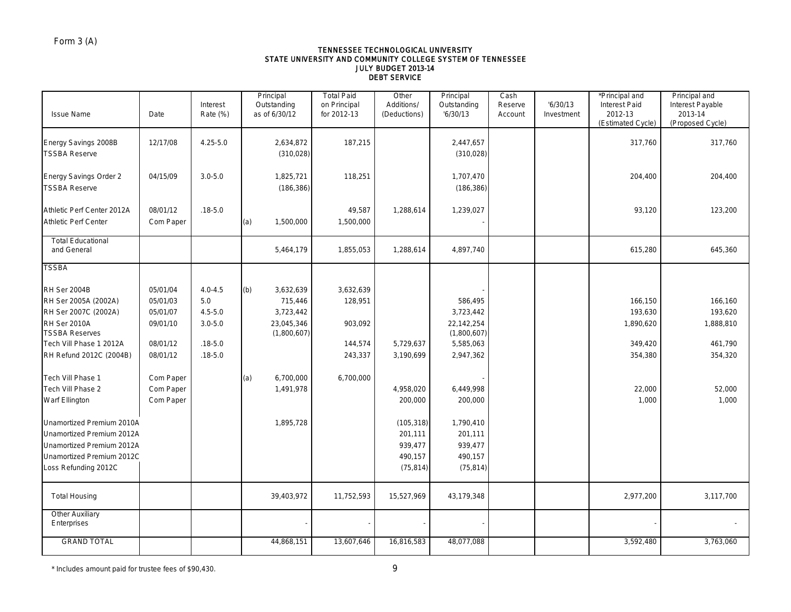#### TENNESSEE TECHNOLOGICAL UNIVERSITY STATE UNIVERSITY AND COMMUNITY COLLEGE SYSTEM OF TENNESSEE JULY BUDGET 2013-14 DEBT SERVICE

| <b>Issue Name</b>                                                                                                                                                                                                                                                                                                                           | Date                                                                                                        | Interest<br>Rate (%)                                                           | Principal<br>Outstanding<br>as of 6/30/12                                                                           | <b>Total Paid</b><br>on Principal<br>for 2012-13                   | Other<br>Additions/<br>(Deductions)                                                           | Principal<br>Outstanding<br>'6/30/13                                                                                                              | Cash<br>Reserve<br>Account | '6/30/13<br>Investment | *Principal and<br><b>Interest Paid</b><br>2012-13<br>(Estimated Cycle)   | Principal and<br>Interest Payable<br>2013-14<br>(Proposed Cycle)         |
|---------------------------------------------------------------------------------------------------------------------------------------------------------------------------------------------------------------------------------------------------------------------------------------------------------------------------------------------|-------------------------------------------------------------------------------------------------------------|--------------------------------------------------------------------------------|---------------------------------------------------------------------------------------------------------------------|--------------------------------------------------------------------|-----------------------------------------------------------------------------------------------|---------------------------------------------------------------------------------------------------------------------------------------------------|----------------------------|------------------------|--------------------------------------------------------------------------|--------------------------------------------------------------------------|
| Energy Savings 2008B<br><b>TSSBA Reserve</b>                                                                                                                                                                                                                                                                                                | 12/17/08                                                                                                    | $4.25 - 5.0$                                                                   | 2,634,872<br>(310, 028)                                                                                             | 187,215                                                            |                                                                                               | 2,447,657<br>(310, 028)                                                                                                                           |                            |                        | 317,760                                                                  | 317,760                                                                  |
| <b>Energy Savings Order 2</b><br><b>TSSBA Reserve</b>                                                                                                                                                                                                                                                                                       | 04/15/09                                                                                                    | $3.0 - 5.0$                                                                    | 1,825,721<br>(186, 386)                                                                                             | 118,251                                                            |                                                                                               | 1,707,470<br>(186, 386)                                                                                                                           |                            |                        | 204,400                                                                  | 204,400                                                                  |
| Athletic Perf Center 2012A<br><b>Athletic Perf Center</b>                                                                                                                                                                                                                                                                                   | 08/01/12<br>Com Paper                                                                                       | $.18 - 5.0$                                                                    | 1,500,000<br>(a)                                                                                                    | 49,587<br>1,500,000                                                | 1,288,614                                                                                     | 1,239,027                                                                                                                                         |                            |                        | 93,120                                                                   | 123,200                                                                  |
| <b>Total Educational</b><br>and General                                                                                                                                                                                                                                                                                                     |                                                                                                             |                                                                                | 5,464,179                                                                                                           | 1,855,053                                                          | 1,288,614                                                                                     | 4,897,740                                                                                                                                         |                            |                        | 615,280                                                                  | 645,360                                                                  |
| <b>TSSBA</b>                                                                                                                                                                                                                                                                                                                                |                                                                                                             |                                                                                |                                                                                                                     |                                                                    |                                                                                               |                                                                                                                                                   |                            |                        |                                                                          |                                                                          |
| RH Ser 2004B<br>RH Ser 2005A (2002A)<br>RH Ser 2007C (2002A)<br>RH Ser 2010A<br><b>TSSBA Reserves</b><br>Tech Vill Phase 1 2012A<br>RH Refund 2012C (2004B)<br>Tech Vill Phase 1<br>Tech Vill Phase 2<br>Warf Ellington<br>Unamortized Premium 2010A<br>Unamortized Premium 2012A<br>Unamortized Premium 2012A<br>Unamortized Premium 2012C | 05/01/04<br>05/01/03<br>05/01/07<br>09/01/10<br>08/01/12<br>08/01/12<br>Com Paper<br>Com Paper<br>Com Paper | $4.0 - 4.5$<br>5.0<br>$4.5 - 5.0$<br>$3.0 - 5.0$<br>$.18 - 5.0$<br>$.18 - 5.0$ | 3,632,639<br>(b)<br>715,446<br>3,723,442<br>23,045,346<br>(1,800,607)<br>6,700,000<br>(a)<br>1,491,978<br>1,895,728 | 3,632,639<br>128,951<br>903,092<br>144,574<br>243,337<br>6,700,000 | 5,729,637<br>3,190,699<br>4,958,020<br>200,000<br>(105, 318)<br>201,111<br>939,477<br>490,157 | 586,495<br>3,723,442<br>22,142,254<br>(1,800,607)<br>5,585,063<br>2,947,362<br>6,449,998<br>200,000<br>1,790,410<br>201,111<br>939,477<br>490,157 |                            |                        | 166,150<br>193,630<br>1,890,620<br>349,420<br>354,380<br>22,000<br>1,000 | 166,160<br>193,620<br>1,888,810<br>461,790<br>354,320<br>52,000<br>1,000 |
| Loss Refunding 2012C<br><b>Total Housing</b>                                                                                                                                                                                                                                                                                                |                                                                                                             |                                                                                | 39,403,972                                                                                                          | 11,752,593                                                         | (75, 814)<br>15,527,969                                                                       | (75, 814)<br>43,179,348                                                                                                                           |                            |                        | 2,977,200                                                                | 3,117,700                                                                |
| <b>Other Auxiliary</b><br>Enterprises                                                                                                                                                                                                                                                                                                       |                                                                                                             |                                                                                |                                                                                                                     |                                                                    |                                                                                               |                                                                                                                                                   |                            |                        |                                                                          |                                                                          |
| <b>GRAND TOTAL</b>                                                                                                                                                                                                                                                                                                                          |                                                                                                             |                                                                                | 44,868,151                                                                                                          | 13,607,646                                                         | 16,816,583                                                                                    | 48,077,088                                                                                                                                        |                            |                        | 3,592,480                                                                | 3,763,060                                                                |

\* Includes amount paid for trustee fees of \$90,430.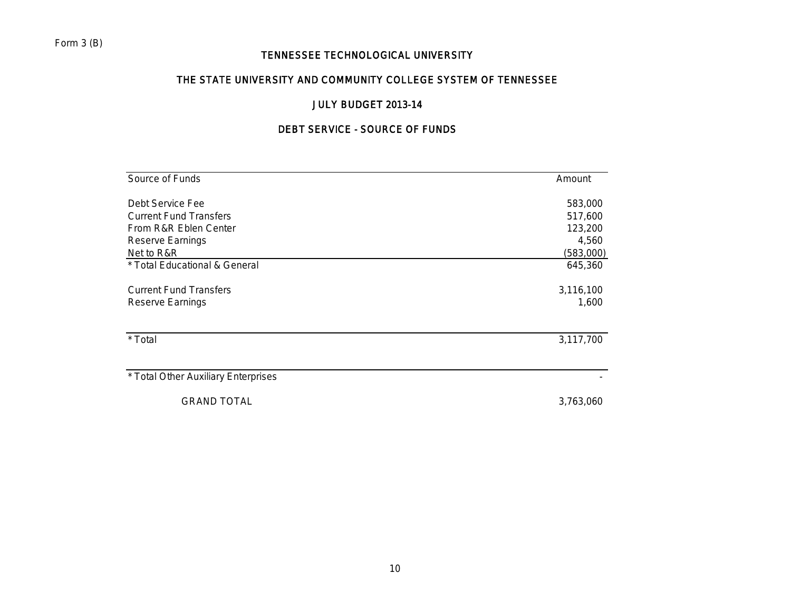## THE STATE UNIVERSITY AND COMMUNITY COLLEGE SYSTEM OF TENNESSEE

## JULY BUDGET 2013-14

## DEBT SERVICE - SOURCE OF FUNDS

| Source of Funds                     | Amount    |
|-------------------------------------|-----------|
| Debt Service Fee                    | 583,000   |
| <b>Current Fund Transfers</b>       | 517,600   |
| From R&R Eblen Center               | 123,200   |
| <b>Reserve Earnings</b>             | 4,560     |
| Net to R&R                          | (583,000) |
| * Total Educational & General       | 645,360   |
| <b>Current Fund Transfers</b>       | 3,116,100 |
| Reserve Earnings                    | 1,600     |
| * Total                             | 3,117,700 |
|                                     |           |
| * Total Other Auxiliary Enterprises |           |
| <b>GRAND TOTAL</b>                  | 3,763,060 |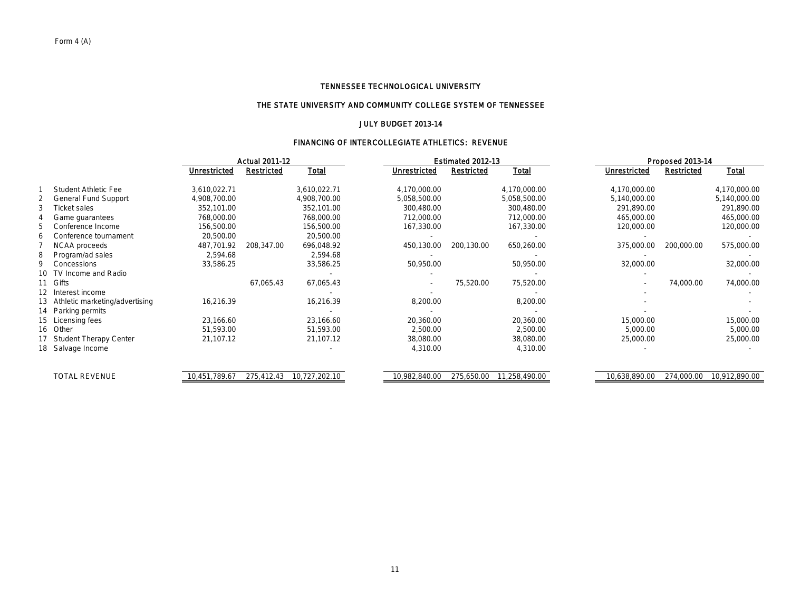#### THE STATE UNIVERSITY AND COMMUNITY COLLEGE SYSTEM OF TENNESSEE

#### JULY BUDGET 2013-14

#### FINANCING OF INTERCOLLEGIATE ATHLETICS: REVENUE

|   |                                   | <b>Actual 2011-12</b> |                   |               |               | Estimated 2012-13 |               |                     | Proposed 2013-14  |               |  |
|---|-----------------------------------|-----------------------|-------------------|---------------|---------------|-------------------|---------------|---------------------|-------------------|---------------|--|
|   |                                   | <b>Unrestricted</b>   | <b>Restricted</b> | <b>Total</b>  | Unrestricted  | <b>Restricted</b> | <b>Total</b>  | <b>Unrestricted</b> | <b>Restricted</b> | Total         |  |
|   | <b>Student Athletic Fee</b>       | 3,610,022.71          |                   | 3,610,022.71  | 4,170,000.00  |                   | 4,170,000.00  | 4,170,000.00        |                   | 4,170,000.00  |  |
|   | <b>General Fund Support</b>       | 4,908,700.00          |                   | 4,908,700.00  | 5,058,500.00  |                   | 5,058,500.00  | 5,140,000.00        |                   | 5,140,000.00  |  |
|   | Ticket sales                      | 352,101.00            |                   | 352,101.00    | 300,480.00    |                   | 300,480.00    | 291,890.00          |                   | 291,890.00    |  |
|   | Game guarantees                   | 768,000.00            |                   | 768,000.00    | 712,000.00    |                   | 712,000.00    | 465,000.00          |                   | 465,000.00    |  |
|   | Conference Income                 | 156,500.00            |                   | 156,500.00    | 167,330.00    |                   | 167,330.00    | 120,000.00          |                   | 120,000.00    |  |
| 6 | Conference tournament             | 20,500.00             |                   | 20,500.00     |               |                   |               |                     |                   |               |  |
|   | NCAA proceeds                     | 487,701.92            | 208,347.00        | 696,048.92    | 450,130.00    | 200,130.00        | 650,260.00    | 375,000.00          | 200,000.00        | 575,000.00    |  |
|   | 8 Program/ad sales                | 2,594.68              |                   | 2,594.68      |               |                   |               |                     |                   |               |  |
|   | 9 Concessions                     | 33,586.25             |                   | 33,586.25     | 50,950.00     |                   | 50,950.00     | 32,000.00           |                   | 32,000.00     |  |
|   | 10 TV Income and Radio            |                       |                   |               |               |                   |               |                     |                   |               |  |
|   | 11 Gifts                          |                       | 67,065.43         | 67,065.43     | ٠             | 75,520.00         | 75,520.00     |                     | 74,000.00         | 74,000.00     |  |
|   | 12 Interest income                |                       |                   |               |               |                   |               |                     |                   |               |  |
|   | 13 Athletic marketing/advertising | 16,216.39             |                   | 16,216.39     | 8,200.00      |                   | 8,200.00      |                     |                   |               |  |
|   | 14 Parking permits                |                       |                   |               |               |                   |               |                     |                   |               |  |
|   | 15 Licensing fees                 | 23,166.60             |                   | 23,166.60     | 20,360.00     |                   | 20,360.00     | 15,000.00           |                   | 15,000.00     |  |
|   | 16 Other                          | 51,593.00             |                   | 51,593.00     | 2,500.00      |                   | 2,500.00      | 5,000.00            |                   | 5,000.00      |  |
|   | 17 Student Therapy Center         | 21,107.12             |                   | 21,107.12     | 38,080.00     |                   | 38,080.00     | 25,000.00           |                   | 25,000.00     |  |
|   | 18 Salvage Income                 |                       |                   |               | 4,310.00      |                   | 4,310.00      |                     |                   |               |  |
|   | <b>TOTAL REVENUE</b>              | 10,451,789.67         | 275,412.43        | 10,727,202.10 | 10,982,840.00 | 275,650.00        | 11.258.490.00 | 10,638,890.00       | 274,000.00        | 10,912,890.00 |  |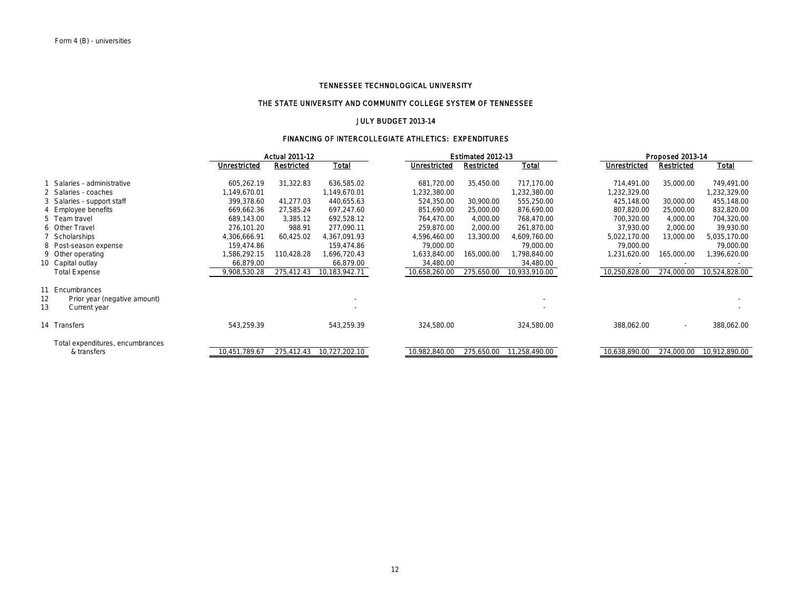#### THE STATE UNIVERSITY AND COMMUNITY COLLEGE SYSTEM OF TENNESSEE

#### JULY BUDGET 2013-14

#### FINANCING OF INTERCOLLEGIATE ATHLETICS: EXPENDITURES

|    |                                  | <b>Actual 2011-12</b> |                   |                          | Estimated 2012-13   |                   | Proposed 2013-14 |  |                     |                   |               |
|----|----------------------------------|-----------------------|-------------------|--------------------------|---------------------|-------------------|------------------|--|---------------------|-------------------|---------------|
|    |                                  | Unrestricted          | <b>Restricted</b> | <b>Total</b>             | <b>Unrestricted</b> | <b>Restricted</b> | <b>Total</b>     |  | <b>Unrestricted</b> | <b>Restricted</b> | <b>Total</b>  |
|    | Salaries - administrative        | 605,262.19            | 31,322.83         | 636,585.02               | 681,720.00          | 35,450.00         | 717,170.00       |  | 714,491.00          | 35,000.00         | 749,491.00    |
|    | 2 Salaries - coaches             | ,149,670.01           |                   | 1,149,670.01             | ,232,380.00         |                   | ,232,380.00      |  | 1,232,329.00        |                   | ,232,329.00   |
|    | 3 Salaries - support staff       | 399,378.60            | 41,277.03         | 440,655.63               | 524,350.00          | 30,900.00         | 555,250.00       |  | 425,148.00          | 30,000.00         | 455,148.00    |
|    | Employee benefits                | 669,662.36            | 27,585.24         | 697,247.60               | 851,690.00          | 25,000.00         | 876,690.00       |  | 807,820.00          | 25,000.00         | 832,820.00    |
|    | 5 Team travel                    | 689,143.00            | 3,385.12          | 692,528.12               | 764,470.00          | 4,000.00          | 768,470.00       |  | 700,320.00          | 4,000.00          | 704,320.00    |
|    | 6 Other Travel                   | 276,101.20            | 988.91            | 277,090.11               | 259,870.00          | 2,000.00          | 261,870.00       |  | 37,930.00           | 2,000.00          | 39,930.00     |
|    | 7 Scholarships                   | 4,306,666.91          | 60,425.02         | 4,367,091.93             | 4,596,460.00        | 13,300.00         | 4,609,760.00     |  | 5,022,170.00        | 13,000.00         | 5,035,170.00  |
|    | 8 Post-season expense            | 159,474.86            |                   | 159,474.86               | 79,000.00           |                   | 79,000.00        |  | 79,000.00           |                   | 79,000.00     |
|    | 9 Other operating                | ,586,292.15           | 110,428.28        | 1,696,720.43             | 1,633,840.00        | 165,000.00        | ,798,840.00      |  | 1,231,620.00        | 165,000.00        | ,396,620.00   |
|    | 10 Capital outlay                | 66,879.00             |                   | 66,879.00                | 34,480.00           |                   | 34,480.00        |  |                     |                   |               |
|    | <b>Total Expense</b>             | 9,908,530.28          | 275,412.43        | 10,183,942.71            | 10,658,260.00       | 275,650.00        | 10,933,910.00    |  | 10,250,828.00       | 274,000.00        | 10,524,828.00 |
| 11 | Encumbrances                     |                       |                   |                          |                     |                   |                  |  |                     |                   |               |
| 12 | Prior year (negative amount)     |                       |                   |                          |                     |                   |                  |  |                     |                   |               |
| 13 | Current year                     |                       |                   | $\overline{\phantom{a}}$ |                     |                   |                  |  |                     |                   |               |
|    | 14 Transfers                     | 543,259.39            |                   | 543,259.39               | 324,580.00          |                   | 324,580.00       |  | 388,062.00          |                   | 388,062.00    |
|    | Total expenditures, encumbrances |                       |                   |                          |                     |                   |                  |  |                     |                   |               |
|    | & transfers                      | 10,451,789.67         | 275,412.43        | 10,727,202.10            | 10,982,840.00       | 275,650.00        | 11,258,490.00    |  | 10,638,890.00       | 274,000.00        | 10,912,890.00 |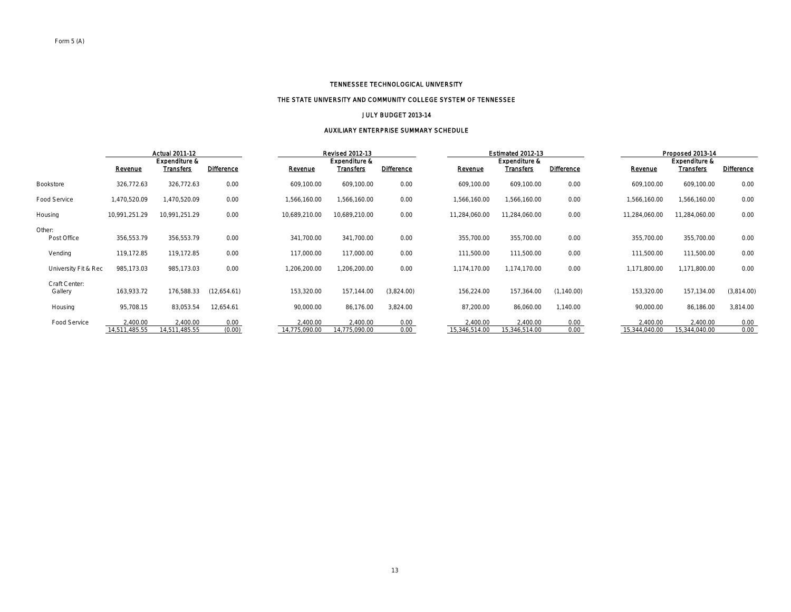#### THE STATE UNIVERSITY AND COMMUNITY COLLEGE SYSTEM OF TENNESSEE

#### JULY BUDGET 2013-14

#### AUXILIARY ENTERPRISE SUMMARY SCHEDULE

|                      | <b>Actual 2011-12</b> |                          |                   | <b>Revised 2012-13</b> |                          |                   | Estimated 2012-13 |                          |                   | Proposed 2013-14 |                          |                   |  |
|----------------------|-----------------------|--------------------------|-------------------|------------------------|--------------------------|-------------------|-------------------|--------------------------|-------------------|------------------|--------------------------|-------------------|--|
|                      |                       | <b>Expenditure &amp;</b> |                   |                        | <b>Expenditure &amp;</b> |                   |                   | <b>Expenditure &amp;</b> |                   |                  | <b>Expenditure &amp;</b> |                   |  |
|                      | Revenue               | <u>Transfers</u>         | <b>Difference</b> | Revenue                | <u>Transfers</u>         | <b>Difference</b> | <b>Revenue</b>    | <b>Transfers</b>         | <b>Difference</b> | <u>Revenue</u>   | <b>Transfers</b>         | <b>Difference</b> |  |
| Bookstore            | 326,772.63            | 326,772.63               | 0.00              | 609,100.00             | 609,100.00               | 0.00              | 609,100.00        | 609,100.00               | 0.00              | 609,100.00       | 609,100.00               | 0.00              |  |
| Food Service         | 1,470,520.09          | 1,470,520.09             | 0.00              | 1,566,160.00           | 1,566,160.00             | 0.00              | 1,566,160.00      | 1,566,160.00             | 0.00              | 1,566,160.00     | 1,566,160.00             | 0.00              |  |
| Housing              | 10,991,251.29         | 10,991,251.29            | 0.00              | 10,689,210.00          | 10,689,210.00            | 0.00              | 11,284,060.00     | 11,284,060.00            | 0.00              | 11,284,060.00    | 11,284,060.00            | 0.00              |  |
| Other:               |                       |                          |                   |                        |                          |                   |                   |                          |                   |                  |                          |                   |  |
| Post Office          | 356,553.79            | 356,553.79               | 0.00              | 341,700.00             | 341,700.00               | 0.00              | 355,700.00        | 355,700.00               | 0.00              | 355,700.00       | 355,700.00               | 0.00              |  |
| Vending              | 119,172.85            | 119,172.85               | 0.00              | 117,000.00             | 117,000.00               | 0.00              | 111,500.00        | 111,500.00               | 0.00              | 111,500.00       | 111,500.00               | 0.00              |  |
| University Fit & Rec | 985,173.03            | 985,173.03               | 0.00              | 1,206,200.00           | 1,206,200.00             | 0.00              | 1,174,170.00      | 1,174,170.00             | 0.00              | 1,171,800.00     | 1,171,800.00             | 0.00              |  |
| Craft Center:        |                       |                          |                   |                        |                          |                   |                   |                          |                   |                  |                          |                   |  |
| Gallery              | 163,933.72            | 176,588.33               | (12,654.61)       | 153,320.00             | 157,144.00               | (3,824.00)        | 156,224.00        | 157,364.00               | (1,140.00)        | 153,320.00       | 157,134.00               | (3,814.00)        |  |
| Housing              | 95,708.15             | 83,053.54                | 12,654.61         | 90,000.00              | 86,176.00                | 3,824.00          | 87,200.00         | 86,060.00                | 1,140.00          | 90,000.00        | 86,186.00                | 3,814.00          |  |
| Food Service         | 2.400.00              | 2.400.00                 | 0.00              | 2.400.00               | 2.400.00                 | 0.00              | 2.400.00          | 2.400.00                 | 0.00              | 2.400.00         | 2.400.00                 | 0.00              |  |
|                      | 14,511,485.55         | 14.511.485.55            | (0.00)            | 14.775.090.00          | 14.775.090.00            | 0.00              | 15.346.514.00     | 15.346.514.00            | 0.00              | 15.344.040.00    | 15.344.040.00            | 0.00              |  |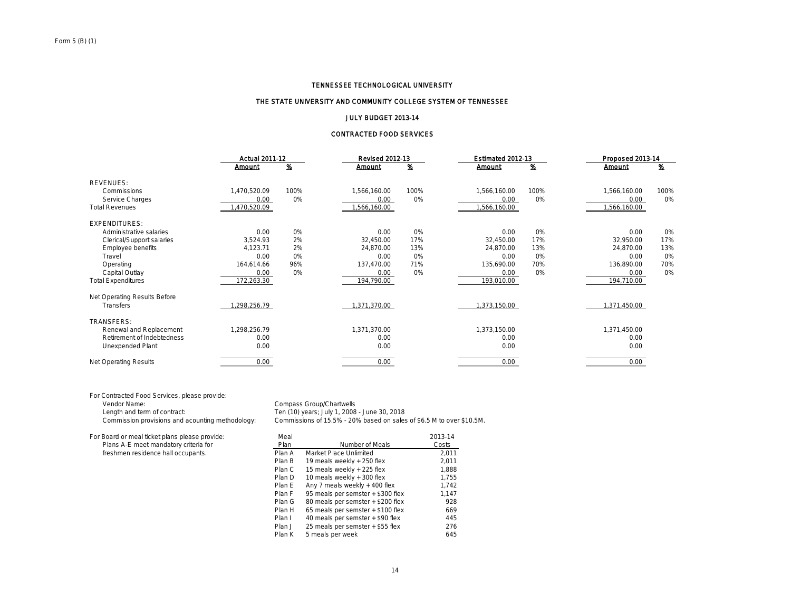#### THE STATE UNIVERSITY AND COMMUNITY COLLEGE SYSTEM OF TENNESSEE

#### JULY BUDGET 2013-14

#### CONTRACTED FOOD SERVICES

|                              |              | <b>Actual 2011-12</b> |              | <b>Revised 2012-13</b> |              | Estimated 2012-13 |               | Proposed 2013-14 |  |
|------------------------------|--------------|-----------------------|--------------|------------------------|--------------|-------------------|---------------|------------------|--|
|                              | Amount       | %                     | Amount       | %                      | Amount       | %                 | <b>Amount</b> | $\frac{96}{2}$   |  |
| <b>REVENUES:</b>             |              |                       |              |                        |              |                   |               |                  |  |
| Commissions                  | 1,470,520.09 | 100%                  | 1,566,160.00 | 100%                   | 1,566,160.00 | 100%              | 1,566,160.00  | 100%             |  |
| Service Charges              | 0.00         | 0%                    | 0.00         | 0%                     | 0.00         | 0%                | 0.00          | 0%               |  |
| <b>Total Revenues</b>        | ,470,520.09  |                       | 1,566,160.00 |                        | ,566,160.00  |                   | 1,566,160.00  |                  |  |
| <b>EXPENDITURES:</b>         |              |                       |              |                        |              |                   |               |                  |  |
| Administrative salaries      | 0.00         | 0%                    | 0.00         | 0%                     | 0.00         | 0%                | 0.00          | 0%               |  |
| Clerical/Support salaries    | 3,524.93     | 2%                    | 32,450.00    | 17%                    | 32,450.00    | 17%               | 32,950.00     | 17%              |  |
| Employee benefits            | 4.123.71     | 2%                    | 24.870.00    | 13%                    | 24.870.00    | 13%               | 24.870.00     | 13%              |  |
| Travel                       | 0.00         | 0%                    | 0.00         | 0%                     | 0.00         | 0%                | 0.00          | 0%               |  |
| Operating                    | 164,614.66   | 96%                   | 137,470.00   | 71%                    | 135,690.00   | 70%               | 136,890.00    | 70%              |  |
| Capital Outlay               | 0.00         | 0%                    | 0.00         | 0%                     | 0.00         | 0%                | 0.00          | 0%               |  |
| <b>Total Expenditures</b>    | 172,263.30   |                       | 194,790.00   |                        | 193,010.00   |                   | 194,710.00    |                  |  |
| Net Operating Results Before |              |                       |              |                        |              |                   |               |                  |  |
| <b>Transfers</b>             | ,298,256.79  |                       | 1,371,370.00 |                        | 1,373,150.00 |                   | 1,371,450.00  |                  |  |
| <b>TRANSFERS:</b>            |              |                       |              |                        |              |                   |               |                  |  |
| Renewal and Replacement      | 1,298,256.79 |                       | 1,371,370.00 |                        | 1,373,150.00 |                   | 1,371,450.00  |                  |  |
| Retirement of Indebtedness   | 0.00         |                       | 0.00         |                        | 0.00         |                   | 0.00          |                  |  |
| Unexpended Plant             | 0.00         |                       | 0.00         |                        | 0.00         |                   | 0.00          |                  |  |
| <b>Net Operating Results</b> | 0.00         |                       | 0.00         |                        | 0.00         |                   | 0.00          |                  |  |

For Contracted Food Services, please provide: Vendor Name: Compass Group/Chartwells Length and term of contract: Ten (10) years; July 1, 2008 - June 30, 2018

Commission provisions and acounting methodology: Commissions of 15.5% - 20% based on sales of \$6.5 M to over \$10.5M.

For Board or meal ticket plans please provide:<br>
Meal 2013-14 Plans A-E meet mandatory criteria for freshmen residence hall occupants.

|                                   | 2013-14 |
|-----------------------------------|---------|
| Number of Meals                   | Costs   |
| Market Place Unlimited            | 2.011   |
| 19 meals weekly + 250 flex        | 2.011   |
| 15 meals weekly + 225 flex        | 1.888   |
| 10 meals weekly + 300 flex        | 1.755   |
| Any 7 meals weekly + 400 flex     | 1.742   |
| 95 meals per semster + \$300 flex | 1.147   |
| 80 meals per semster + \$200 flex | 928     |
| 65 meals per semster + \$100 flex | 669     |
| 40 meals per semster + \$90 flex  | 445     |
| 25 meals per semster + \$55 flex  | 276     |
| 5 meals per week                  | 645     |
|                                   |         |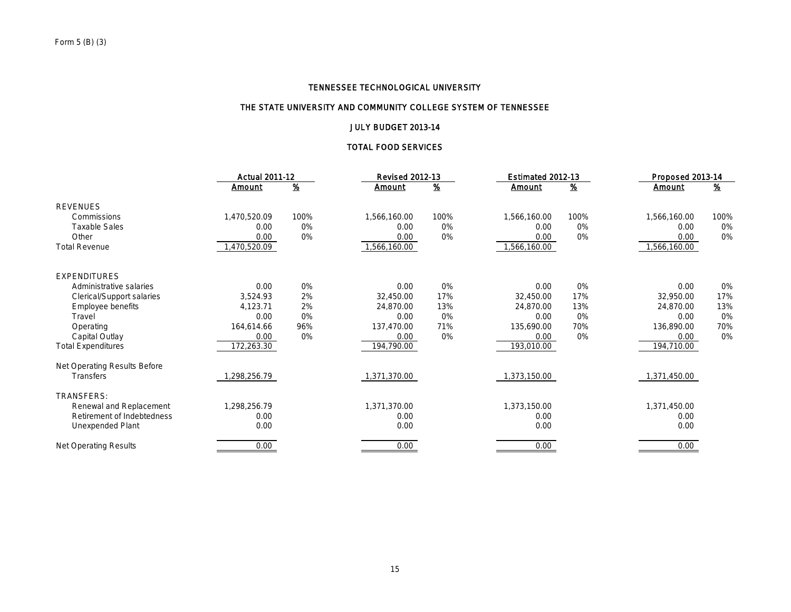## THE STATE UNIVERSITY AND COMMUNITY COLLEGE SYSTEM OF TENNESSEE

## JULY BUDGET 2013-14

### TOTAL FOOD SERVICES

|                              | <b>Actual 2011-12</b> |                           | <b>Revised 2012-13</b> |                           | Estimated 2012-13 |          |              | Proposed 2013-14 |  |
|------------------------------|-----------------------|---------------------------|------------------------|---------------------------|-------------------|----------|--------------|------------------|--|
|                              | Amount                | $\underline{\mathcal{X}}$ | Amount                 | $\underline{\mathcal{X}}$ | Amount            | <u>%</u> | Amount       | <u>%</u>         |  |
| <b>REVENUES</b>              |                       |                           |                        |                           |                   |          |              |                  |  |
| Commissions                  | 1,470,520.09          | 100%                      | 1,566,160.00           | 100%                      | 1,566,160.00      | 100%     | 1,566,160.00 | 100%             |  |
| <b>Taxable Sales</b>         | 0.00                  | 0%                        | 0.00                   | 0%                        | 0.00              | 0%       | 0.00         | 0%               |  |
| Other                        | 0.00                  | 0%                        | 0.00                   | 0%                        | 0.00              | 0%       | 0.00         | 0%               |  |
| <b>Total Revenue</b>         | 1,470,520.09          |                           | 1,566,160.00           |                           | 1,566,160.00      |          | 1,566,160.00 |                  |  |
| <b>EXPENDITURES</b>          |                       |                           |                        |                           |                   |          |              |                  |  |
| Administrative salaries      | 0.00                  | 0%                        | 0.00                   | 0%                        | 0.00              | 0%       | 0.00         | 0%               |  |
| Clerical/Support salaries    | 3.524.93              | 2%                        | 32,450.00              | 17%                       | 32,450.00         | 17%      | 32,950.00    | 17%              |  |
| Employee benefits            | 4,123.71              | 2%                        | 24,870.00              | 13%                       | 24,870.00         | 13%      | 24.870.00    | 13%              |  |
| Travel                       | 0.00                  | 0%                        | 0.00                   | 0%                        | 0.00              | 0%       | 0.00         | 0%               |  |
| Operating                    | 164,614.66            | 96%                       | 137,470.00             | 71%                       | 135,690.00        | 70%      | 136,890.00   | 70%              |  |
| Capital Outlay               | 0.00                  | 0%                        | 0.00                   | 0%                        | 0.00              | 0%       | 0.00         | 0%               |  |
| <b>Total Expenditures</b>    | 172,263.30            |                           | 194,790.00             |                           | 193,010.00        |          | 194,710.00   |                  |  |
| Net Operating Results Before |                       |                           |                        |                           |                   |          |              |                  |  |
| <b>Transfers</b>             | ,298,256.79           |                           | 1,371,370.00           |                           | 1,373,150.00      |          | 1,371,450.00 |                  |  |
| <b>TRANSFERS:</b>            |                       |                           |                        |                           |                   |          |              |                  |  |
| Renewal and Replacement      | 1,298,256.79          |                           | 1,371,370.00           |                           | 1,373,150.00      |          | 1,371,450.00 |                  |  |
| Retirement of Indebtedness   | 0.00                  |                           | 0.00                   |                           | 0.00              |          | 0.00         |                  |  |
| Unexpended Plant             | 0.00                  |                           | 0.00                   |                           | 0.00              |          | 0.00         |                  |  |
| <b>Net Operating Results</b> | 0.00                  |                           | 0.00                   |                           | 0.00              |          | 0.00         |                  |  |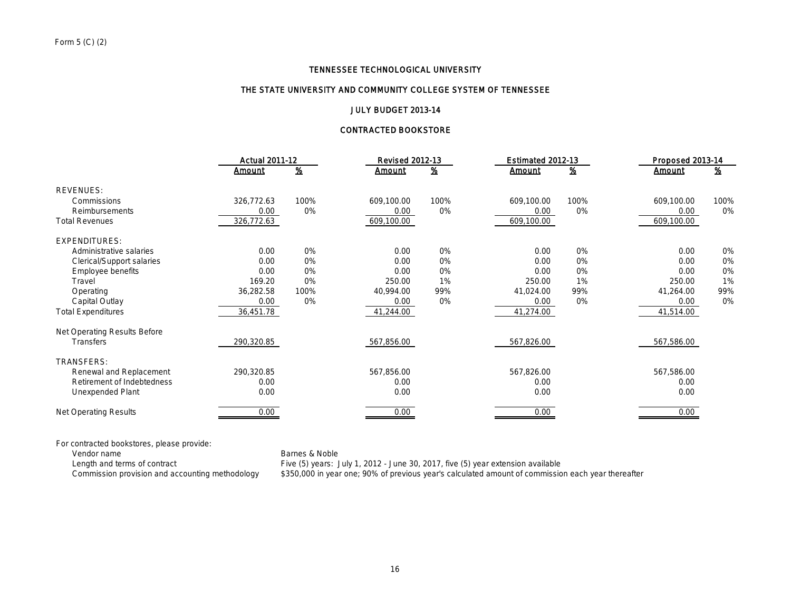## THE STATE UNIVERSITY AND COMMUNITY COLLEGE SYSTEM OF TENNESSEE

## JULY BUDGET 2013-14

#### CONTRACTED BOOKSTORE

|                              | <b>Actual 2011-12</b> |                          | <b>Revised 2012-13</b> |                           | Estimated 2012-13 |          | Proposed 2013-14 |                       |
|------------------------------|-----------------------|--------------------------|------------------------|---------------------------|-------------------|----------|------------------|-----------------------|
|                              | <u>Amount</u>         | $\overline{\mathcal{X}}$ | <b>Amount</b>          | $\underline{\mathcal{X}}$ | <b>Amount</b>     | <u>%</u> | Amount           | $\frac{\%}{\sqrt{2}}$ |
| <b>REVENUES:</b>             |                       |                          |                        |                           |                   |          |                  |                       |
| Commissions                  | 326,772.63            | 100%                     | 609,100.00             | 100%                      | 609,100.00        | 100%     | 609,100.00       | 100%                  |
| Reimbursements               | 0.00                  | 0%                       | 0.00                   | 0%                        | 0.00              | 0%       | 0.00             | 0%                    |
| <b>Total Revenues</b>        | 326,772.63            |                          | 609,100.00             |                           | 609,100.00        |          | 609,100.00       |                       |
| <b>EXPENDITURES:</b>         |                       |                          |                        |                           |                   |          |                  |                       |
| Administrative salaries      | 0.00                  | 0%                       | 0.00                   | 0%                        | 0.00              | 0%       | 0.00             | 0%                    |
| Clerical/Support salaries    | 0.00                  | 0%                       | 0.00                   | 0%                        | 0.00              | 0%       | 0.00             | 0%                    |
| Employee benefits            | 0.00                  | 0%                       | 0.00                   | 0%                        | 0.00              | 0%       | 0.00             | 0%                    |
| Travel                       | 169.20                | 0%                       | 250.00                 | 1%                        | 250.00            | 1%       | 250.00           | 1%                    |
| Operating                    | 36,282.58             | 100%                     | 40,994.00              | 99%                       | 41,024.00         | 99%      | 41,264.00        | 99%                   |
| Capital Outlay               | 0.00                  | 0%                       | 0.00                   | 0%                        | 0.00              | 0%       | 0.00             | 0%                    |
| <b>Total Expenditures</b>    | 36,451.78             |                          | 41,244.00              |                           | 41,274.00         |          | 41,514.00        |                       |
| Net Operating Results Before |                       |                          |                        |                           |                   |          |                  |                       |
| <b>Transfers</b>             | 290,320.85            |                          | 567,856.00             |                           | 567,826.00        |          | 567,586.00       |                       |
| <b>TRANSFERS:</b>            |                       |                          |                        |                           |                   |          |                  |                       |
| Renewal and Replacement      | 290,320.85            |                          | 567,856.00             |                           | 567,826.00        |          | 567,586.00       |                       |
| Retirement of Indebtedness   | 0.00                  |                          | 0.00                   |                           | 0.00              |          | 0.00             |                       |
| Unexpended Plant             | 0.00                  |                          | 0.00                   |                           | 0.00              |          | 0.00             |                       |
| <b>Net Operating Results</b> | 0.00                  |                          | 0.00                   |                           | 0.00              |          | 0.00             |                       |

For contracted bookstores, please provide:

Barnes & Noble

Length and terms of contract Five (5) years: July 1, 2012 - June 30, 2017, five (5) year extension available

Commission provision and accounting methodology \$350,000 in year one; 90% of previous year's calculated amount of commission each year thereafter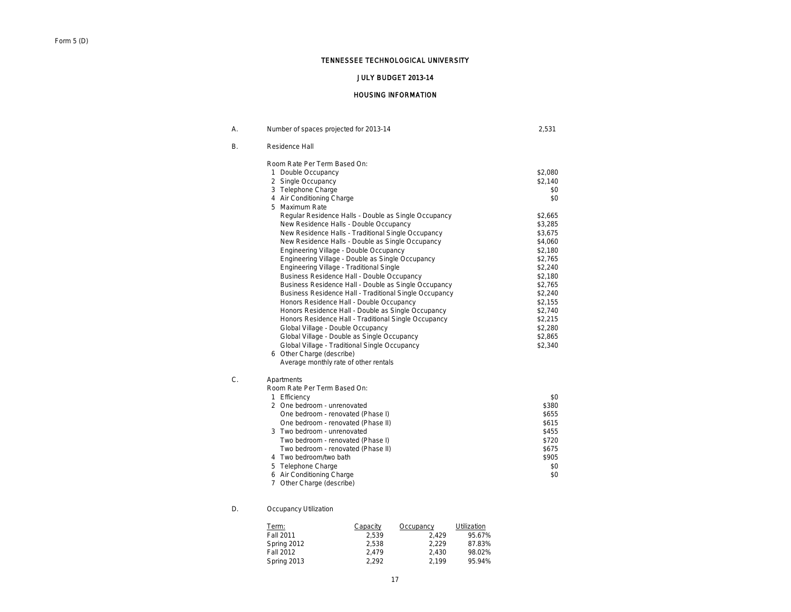#### JULY BUDGET 2013-14

#### HOUSING INFORMATION

| А.      | Number of spaces projected for 2013-14                                                                                                                                                                                                                                                                                                                                                                                                                                                                                                                                                                                                                                                                                                                                                                                                                                                                                                                                                                                                                 | 2,531                                                                                                                                                                                                            |
|---------|--------------------------------------------------------------------------------------------------------------------------------------------------------------------------------------------------------------------------------------------------------------------------------------------------------------------------------------------------------------------------------------------------------------------------------------------------------------------------------------------------------------------------------------------------------------------------------------------------------------------------------------------------------------------------------------------------------------------------------------------------------------------------------------------------------------------------------------------------------------------------------------------------------------------------------------------------------------------------------------------------------------------------------------------------------|------------------------------------------------------------------------------------------------------------------------------------------------------------------------------------------------------------------|
| В.      | Residence Hall                                                                                                                                                                                                                                                                                                                                                                                                                                                                                                                                                                                                                                                                                                                                                                                                                                                                                                                                                                                                                                         |                                                                                                                                                                                                                  |
|         | Room Rate Per Term Based On:<br>1 Double Occupancy<br>2 Single Occupancy<br>3 Telephone Charge<br>4 Air Conditioning Charge<br>5 Maximum Rate<br>Regular Residence Halls - Double as Single Occupancy<br>New Residence Halls - Double Occupancy<br>New Residence Halls - Traditional Single Occupancy<br>New Residence Halls - Double as Single Occupancy<br>Engineering Village - Double Occupancy<br>Engineering Village - Double as Single Occupancy<br>Engineering Village - Traditional Single<br><b>Business Residence Hall - Double Occupancy</b><br>Business Residence Hall - Double as Single Occupancy<br><b>Business Residence Hall - Traditional Single Occupancy</b><br>Honors Residence Hall - Double Occupancy<br>Honors Residence Hall - Double as Single Occupancy<br>Honors Residence Hall - Traditional Single Occupancy<br>Global Village - Double Occupancy<br>Global Village - Double as Single Occupancy<br>Global Village - Traditional Single Occupancy<br>6 Other Charge (describe)<br>Average monthly rate of other rentals | \$2,080<br>\$2,140<br>\$0<br>\$0<br>\$2,665<br>\$3,285<br>\$3,675<br>\$4,060<br>\$2,180<br>\$2,765<br>\$2,240<br>\$2,180<br>\$2,765<br>\$2,240<br>\$2,155<br>\$2,740<br>\$2,215<br>\$2,280<br>\$2,865<br>\$2,340 |
| $C_{1}$ | Apartments<br>Room Rate Per Term Based On:<br>1 Efficiency<br>2 One bedroom - unrenovated<br>One bedroom - renovated (Phase I)<br>One bedroom - renovated (Phase II)<br>3 Two bedroom - unrenovated<br>Two bedroom - renovated (Phase I)<br>Two bedroom - renovated (Phase II)<br>4 Two bedroom/two bath<br>5 Telephone Charge<br>6 Air Conditioning Charge<br>7 Other Charge (describe)                                                                                                                                                                                                                                                                                                                                                                                                                                                                                                                                                                                                                                                               | \$0<br>\$380<br>\$655<br>\$615<br>\$455<br>\$720<br>\$675<br>\$905<br>\$0<br>\$0                                                                                                                                 |

## D. **Occupancy Utilization**

| Term:       | Capacity | Occupancy | Utilization |
|-------------|----------|-----------|-------------|
| Fall 2011   | 2.539    | 2.429     | 95.67%      |
| Spring 2012 | 2.538    | 2.229     | 87.83%      |
| Fall 2012   | 2.479    | 2.430     | 98.02%      |
| Spring 2013 | 2.292    | 2.199     | 95.94%      |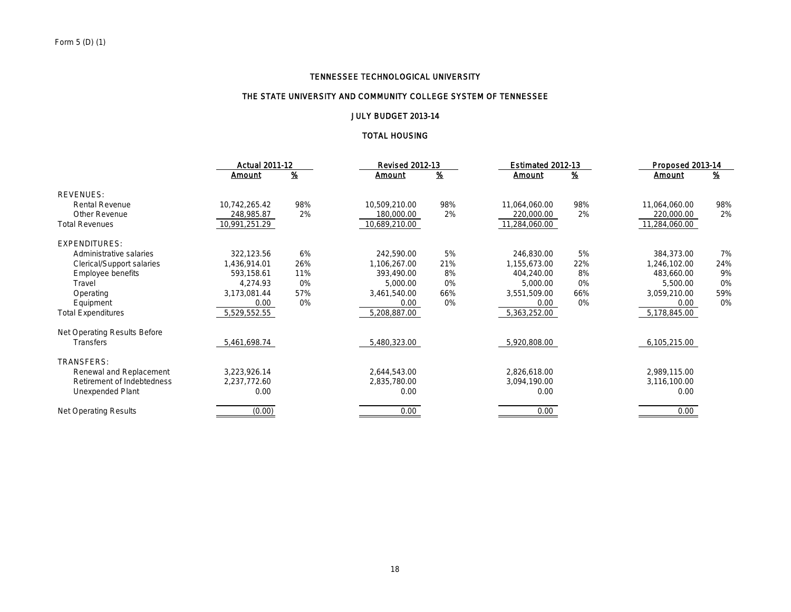## THE STATE UNIVERSITY AND COMMUNITY COLLEGE SYSTEM OF TENNESSEE

## JULY BUDGET 2013-14

#### TOTAL HOUSING

|                              | <b>Actual 2011-12</b> |                  | <b>Revised 2012-13</b> |                  | Estimated 2012-13 |                  | Proposed 2013-14 |          |
|------------------------------|-----------------------|------------------|------------------------|------------------|-------------------|------------------|------------------|----------|
|                              | Amount                | $\underline{\%}$ | Amount                 | $\underline{\%}$ | Amount            | $\underline{\%}$ | <b>Amount</b>    | <u>%</u> |
| <b>REVENUES:</b>             |                       |                  |                        |                  |                   |                  |                  |          |
| <b>Rental Revenue</b>        | 10,742,265.42         | 98%              | 10,509,210.00          | 98%              | 11,064,060.00     | 98%              | 11,064,060.00    | 98%      |
| <b>Other Revenue</b>         | 248,985.87            | 2%               | 180,000.00             | 2%               | 220,000.00        | 2%               | 220,000.00       | 2%       |
| <b>Total Revenues</b>        | 10,991,251.29         |                  | 10,689,210.00          |                  | 11,284,060.00     |                  | 11,284,060.00    |          |
| <b>EXPENDITURES:</b>         |                       |                  |                        |                  |                   |                  |                  |          |
| Administrative salaries      | 322,123.56            | 6%               | 242,590.00             | 5%               | 246,830.00        | 5%               | 384,373.00       | 7%       |
| Clerical/Support salaries    | 1,436,914.01          | 26%              | 1,106,267.00           | 21%              | 1,155,673.00      | 22%              | 1,246,102.00     | 24%      |
| Employee benefits            | 593,158.61            | 11%              | 393,490.00             | 8%               | 404,240.00        | 8%               | 483,660.00       | 9%       |
| Travel                       | 4.274.93              | 0%               | 5,000.00               | 0%               | 5,000.00          | 0%               | 5,500.00         | 0%       |
| Operating                    | 3,173,081.44          | 57%              | 3,461,540.00           | 66%              | 3,551,509.00      | 66%              | 3,059,210.00     | 59%      |
| Equipment                    | 0.00                  | 0%               | 0.00                   | 0%               | 0.00              | 0%               | 0.00             | 0%       |
| <b>Total Expenditures</b>    | 5,529,552.55          |                  | 5,208,887.00           |                  | 5,363,252.00      |                  | 5,178,845.00     |          |
| Net Operating Results Before |                       |                  |                        |                  |                   |                  |                  |          |
| <b>Transfers</b>             | 5,461,698.74          |                  | 5,480,323.00           |                  | 5,920,808.00      |                  | 6,105,215.00     |          |
| <b>TRANSFERS:</b>            |                       |                  |                        |                  |                   |                  |                  |          |
| Renewal and Replacement      | 3,223,926.14          |                  | 2,644,543.00           |                  | 2,826,618.00      |                  | 2,989,115.00     |          |
| Retirement of Indebtedness   | 2,237,772.60          |                  | 2,835,780.00           |                  | 3,094,190.00      |                  | 3,116,100.00     |          |
| Unexpended Plant             | 0.00                  |                  | 0.00                   |                  | 0.00              |                  | 0.00             |          |
| <b>Net Operating Results</b> | (0.00)                |                  | 0.00                   |                  | 0.00              |                  | 0.00             |          |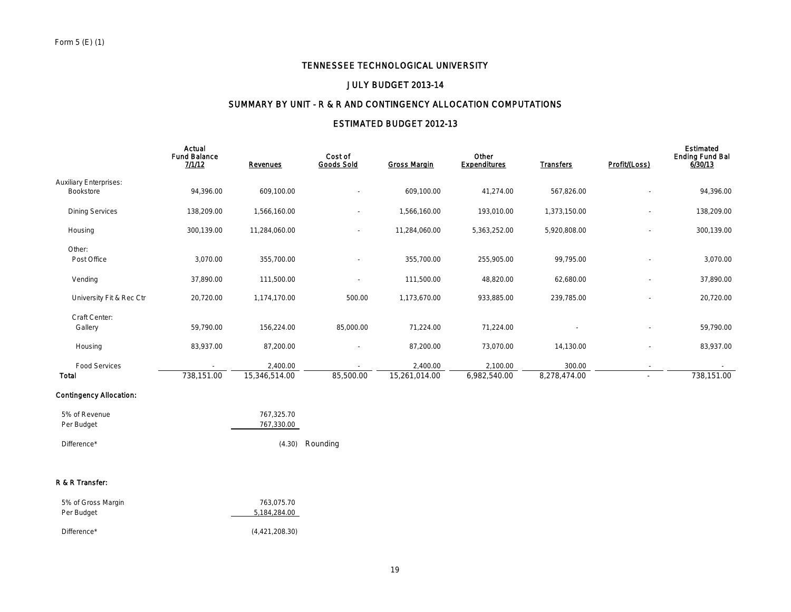#### JULY BUDGET 2013-14

## SUMMARY BY UNIT - R & R AND CONTINGENCY ALLOCATION COMPUTATIONS

## ESTIMATED BUDGET 2012-13

|                                            | Actual<br><b>Fund Balance</b><br>7/1/12 | <b>Revenues</b>           | Cost of<br><b>Goods Sold</b> | <b>Gross Margin</b>       | Other<br><b>Expenditures</b> | <b>Transfers</b>       | Profit/(Loss)            | <b>Estimated</b><br><b>Ending Fund Bal</b><br>6/30/13 |
|--------------------------------------------|-----------------------------------------|---------------------------|------------------------------|---------------------------|------------------------------|------------------------|--------------------------|-------------------------------------------------------|
| <b>Auxiliary Enterprises:</b><br>Bookstore | 94,396.00                               | 609,100.00                |                              | 609,100.00                | 41,274.00                    | 567,826.00             |                          | 94,396.00                                             |
| <b>Dining Services</b>                     | 138,209.00                              | 1,566,160.00              | $\sim$                       | 1,566,160.00              | 193,010.00                   | 1,373,150.00           | $\overline{\phantom{a}}$ | 138,209.00                                            |
| Housing                                    | 300,139.00                              | 11,284,060.00             | $\overline{\phantom{a}}$     | 11,284,060.00             | 5,363,252.00                 | 5,920,808.00           | $\overline{\phantom{a}}$ | 300,139.00                                            |
| Other:<br>Post Office                      | 3,070.00                                | 355,700.00                |                              | 355,700.00                | 255,905.00                   | 99,795.00              |                          | 3,070.00                                              |
| Vending                                    | 37,890.00                               | 111,500.00                |                              | 111,500.00                | 48,820.00                    | 62,680.00              |                          | 37,890.00                                             |
| University Fit & Rec Ctr                   | 20,720.00                               | 1,174,170.00              | 500.00                       | 1,173,670.00              | 933,885.00                   | 239,785.00             |                          | 20,720.00                                             |
| Craft Center:<br>Gallery<br>Housing        | 59,790.00<br>83,937.00                  | 156,224.00<br>87,200.00   | 85,000.00                    | 71,224.00<br>87,200.00    | 71,224.00<br>73,070.00       | 14,130.00              |                          | 59,790.00<br>83,937.00                                |
| <b>Food Services</b><br><b>Total</b>       | $\sim$<br>738,151.00                    | 2,400.00<br>15,346,514.00 | $\sim$<br>85,500.00          | 2,400.00<br>15,261,014.00 | 2,100.00<br>6,982,540.00     | 300.00<br>8,278,474.00 | $\overline{\phantom{a}}$ | 738,151.00                                            |
| <b>Contingency Allocation:</b>             |                                         |                           |                              |                           |                              |                        |                          |                                                       |
| 5% of Revenue<br>Per Budget                |                                         | 767,325.70<br>767,330.00  |                              |                           |                              |                        |                          |                                                       |
| Difference*                                |                                         | (4.30)                    | Rounding                     |                           |                              |                        |                          |                                                       |

## R & R Transfer:

| 5% of Gross Margin | 763.075.70     |
|--------------------|----------------|
| Per Budget         | 5.184.284.00   |
| Difference*        | (4,421,208.30) |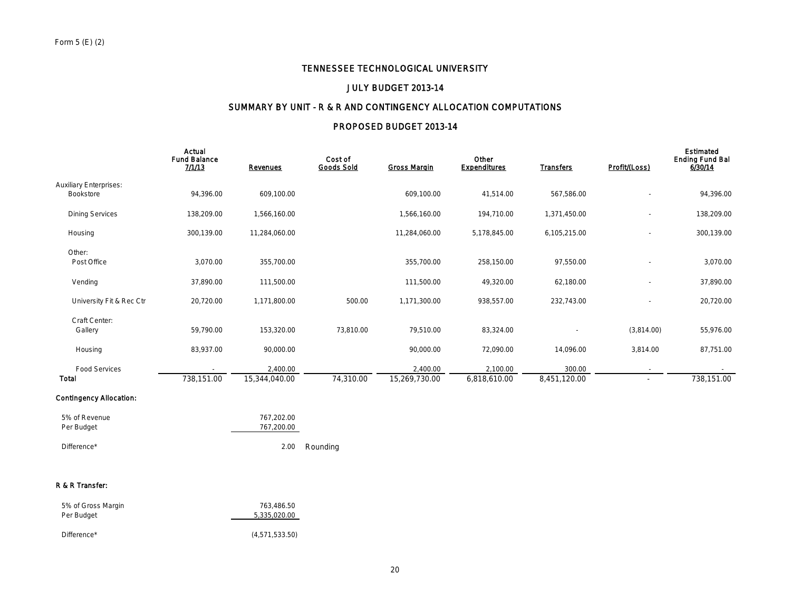## JULY BUDGET 2013-14

## SUMMARY BY UNIT - R & R AND CONTINGENCY ALLOCATION COMPUTATIONS

## PROPOSED BUDGET 2013-14

|                                | Actual<br><b>Fund Balance</b><br>7/1/13 | Revenues      | Cost of<br><b>Goods Sold</b> | <b>Gross Margin</b> | Other<br><b>Expenditures</b> | <b>Transfers</b> | Profit/(Loss) | <b>Estimated</b><br><b>Ending Fund Bal</b><br>6/30/14 |
|--------------------------------|-----------------------------------------|---------------|------------------------------|---------------------|------------------------------|------------------|---------------|-------------------------------------------------------|
| <b>Auxiliary Enterprises:</b>  |                                         |               |                              |                     |                              |                  |               |                                                       |
| Bookstore                      | 94,396.00                               | 609,100.00    |                              | 609,100.00          | 41,514.00                    | 567,586.00       |               | 94,396.00                                             |
| <b>Dining Services</b>         | 138,209.00                              | 1,566,160.00  |                              | 1,566,160.00        | 194,710.00                   | 1,371,450.00     |               | 138,209.00                                            |
| Housing                        | 300,139.00                              | 11,284,060.00 |                              | 11,284,060.00       | 5,178,845.00                 | 6,105,215.00     |               | 300,139.00                                            |
| Other:                         |                                         |               |                              |                     |                              |                  |               |                                                       |
| Post Office                    | 3,070.00                                | 355,700.00    |                              | 355,700.00          | 258,150.00                   | 97,550.00        |               | 3,070.00                                              |
| Vending                        | 37,890.00                               | 111,500.00    |                              | 111,500.00          | 49,320.00                    | 62,180.00        |               | 37,890.00                                             |
| University Fit & Rec Ctr       | 20,720.00                               | 1,171,800.00  | 500.00                       | 1,171,300.00        | 938,557.00                   | 232,743.00       |               | 20,720.00                                             |
| Craft Center:                  |                                         |               |                              |                     |                              |                  |               |                                                       |
| Gallery                        | 59,790.00                               | 153,320.00    | 73,810.00                    | 79,510.00           | 83,324.00                    |                  | (3,814.00)    | 55,976.00                                             |
| Housing                        | 83,937.00                               | 90,000.00     |                              | 90,000.00           | 72,090.00                    | 14,096.00        | 3,814.00      | 87,751.00                                             |
| <b>Food Services</b>           |                                         | 2,400.00      |                              | 2,400.00            | 2,100.00                     | 300.00           |               |                                                       |
| Total                          | 738,151.00                              | 15,344,040.00 | 74,310.00                    | 15,269,730.00       | 6,818,610.00                 | 8,451,120.00     |               | 738,151.00                                            |
| <b>Contingency Allocation:</b> |                                         |               |                              |                     |                              |                  |               |                                                       |
| 5% of Revenue                  |                                         | 767,202.00    |                              |                     |                              |                  |               |                                                       |
| Per Budget                     |                                         | 767,200.00    |                              |                     |                              |                  |               |                                                       |
| Difference*                    |                                         | 2.00          | Rounding                     |                     |                              |                  |               |                                                       |
|                                |                                         |               |                              |                     |                              |                  |               |                                                       |

## R & R Transfer:

| 5% of Gross Margin | 763.486.50     |
|--------------------|----------------|
| Per Budget         | 5.335.020.00   |
| Difference*        | (4,571,533.50) |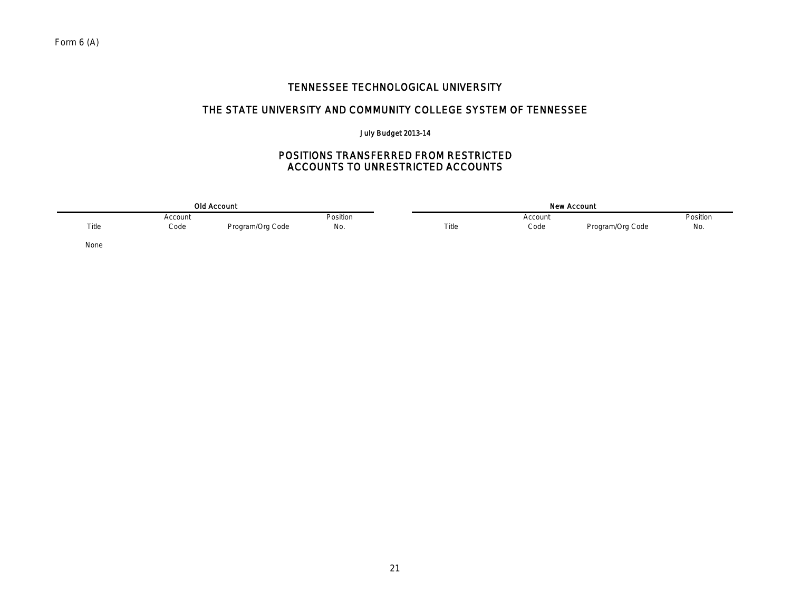## THE STATE UNIVERSITY AND COMMUNITY COLLEGE SYSTEM OF TENNESSEE

## July Budget 2013-14

## POSITIONS TRANSFERRED FROM RESTRICTED ACCOUNTS TO UNRESTRICTED ACCOUNTS

|       | <b>Old Account</b> |                  |          |  |       | <b>New Account</b> |                  |          |  |  |
|-------|--------------------|------------------|----------|--|-------|--------------------|------------------|----------|--|--|
|       | Account            |                  | Position |  |       | Account            |                  | Position |  |  |
| Title | Code               | Program/Org Code | No.      |  | Title | Code               | Program/Org Code | No.      |  |  |
| None  |                    |                  |          |  |       |                    |                  |          |  |  |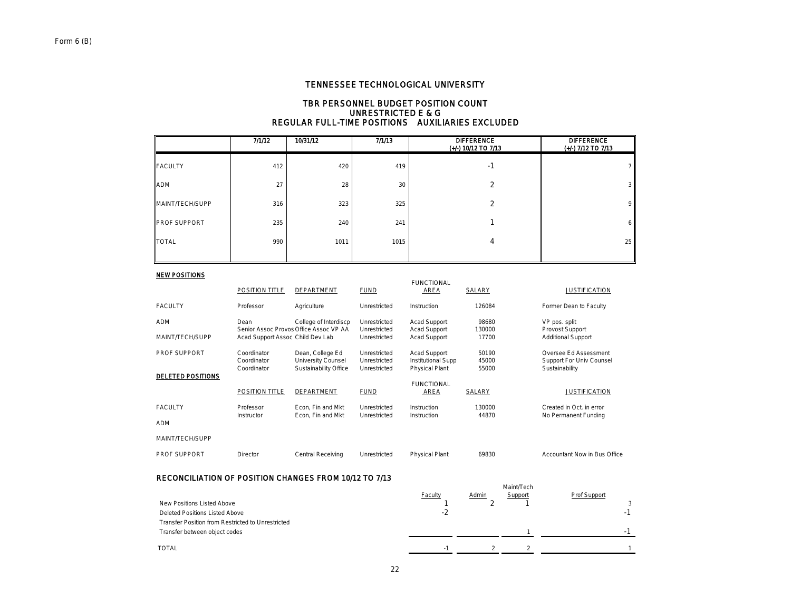#### TBR PERSONNEL BUDGET POSITION COUNT UNRESTRICTED E & G REGULAR FULL-TIME POSITIONS AUXILIARIES EXCLUDED

|                     | 7/1/12 | 10/31/12 | $\frac{7}{11113}$ | <b>DIFFERENCE</b><br>(+/-) 10/12 TO 7/13 | <b>DIFFERENCE</b><br>(+/-) 7/12 TO 7/13 |
|---------------------|--------|----------|-------------------|------------------------------------------|-----------------------------------------|
| <b>FACULTY</b>      | 412    | 420      | 419               | $\sim$ 1                                 |                                         |
| <b>ADM</b>          | 27     | 28       | 30                |                                          | 3                                       |
| MAINT/TECH/SUPP     | 316    | 323      | 325               |                                          | Q                                       |
| <b>PROF SUPPORT</b> | 235    | 240      | 241               |                                          | 6                                       |
| <b>TOTAL</b>        | 990    | 1011     | 1015              | 4                                        | 25                                      |
|                     |        |          |                   |                                          |                                         |

#### NEW POSITIONS

| - - - - - - - - - - -    |                                  |                                                    |                              | <b>FUNCTIONAL</b>                           |                 |                                              |
|--------------------------|----------------------------------|----------------------------------------------------|------------------------------|---------------------------------------------|-----------------|----------------------------------------------|
|                          | POSITION TITLE                   | DEPARTMENT                                         | <b>FUND</b>                  | AREA                                        | SALARY          | JUSTIFICATION                                |
| <b>FACULTY</b>           | Professor                        | Agriculture                                        | Unrestricted                 | Instruction                                 | 126084          | Former Dean to Faculty                       |
| <b>ADM</b>               | Dean                             | College of Interdiscp                              | Unrestricted                 | <b>Acad Support</b>                         | 98680           | VP pos. split                                |
| MAINT/TECH/SUPP          | Acad Support Assoc Child Dev Lab | Senior Assoc Provos Office Assoc VP AA             | Unrestricted<br>Unrestricted | <b>Acad Support</b><br>Acad Support         | 130000<br>17700 | Provost Support<br><b>Additional Support</b> |
| <b>PROF SUPPORT</b>      | Coordinator                      | Dean, College Ed                                   | Unrestricted                 | <b>Acad Support</b>                         | 50190           | Oversee Ed Assessment                        |
|                          | Coordinator<br>Coordinator       | University Counsel<br><b>Sustainability Office</b> | Unrestricted<br>Unrestricted | Institutional Supp<br><b>Physical Plant</b> | 45000<br>55000  | Support For Univ Counsel<br>Sustainability   |
| <b>DELETED POSITIONS</b> |                                  |                                                    |                              | <b>FUNCTIONAL</b>                           |                 |                                              |
|                          | POSITION TITLE                   | DEPARTMENT                                         | <b>FUND</b>                  | AREA                                        | SALARY          | <b>JUSTIFICATION</b>                         |
| <b>FACULTY</b>           | Professor                        | Econ. Fin and Mkt                                  | Unrestricted                 | Instruction                                 | 130000          | Created in Oct. in error                     |
| <b>ADM</b>               | Instructor                       | Econ, Fin and Mkt                                  | Unrestricted                 | Instruction                                 | 44870           | No Permanent Funding                         |
| MAINT/TECH/SUPP          |                                  |                                                    |                              |                                             |                 |                                              |
| <b>PROF SUPPORT</b>      | <b>Director</b>                  | Central Receiving                                  | Unrestricted                 | <b>Physical Plant</b>                       | 69830           | <b>Accountant Now in Bus Office</b>          |

#### RECONCILIATION OF POSITION CHANGES FROM 10/12 TO 7/13

|                                                   | Maint/Tech |       |         |                     |  |
|---------------------------------------------------|------------|-------|---------|---------------------|--|
|                                                   | Faculty    | Admin | Support | <b>Prof Support</b> |  |
| New Positions Listed Above                        |            |       |         |                     |  |
| Deleted Positions Listed Above                    | -2         |       |         |                     |  |
| Transfer Position from Restricted to Unrestricted |            |       |         |                     |  |
| Transfer between object codes                     |            |       |         |                     |  |
| <b>TOTAL</b>                                      |            |       |         |                     |  |
|                                                   | $\sim$     |       |         |                     |  |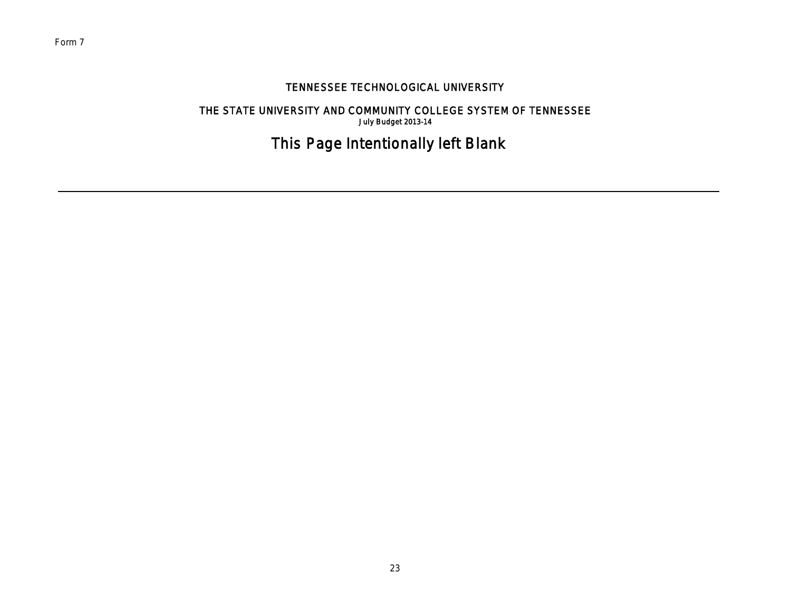THE STATE UNIVERSITY AND COMMUNITY COLLEGE SYSTEM OF TENNESSEE July Budget 2013-14

## This Page Intentionally left Blank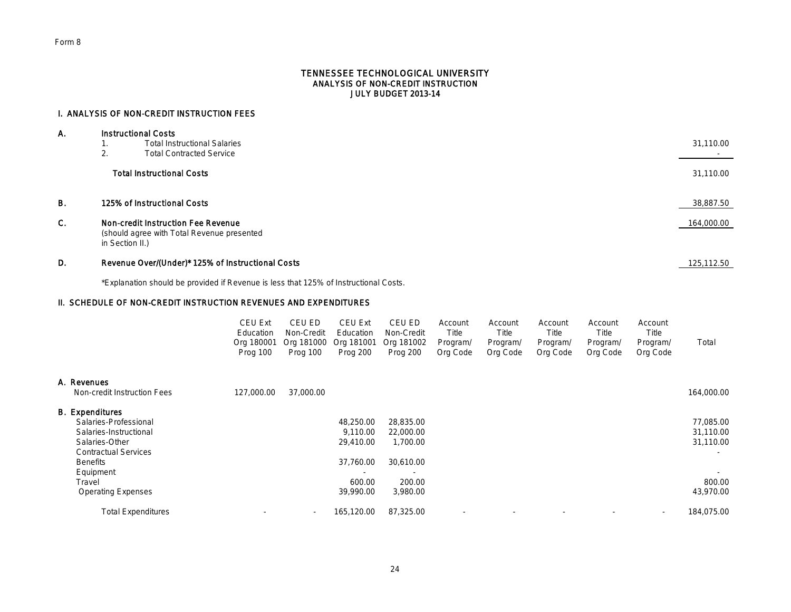Form 8

#### TENNESSEE TECHNOLOGICAL UNIVERSITY ANALYSIS OF NON-CREDIT INSTRUCTION JULY BUDGET 2013-14

#### I. ANALYSIS OF NON-CREDIT INSTRUCTION FEES

| Α.          |                 | <b>Instructional Costs</b>                        |            |  |  |  |  |  |  |
|-------------|-----------------|---------------------------------------------------|------------|--|--|--|--|--|--|
|             | . .             | <b>Total Instructional Salaries</b>               | 31,110.00  |  |  |  |  |  |  |
|             | 2.              | <b>Total Contracted Service</b>                   |            |  |  |  |  |  |  |
|             |                 | <b>Total Instructional Costs</b>                  | 31,110.00  |  |  |  |  |  |  |
| В.          |                 | 125% of Instructional Costs                       | 38,887.50  |  |  |  |  |  |  |
| $C_{\cdot}$ |                 | <b>Non-credit Instruction Fee Revenue</b>         | 164,000.00 |  |  |  |  |  |  |
|             |                 | (should agree with Total Revenue presented        |            |  |  |  |  |  |  |
|             | in Section II.) |                                                   |            |  |  |  |  |  |  |
| D.          |                 | Revenue Over/(Under)* 125% of Instructional Costs | 125,112.50 |  |  |  |  |  |  |

\*Explanation should be provided if Revenue is less that 125% of Instructional Costs.

## II. SCHEDULE OF NON-CREDIT INSTRUCTION REVENUES AND EXPENDITURES

|                             | <b>CEU Ext</b><br>Education<br>Org 180001<br>Prog 100 | CEU ED<br>Non-Credit<br>Org 181000<br>Prog 100 | <b>CEU Ext</b><br>Education<br>Org 181001<br>Prog 200 | CEU ED<br>Non-Credit<br>Org 181002<br>Prog 200 | Account<br>Title<br>Program/<br>Org Code | Account<br>Title<br>Program/<br>Org Code | Account<br>Title<br>Program/<br>Org Code | Account<br>Title<br>Program/<br>Org Code | Account<br>Title<br>Program/<br>Org Code | Total      |
|-----------------------------|-------------------------------------------------------|------------------------------------------------|-------------------------------------------------------|------------------------------------------------|------------------------------------------|------------------------------------------|------------------------------------------|------------------------------------------|------------------------------------------|------------|
| A. Revenues                 |                                                       |                                                |                                                       |                                                |                                          |                                          |                                          |                                          |                                          |            |
| Non-credit Instruction Fees | 127,000.00                                            | 37,000.00                                      |                                                       |                                                |                                          |                                          |                                          |                                          |                                          | 164,000.00 |
| <b>B.</b> Expenditures      |                                                       |                                                |                                                       |                                                |                                          |                                          |                                          |                                          |                                          |            |
| Salaries-Professional       |                                                       |                                                | 48,250.00                                             | 28,835.00                                      |                                          |                                          |                                          |                                          |                                          | 77,085.00  |
| Salaries-Instructional      |                                                       |                                                | 9,110.00                                              | 22,000.00                                      |                                          |                                          |                                          |                                          |                                          | 31,110.00  |
| Salaries-Other              |                                                       |                                                | 29,410.00                                             | 1,700.00                                       |                                          |                                          |                                          |                                          |                                          | 31,110.00  |
| <b>Contractual Services</b> |                                                       |                                                |                                                       |                                                |                                          |                                          |                                          |                                          |                                          |            |
| <b>Benefits</b>             |                                                       |                                                | 37,760.00                                             | 30,610.00                                      |                                          |                                          |                                          |                                          |                                          |            |
| Equipment                   |                                                       |                                                |                                                       | $\overline{\phantom{a}}$                       |                                          |                                          |                                          |                                          |                                          | $\sim$     |
| Travel                      |                                                       |                                                | 600.00                                                | 200.00                                         |                                          |                                          |                                          |                                          |                                          | 800.00     |
| <b>Operating Expenses</b>   |                                                       |                                                | 39,990.00                                             | 3,980.00                                       |                                          |                                          |                                          |                                          |                                          | 43,970.00  |
| <b>Total Expenditures</b>   |                                                       | $\overline{\phantom{a}}$                       | 165,120.00                                            | 87,325.00                                      | $\overline{\phantom{a}}$                 |                                          | $\overline{\phantom{a}}$                 |                                          | $\overline{\phantom{a}}$                 | 184,075.00 |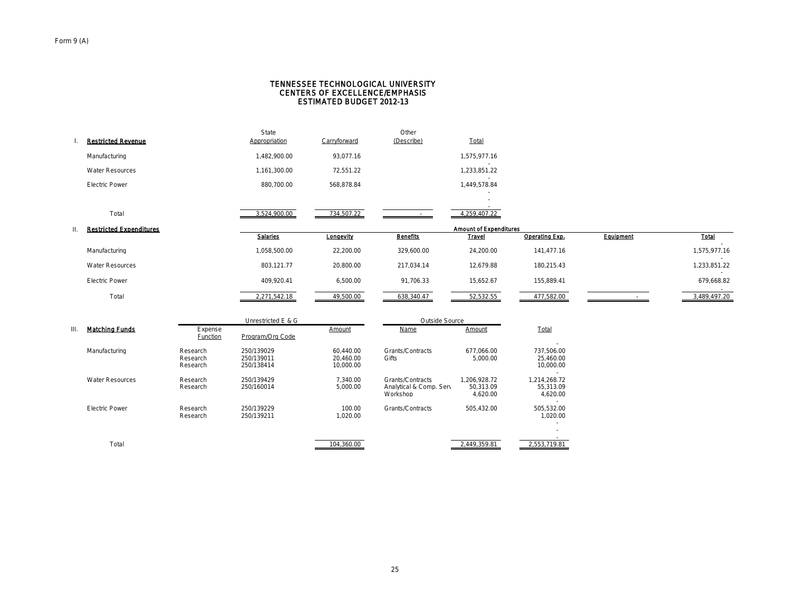#### CENTERS OF EXCELLENCE/EMPHASIS TENNESSEE TECHNOLOGICAL UNIVERSITY ESTIMATED BUDGET 2012-13

|     | <b>Restricted Revenue</b>      | State<br>Appropriation | Carryforward | Other<br>(Describe) | Total                         |                |           |                             |
|-----|--------------------------------|------------------------|--------------|---------------------|-------------------------------|----------------|-----------|-----------------------------|
|     | Manufacturing                  | 1,482,900.00           | 93,077.16    |                     | 1,575,977.16                  |                |           |                             |
|     | <b>Water Resources</b>         | 1,161,300.00           | 72,551.22    |                     | 1,233,851.22                  |                |           |                             |
|     | <b>Electric Power</b>          | 880,700.00             | 568,878.84   |                     | 1,449,578.84                  |                |           |                             |
|     |                                |                        |              |                     | $\sim$                        |                |           |                             |
|     | Total                          | 3,524,900.00           | 734,507.22   |                     | 4,259,407.22                  |                |           |                             |
|     |                                |                        |              |                     |                               |                |           |                             |
| ΙΙ. | <b>Restricted Expenditures</b> |                        |              |                     | <b>Amount of Expenditures</b> |                |           |                             |
|     |                                | <b>Salaries</b>        | Longevity    | <b>Benefits</b>     | <b>Iravel</b>                 | Operating Exp. | Equipment | <b>Total</b>                |
|     | Manufacturing                  | 1,058,500.00           | 22,200.00    | 329,600.00          | 24,200.00                     | 141,477.16     |           | 1,575,977.16                |
|     | <b>Water Resources</b>         | 803,121.77             | 20,800.00    | 217,034.14          | 12,679.88                     | 180,215.43     |           | 1,233,851.22                |
|     | Electric Power                 | 409,920.41             | 6,500.00     | 91,706.33           | 15,652.67                     | 155,889.41     |           | 679,668.82<br>$\sim$ $\sim$ |

|      |                        | Unrestricted E & G               |                                        |                                     | Outside Source                                          |                                       |                                                                  |  |
|------|------------------------|----------------------------------|----------------------------------------|-------------------------------------|---------------------------------------------------------|---------------------------------------|------------------------------------------------------------------|--|
| III. | <b>Matching Funds</b>  | Expense<br><b>Function</b>       | Program/Org Code                       | Amount                              | Name                                                    | Amount                                | Total                                                            |  |
|      | Manufacturing          | Research<br>Research<br>Research | 250/139029<br>250/139011<br>250/138414 | 60.440.00<br>20.460.00<br>10.000.00 | Grants/Contracts<br>Gifts                               | 677.066.00<br>5.000.00                | $\overline{\phantom{a}}$<br>737.506.00<br>25.460.00<br>10.000.00 |  |
|      | <b>Water Resources</b> | Research<br>Research             | 250/139429<br>250/160014               | 7.340.00<br>5.000.00                | Grants/Contracts<br>Analytical & Comp. Serv<br>Workshop | 1.206.928.72<br>50.313.09<br>4.620.00 | 1,214,268.72<br>55.313.09<br>4.620.00                            |  |
|      | <b>Electric Power</b>  | Research<br>Research             | 250/139229<br>250/139211               | 100.00<br>1,020.00                  | Grants/Contracts                                        | 505,432.00                            | 505,532.00<br>1,020.00<br>$\sim$                                 |  |
|      | Total                  |                                  |                                        | 104,360.00                          |                                                         | 2,449,359.81                          | $\sim$<br>2,553,719.81                                           |  |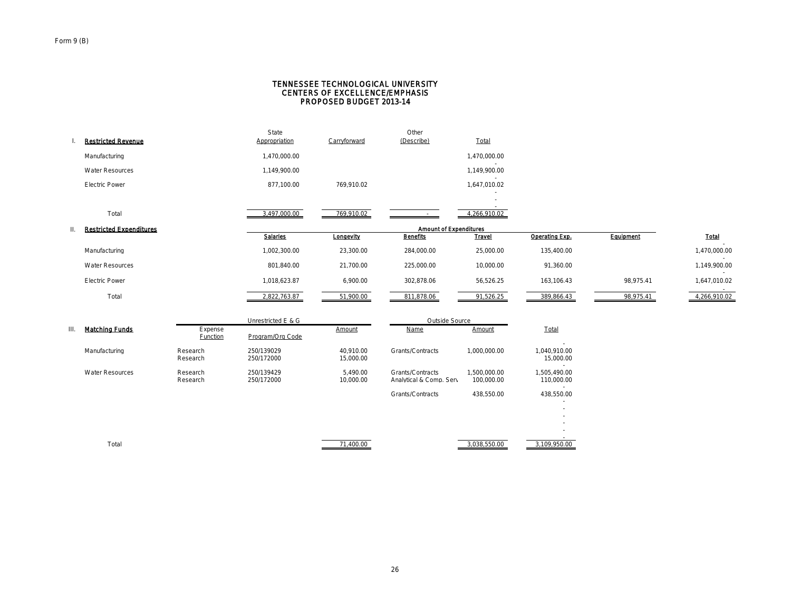#### CENTERS OF EXCELLENCE/EMPHASIS TENNESSEE TECHNOLOGICAL UNIVERSITY PROPOSED BUDGET 2013-14

| <b>Restricted Revenue</b> | State<br>Appropriation | Carryforward | Other<br>(Describe) | Total        |
|---------------------------|------------------------|--------------|---------------------|--------------|
| Manufacturing             | 1.470.000.00           |              |                     | 1.470.000.00 |
| <b>Water Resources</b>    | 1,149,900.00           |              |                     | 1,149,900.00 |
| <b>Electric Power</b>     | 877.100.00             | 769.910.02   |                     | 1.647.010.02 |
|                           |                        |              |                     |              |
| Total                     | 3,497,000.00           | 769,910.02   |                     | 4,266,910.02 |

| <b>Restricted Expenditures</b> | <b>Amount of Expenditures</b> |           |                 |               |                |           |              |  |
|--------------------------------|-------------------------------|-----------|-----------------|---------------|----------------|-----------|--------------|--|
|                                | <b>Salaries</b>               | Longevity | <b>Benefits</b> | <b>Travel</b> | Operating Exp. | Equipment | <b>Total</b> |  |
| Manufacturing                  | 1.002.300.00                  | 23,300.00 | 284,000.00      | 25,000.00     | 135.400.00     |           | 470,000.00   |  |
| <b>Water Resources</b>         | 801,840.00                    | 21,700.00 | 225,000.00      | 10,000.00     | 91,360.00      |           | 1,149,900.00 |  |
| <b>Electric Power</b>          | 1.018.623.87                  | 6.900.00  | 302.878.06      | 56.526.25     | 163.106.43     | 98.975.41 | 1,647,010.02 |  |
| Total                          | 2,822,763.87                  | 51,900.00 | 811,878.06      | 91,526.25     | 389,866.43     | 98,975.41 | 4,266,910.02 |  |

|    |                        | Unrestricted E & G         |                          |                        | Outside Source                              |                           |                                                                                                                                                                                    |  |
|----|------------------------|----------------------------|--------------------------|------------------------|---------------------------------------------|---------------------------|------------------------------------------------------------------------------------------------------------------------------------------------------------------------------------|--|
| Ш. | <b>Matching Funds</b>  | Expense<br><b>Function</b> | Program/Org Code         | Amount                 | Name                                        | Amount                    | Total<br>$\sim$                                                                                                                                                                    |  |
|    | Manufacturing          | Research<br>Research       | 250/139029<br>250/172000 | 40.910.00<br>15,000.00 | Grants/Contracts                            | 1.000.000.00              | 1.040.910.00<br>15,000.00<br>٠.                                                                                                                                                    |  |
|    | <b>Water Resources</b> | Research<br>Research       | 250/139429<br>250/172000 | 5.490.00<br>10.000.00  | Grants/Contracts<br>Analytical & Comp. Serv | .500.000.00<br>100.000.00 | 1,505,490.00<br>110.000.00                                                                                                                                                         |  |
|    |                        |                            |                          |                        | Grants/Contracts                            | 438.550.00                | $\overline{\phantom{a}}$<br>438,550.00<br>$\overline{\phantom{a}}$<br>$\overline{\phantom{a}}$<br>$\overline{\phantom{a}}$<br>$\overline{\phantom{a}}$<br>$\overline{\phantom{a}}$ |  |
|    |                        |                            |                          |                        |                                             |                           |                                                                                                                                                                                    |  |

Total 71,400.00 3,038,550.00 3,109,950.00

3,109,950.00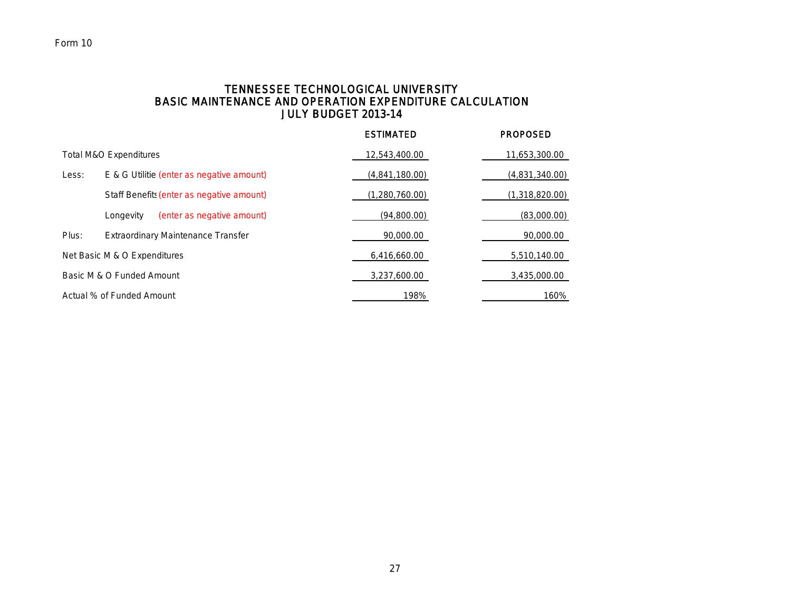## TENNESSEE TECHNOLOGICAL UNIVERSITY BASIC MAINTENANCE AND OPERATION EXPENDITURE CALCULATION JULY BUDGET 2013-14

|       |                                           | <b>ESTIMATED</b> | <b>PROPOSED</b> |
|-------|-------------------------------------------|------------------|-----------------|
|       | <b>Total M&amp;O Expenditures</b>         | 12,543,400.00    | 11,653,300.00   |
| Less: | E & G Utilitie (enter as negative amount) | (4,841,180.00)   | (4,831,340.00)  |
|       | Staff Benefits (enter as negative amount) | (1,280,760.00)   | (1,318,820.00)  |
|       | (enter as negative amount)<br>Longevity   | (94,800.00)      | (83,000.00)     |
| Plus: | <b>Extraordinary Maintenance Transfer</b> | 90,000.00        | 90,000.00       |
|       | Net Basic M & O Expenditures              | 6,416,660.00     | 5,510,140.00    |
|       | Basic M & O Funded Amount                 | 3,237,600.00     | 3,435,000.00    |
|       | Actual % of Funded Amount                 | 198%             | 160%            |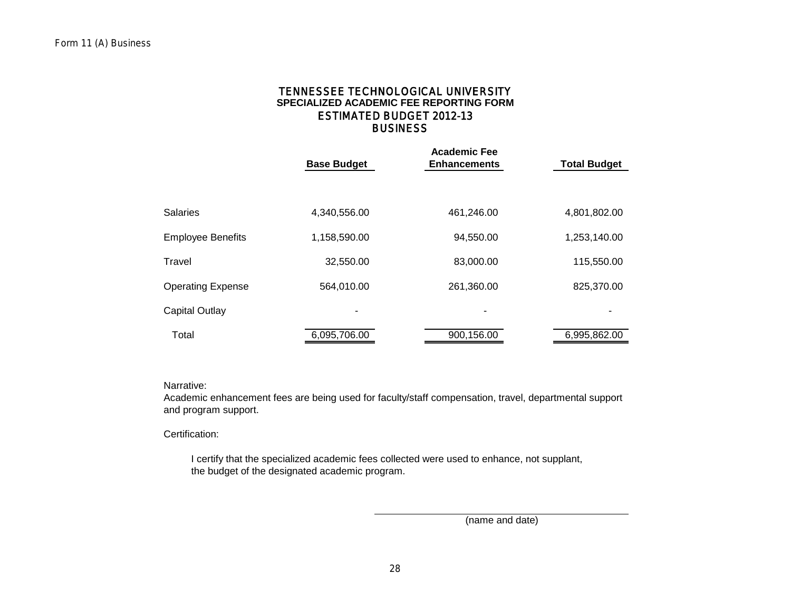## **BUSINESS SPECIALIZED ACADEMIC FEE REPORTING FORM** TENNESSEE TECHNOLOGICAL UNIVERSITY ESTIMATED BUDGET 2012-13

|                          | <b>Base Budget</b> | <b>Academic Fee</b><br><b>Enhancements</b> | <b>Total Budget</b> |
|--------------------------|--------------------|--------------------------------------------|---------------------|
| <b>Salaries</b>          | 4,340,556.00       | 461,246.00                                 | 4,801,802.00        |
| <b>Employee Benefits</b> | 1,158,590.00       | 94,550.00                                  | 1,253,140.00        |
| Travel                   | 32,550.00          | 83,000.00                                  | 115,550.00          |
| <b>Operating Expense</b> | 564,010.00         | 261,360.00                                 | 825,370.00          |
| Capital Outlay           |                    |                                            |                     |
| Total                    | 6,095,706.00       | 900,156.00                                 | 6,995,862.00        |

#### Narrative:

Academic enhancement fees are being used for faculty/staff compensation, travel, departmental support and program support.

## Certification:

 I certify that the specialized academic fees collected were used to enhance, not supplant, the budget of the designated academic program.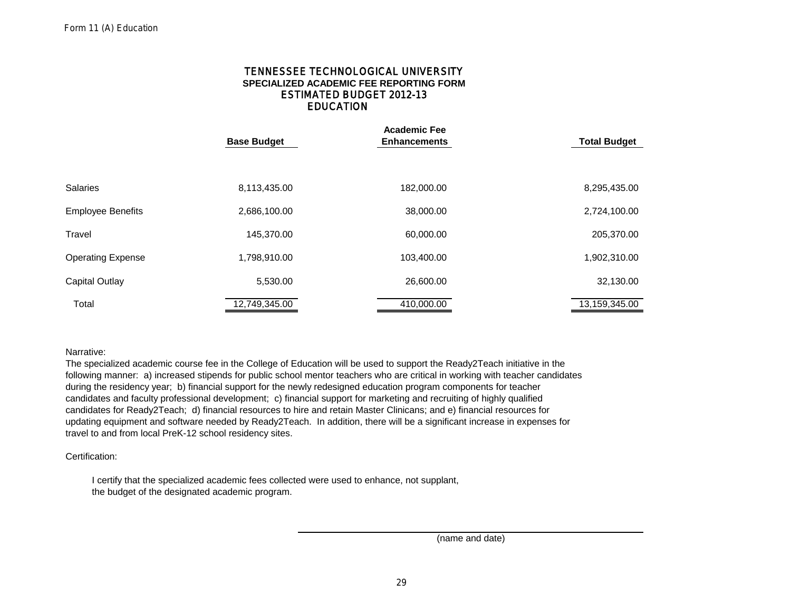## **EDUCATION** TENNESSEE TECHNOLOGICAL UNIVERSITY **SPECIALIZED ACADEMIC FEE REPORTING FORM** ESTIMATED BUDGET 2012-13

|                          |                    | <b>Academic Fee</b> |                     |  |  |  |
|--------------------------|--------------------|---------------------|---------------------|--|--|--|
|                          | <b>Base Budget</b> | <b>Enhancements</b> | <b>Total Budget</b> |  |  |  |
|                          |                    |                     |                     |  |  |  |
| <b>Salaries</b>          | 8,113,435.00       | 182,000.00          | 8,295,435.00        |  |  |  |
| <b>Employee Benefits</b> | 2,686,100.00       | 38,000.00           | 2,724,100.00        |  |  |  |
| Travel                   | 145,370.00         | 60,000.00           | 205,370.00          |  |  |  |
| <b>Operating Expense</b> | 1,798,910.00       | 103,400.00          | 1,902,310.00        |  |  |  |
| <b>Capital Outlay</b>    | 5,530.00           | 26,600.00           | 32,130.00           |  |  |  |
| Total                    | 12,749,345.00      | 410,000.00          | 13,159,345.00       |  |  |  |

## Narrative:

The specialized academic course fee in the College of Education will be used to support the Ready2Teach initiative in the following manner: a) increased stipends for public school mentor teachers who are critical in working with teacher candidates during the residency year; b) financial support for the newly redesigned education program components for teacher candidates and faculty professional development; c) financial support for marketing and recruiting of highly qualified candidates for Ready2Teach; d) financial resources to hire and retain Master Clinicans; and e) financial resources for updating equipment and software needed by Ready2Teach. In addition, there will be a significant increase in expenses for travel to and from local PreK-12 school residency sites.

## Certification:

 I certify that the specialized academic fees collected were used to enhance, not supplant, the budget of the designated academic program.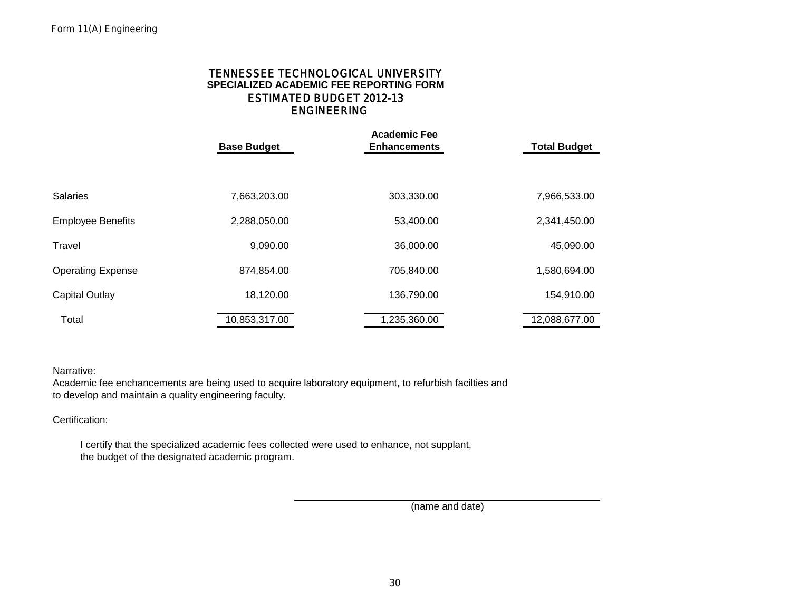## ENGINEERING TENNESSEE TECHNOLOGICAL UNIVERSITY **SPECIALIZED ACADEMIC FEE REPORTING FORM** ESTIMATED BUDGET 2012-13

|                          | <b>Base Budget</b> | <b>Academic Fee</b><br><b>Enhancements</b> | <b>Total Budget</b> |  |  |
|--------------------------|--------------------|--------------------------------------------|---------------------|--|--|
|                          |                    |                                            |                     |  |  |
| <b>Salaries</b>          | 7,663,203.00       | 303,330.00                                 | 7,966,533.00        |  |  |
| <b>Employee Benefits</b> | 2,288,050.00       | 53,400.00                                  | 2,341,450.00        |  |  |
| Travel                   | 9,090.00           | 36,000.00                                  | 45,090.00           |  |  |
| <b>Operating Expense</b> | 874,854.00         | 705,840.00                                 | 1,580,694.00        |  |  |
| <b>Capital Outlay</b>    | 18,120.00          | 136,790.00                                 | 154,910.00          |  |  |
| Total                    | 10,853,317.00      | $\sqrt{235,360.00}$                        | 12,088,677.00       |  |  |

Narrative:

Academic fee enchancements are being used to acquire laboratory equipment, to refurbish facilties and to develop and maintain a quality engineering faculty.

## Certification:

 I certify that the specialized academic fees collected were used to enhance, not supplant, the budget of the designated academic program.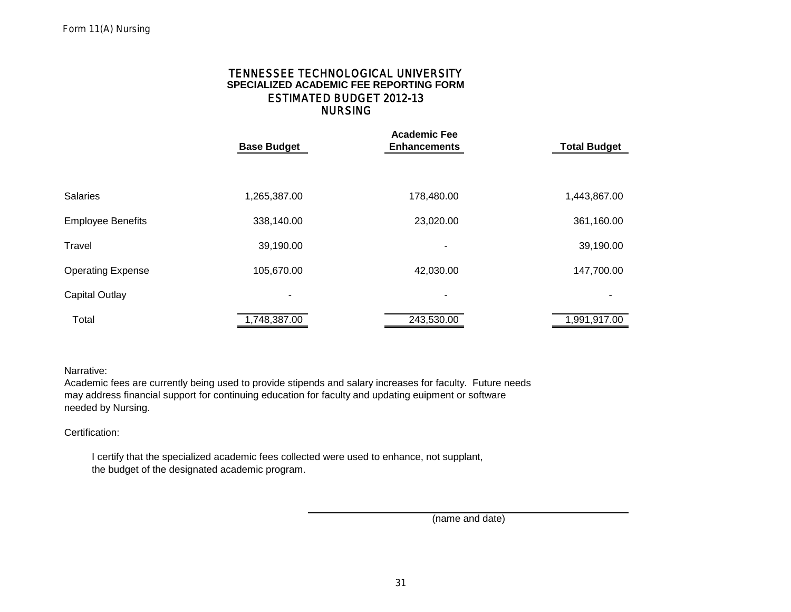## NURSING TENNESSEE TECHNOLOGICAL UNIVERSITY **SPECIALIZED ACADEMIC FEE REPORTING FORM** ESTIMATED BUDGET 2012-13

|                          | <b>Base Budget</b> | <b>Academic Fee</b><br><b>Enhancements</b> | <b>Total Budget</b> |  |  |
|--------------------------|--------------------|--------------------------------------------|---------------------|--|--|
|                          |                    |                                            |                     |  |  |
| <b>Salaries</b>          | 1,265,387.00       | 178,480.00                                 | 1,443,867.00        |  |  |
| <b>Employee Benefits</b> | 338,140.00         | 23,020.00                                  | 361,160.00          |  |  |
| Travel                   | 39,190.00          | ۰                                          | 39,190.00           |  |  |
| <b>Operating Expense</b> | 105,670.00         | 42,030.00                                  | 147,700.00          |  |  |
| Capital Outlay           |                    | ۰                                          |                     |  |  |
| Total                    | ,748,387.00        | 243,530.00                                 | 1,991,917.00        |  |  |

## Narrative:

Academic fees are currently being used to provide stipends and salary increases for faculty. Future needs may address financial support for continuing education for faculty and updating euipment or software needed by Nursing.

## Certification:

 I certify that the specialized academic fees collected were used to enhance, not supplant, the budget of the designated academic program.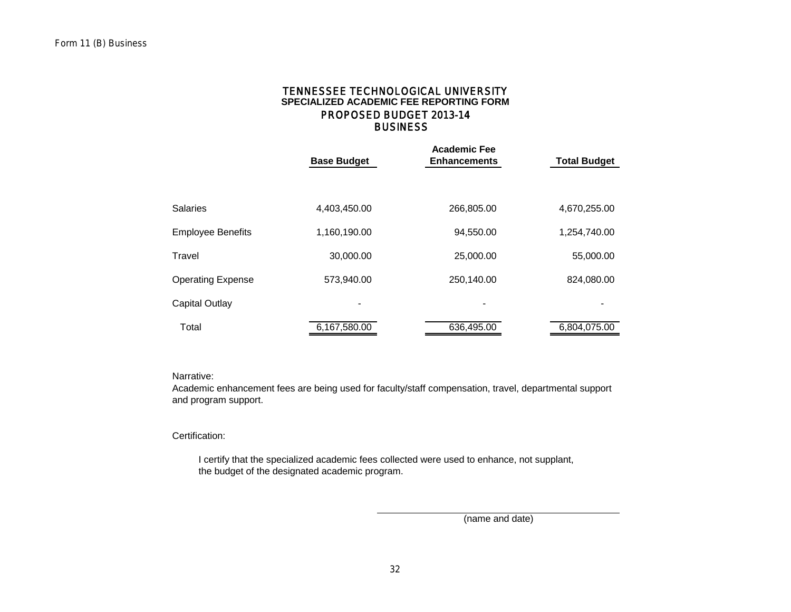## BUSINESS **SPECIALIZED ACADEMIC FEE REPORTING FORM** TENNESSEE TECHNOLOGICAL UNIVERSITY PROPOSED BUDGET 2013-14

|                          | <b>Base Budget</b> | <b>Academic Fee</b><br><b>Enhancements</b> | <b>Total Budget</b> |
|--------------------------|--------------------|--------------------------------------------|---------------------|
| <b>Salaries</b>          | 4,403,450.00       | 266,805.00                                 | 4,670,255.00        |
| <b>Employee Benefits</b> | 1,160,190.00       | 94,550.00                                  | 1,254,740.00        |
| Travel                   | 30,000.00          | 25,000.00                                  | 55,000.00           |
| <b>Operating Expense</b> | 573,940.00         | 250,140.00                                 | 824,080.00          |
| Capital Outlay           |                    |                                            |                     |
| Total                    | 6,167,580.00       | 636,495.00                                 | 6,804,075.00        |

Narrative:

Academic enhancement fees are being used for faculty/staff compensation, travel, departmental support and program support.

Certification:

 I certify that the specialized academic fees collected were used to enhance, not supplant, the budget of the designated academic program.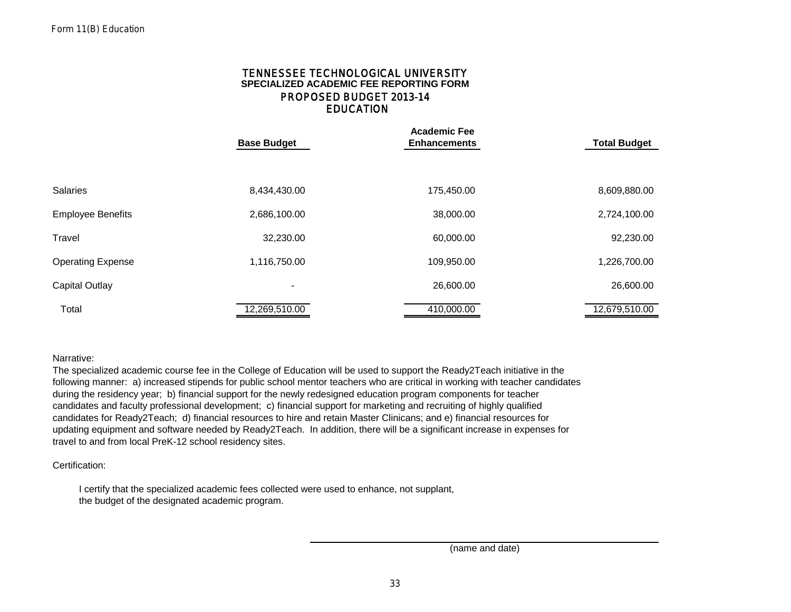## **EDUCATION** TENNESSEE TECHNOLOGICAL UNIVERSITY **SPECIALIZED ACADEMIC FEE REPORTING FORM** PROPOSED BUDGET 2013-14

|                          | <b>Base Budget</b> | <b>Academic Fee</b><br><b>Enhancements</b> | <b>Total Budget</b> |  |
|--------------------------|--------------------|--------------------------------------------|---------------------|--|
|                          |                    |                                            |                     |  |
| <b>Salaries</b>          | 8,434,430.00       | 175,450.00                                 | 8,609,880.00        |  |
| <b>Employee Benefits</b> | 2,686,100.00       | 38,000.00                                  | 2,724,100.00        |  |
| Travel                   | 32,230.00          | 60,000.00                                  | 92,230.00           |  |
| <b>Operating Expense</b> | 1,116,750.00       | 109,950.00                                 | 1,226,700.00        |  |
| <b>Capital Outlay</b>    |                    | 26,600.00                                  | 26,600.00           |  |
| Total                    | 12,269,510.00      | 410,000.00                                 | 12,679,510.00       |  |

#### Narrative:

The specialized academic course fee in the College of Education will be used to support the Ready2Teach initiative in the following manner: a) increased stipends for public school mentor teachers who are critical in working with teacher candidates during the residency year; b) financial support for the newly redesigned education program components for teacher candidates and faculty professional development; c) financial support for marketing and recruiting of highly qualified candidates for Ready2Teach; d) financial resources to hire and retain Master Clinicans; and e) financial resources for updating equipment and software needed by Ready2Teach. In addition, there will be a significant increase in expenses for travel to and from local PreK-12 school residency sites.

## Certification:

 I certify that the specialized academic fees collected were used to enhance, not supplant, the budget of the designated academic program.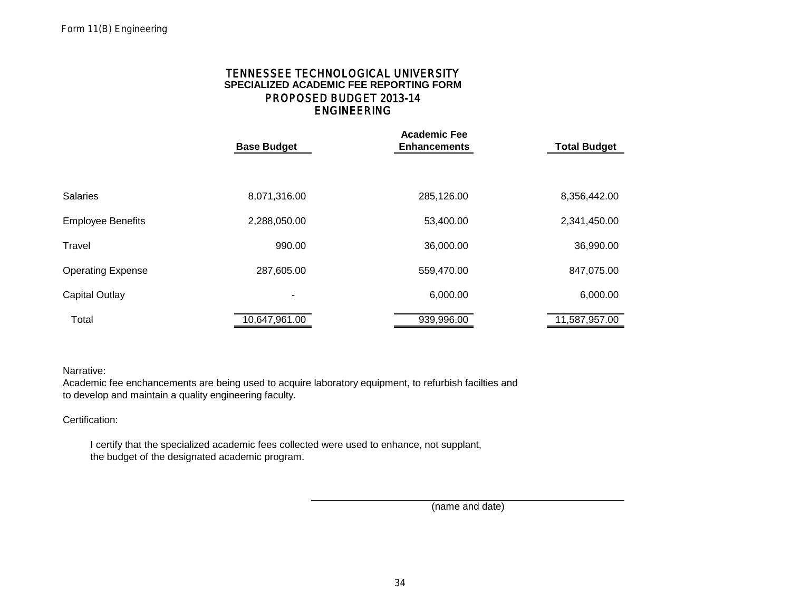## ENGINEERING TENNESSEE TECHNOLOGICAL UNIVERSITY **SPECIALIZED ACADEMIC FEE REPORTING FORM** PROPOSED BUDGET 2013-14

|                          | <b>Base Budget</b> | <b>Academic Fee</b><br><b>Enhancements</b> | <b>Total Budget</b> |
|--------------------------|--------------------|--------------------------------------------|---------------------|
|                          |                    |                                            |                     |
| <b>Salaries</b>          | 8,071,316.00       | 285,126.00                                 | 8,356,442.00        |
| <b>Employee Benefits</b> | 2,288,050.00       | 53,400.00                                  | 2,341,450.00        |
| Travel                   | 990.00             | 36,000.00                                  | 36,990.00           |
| <b>Operating Expense</b> | 287,605.00         | 559,470.00                                 | 847,075.00          |
| Capital Outlay           | -                  | 6,000.00                                   | 6,000.00            |
| Total                    | 10,647,961.00      | 939,996.00                                 | 11,587,957.00       |

Narrative:

Academic fee enchancements are being used to acquire laboratory equipment, to refurbish facilties and to develop and maintain a quality engineering faculty.

## Certification:

 I certify that the specialized academic fees collected were used to enhance, not supplant, the budget of the designated academic program.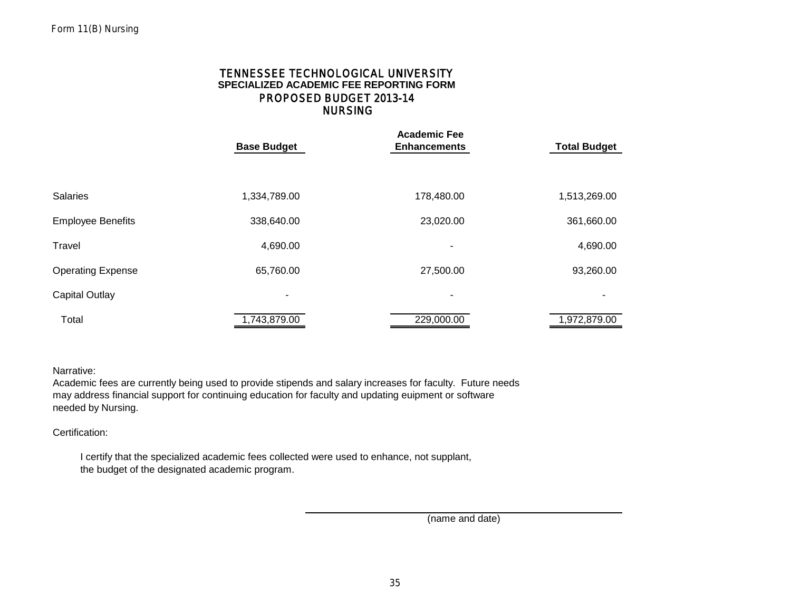## NURSING TENNESSEE TECHNOLOGICAL UNIVERSITY **SPECIALIZED ACADEMIC FEE REPORTING FORM** PROPOSED BUDGET 2013-14

|                          |                    | <b>Academic Fee</b> |                     |
|--------------------------|--------------------|---------------------|---------------------|
|                          | <b>Base Budget</b> | <b>Enhancements</b> | <b>Total Budget</b> |
|                          |                    |                     |                     |
|                          |                    |                     |                     |
| <b>Salaries</b>          | 1,334,789.00       | 178,480.00          | 1,513,269.00        |
| <b>Employee Benefits</b> | 338,640.00         | 23,020.00           | 361,660.00          |
| Travel                   | 4,690.00           | ۰                   | 4,690.00            |
| <b>Operating Expense</b> | 65,760.00          | 27,500.00           | 93,260.00           |
| Capital Outlay           | ۰                  | ۰                   |                     |
| Total                    | 1,743,879.00       | 229,000.00          | 1,972,879.00        |

## Narrative:

Academic fees are currently being used to provide stipends and salary increases for faculty. Future needs may address financial support for continuing education for faculty and updating euipment or software needed by Nursing.

## Certification:

 I certify that the specialized academic fees collected were used to enhance, not supplant, the budget of the designated academic program.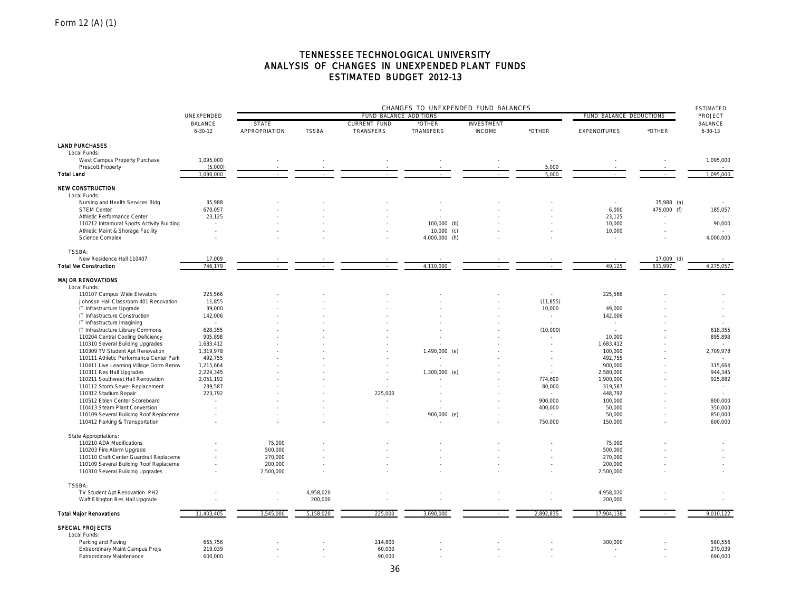## TENNESSEE TECHNOLOGICAL UNIVERSITY ANALYSIS OF CHANGES IN UNEXPENDED PLANT FUNDS ESTIMATED BUDGET 2012-13

|                                                                  |                   | CHANGES TO UNEXPENDED FUND BALANCES |                     |                        |                             |               |                  |                         | <b>ESTIMATED</b>          |                |
|------------------------------------------------------------------|-------------------|-------------------------------------|---------------------|------------------------|-----------------------------|---------------|------------------|-------------------------|---------------------------|----------------|
|                                                                  | UNEXPENDED        |                                     |                     | FUND BALANCE ADDITIONS |                             |               |                  | FUND BALANCE DEDUCTIONS | PROJECT                   |                |
|                                                                  | <b>BALANCE</b>    | <b>STATE</b>                        | <b>CURRENT FUND</b> |                        | <b>INVESTMENT</b><br>*OTHER |               |                  |                         |                           | <b>BALANCE</b> |
|                                                                  | $6 - 30 - 12$     | <b>APPROPRIATION</b>                | <b>TSSBA</b>        | TRANSFERS              | TRANSFERS                   | <b>INCOME</b> | *OTHER           | <b>EXPENDITURES</b>     | *OTHER                    | $6 - 30 - 13$  |
| <b>LAND PURCHASES</b>                                            |                   |                                     |                     |                        |                             |               |                  |                         |                           |                |
| Local Funds:                                                     |                   |                                     |                     |                        |                             |               |                  |                         |                           |                |
| West Campus Property Purchase                                    | 1,095,000         |                                     |                     |                        |                             |               |                  |                         |                           | 1,095,000      |
| <b>Prescott Property</b>                                         | (5.000)           |                                     |                     |                        |                             |               | 5.000            |                         |                           |                |
| <b>Total Land</b>                                                | 1,090,000         |                                     |                     |                        |                             |               | 5,000            |                         |                           | 1,095,000      |
| <b>NEW CONSTRUCTION</b>                                          |                   |                                     |                     |                        |                             |               |                  |                         |                           |                |
| Local Funds:                                                     |                   |                                     |                     |                        |                             |               |                  |                         |                           |                |
| Nursing and Health Services Bldg<br><b>STEM Center</b>           | 35,988<br>670,057 |                                     |                     |                        |                             |               |                  | 6,000                   | 35,988 (a)<br>479,000 (f) | 185,057        |
| Athletic Performance Center                                      | 23,125            |                                     |                     |                        |                             |               |                  | 23,125                  |                           |                |
| 110212 Intramural Sports Activity Building                       | $\sim$            |                                     |                     |                        | 100,000 (b)                 |               |                  | 10,000                  |                           | 90,000         |
| Athletic Maint & Shorage Facility                                | ÷.                |                                     |                     |                        | $10,000$ (c)                |               |                  | 10,000                  |                           | $\sim$         |
| Science Complex                                                  |                   |                                     |                     |                        | 4,000,000 (h)               |               |                  |                         |                           | 4,000,000      |
| TSSBA:                                                           |                   |                                     |                     |                        |                             |               |                  |                         |                           |                |
| New Residence Hall 110407                                        | 17,009            |                                     |                     |                        |                             |               |                  |                         | 17,009 (d)                |                |
| <b>Total Nw Construction</b>                                     | 746.179           |                                     |                     |                        | 4.110.000                   |               |                  | 49,125                  | 531.997                   | 4,275,057      |
|                                                                  |                   |                                     |                     |                        |                             |               |                  |                         |                           |                |
| <b>MAJOR RENOVATIONS</b>                                         |                   |                                     |                     |                        |                             |               |                  |                         |                           |                |
| Local Funds:                                                     |                   |                                     |                     |                        |                             |               |                  |                         |                           |                |
| 110107 Campus Wide Elevators                                     | 225,566           |                                     |                     |                        |                             |               | $\sim$           | 225,566                 |                           |                |
| Johnson Hall Classroom 401 Renovation                            | 11,855            |                                     |                     |                        |                             |               | (11, 855)        |                         |                           |                |
| IT Infrastructure Upgrade                                        | 39,000            |                                     |                     |                        |                             |               | 10,000           | 49,000                  |                           |                |
| IT Infrastructure Construction                                   | 142,006<br>$\sim$ |                                     |                     |                        |                             |               | $\sim$<br>$\sim$ | 142,006<br>$\sim$       |                           | $\sim$         |
| IT Infrastructure Imagining<br>IT Infrastructure Library Commons | 628,355           |                                     |                     |                        |                             |               | (10,000)         |                         |                           | 618,355        |
| 110204 Central Cooling Deficiency                                | 905,898           |                                     |                     |                        |                             |               |                  | 10,000                  |                           | 895,898        |
| 110310 Several Building Upgrades                                 | 1,683,412         |                                     |                     |                        |                             |               |                  | 1,683,412               |                           | $\sim$         |
| 110309 TV Student Apt Renovation                                 | 1,319,978         |                                     |                     |                        | 1,490,000 (e)               |               |                  | 100,000                 |                           | 2,709,978      |
| 110111 Athletic Performance Center Park                          | 492,755           |                                     |                     |                        |                             |               |                  | 492,755                 |                           |                |
| 110411 Live Learning Village Dorm Renov                          | 1,215,664         |                                     |                     |                        |                             |               |                  | 900,000                 |                           | 315,664        |
| 110311 Res Hall Upgrades                                         | 2,224,345         |                                     |                     |                        | 1,300,000 (e)               |               |                  | 2,580,000               |                           | 944,345        |
| 110211 Southwest Hall Renovation                                 | 2,051,192         |                                     |                     |                        |                             |               | 774,690          | 1,900,000               |                           | 925,882        |
| 110112 Storm Sewer Replacement                                   | 239,587           |                                     |                     |                        |                             |               | 80,000           | 319,587                 |                           | $\sim$         |
| 110312 Stadium Repair                                            | 223,792           |                                     |                     | 225,000                |                             |               | $\sim$           | 448,792                 |                           | $\sim$         |
| 110512 Eblen Center Scoreboard                                   |                   |                                     |                     |                        |                             |               | 900,000          | 100,000                 |                           | 800,000        |
| 110413 Steam Plant Conversion                                    |                   |                                     |                     |                        |                             |               | 400,000          | 50,000                  |                           | 350,000        |
| 110109 Several Building Roof Replaceme                           |                   |                                     |                     |                        | 900,000 (e)                 |               |                  | 50,000                  |                           | 850,000        |
| 110412 Parking & Transportation                                  |                   |                                     |                     |                        |                             |               | 750,000          | 150,000                 |                           | 600,000        |
| State Appropriations:                                            |                   |                                     |                     |                        |                             |               |                  |                         |                           |                |
| 110210 ADA Modifications                                         |                   | 75,000                              |                     |                        |                             |               |                  | 75,000                  |                           |                |
| 110203 Fire Alarm Upgrade                                        |                   | 500,000                             |                     |                        |                             |               |                  | 500,000                 |                           |                |
| 110110 Craft Center Guardrail Replaceme                          |                   | 270,000                             |                     |                        |                             |               |                  | 270,000                 |                           | $\sim$         |
| 110109 Several Building Roof Replaceme                           |                   | 200,000                             |                     |                        |                             |               |                  | 200,000                 |                           |                |
| 110310 Several Building Upgrades                                 |                   | 2,500,000                           |                     |                        |                             |               |                  | 2,500,000               |                           |                |
| <b>TSSBA:</b>                                                    |                   |                                     |                     |                        |                             |               |                  |                         |                           |                |
| TV Student Apt Renovation PH2                                    |                   | $\sim$                              | 4,958,020           |                        |                             |               |                  | 4,958,020               |                           |                |
| Waft Ellington Res Hall Upgrade                                  |                   |                                     | 200,000             |                        |                             |               |                  | 200,000                 |                           |                |
| <b>Total Major Renovations</b>                                   | 11.403.405        | 3,545,000                           | 5,158,020           | 225,000                | 3,690,000                   |               | 2,892,835        | 17,904,138              |                           | 9,010,122      |
| <b>SPECIAL PROJECTS</b>                                          |                   |                                     |                     |                        |                             |               |                  |                         |                           |                |
| Local Funds:                                                     |                   |                                     |                     |                        |                             |               |                  |                         |                           |                |
| Parking and Paving                                               | 665,756           |                                     |                     | 214,800                |                             |               |                  | 300,000                 |                           | 580,556        |
| Extraordinary Maint Campus Projs                                 | 219,039           |                                     |                     | 60,000                 |                             |               |                  |                         |                           | 279,039        |
| <b>Extraordinary Maintenance</b>                                 | 600,000           |                                     |                     | 90,000                 |                             |               |                  |                         |                           | 690,000        |
|                                                                  |                   |                                     |                     |                        |                             |               |                  |                         |                           |                |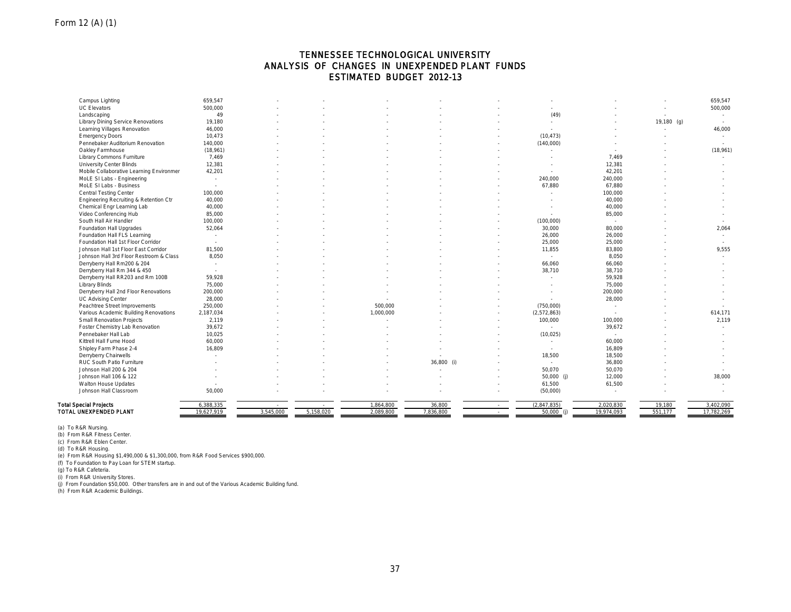## TENNESSEE TECHNOLOGICAL UNIVERSITY ANALYSIS OF CHANGES IN UNEXPENDED PLANT FUNDS ESTIMATED BUDGET 2012-13

| Campus Lighting                           | 659,547                  |           |           |           |            |        |                          |                |            | 659,547    |
|-------------------------------------------|--------------------------|-----------|-----------|-----------|------------|--------|--------------------------|----------------|------------|------------|
| <b>UC Elevators</b>                       | 500,000                  |           |           |           |            |        |                          |                |            | 500,000    |
| Landscaping                               | 49                       |           |           |           |            |        | (49)                     |                |            |            |
| <b>Library Dining Service Renovations</b> | 19,180                   |           |           |           |            |        |                          |                | 19,180 (g) |            |
| Learning Villages Renovation              | 46,000                   |           |           |           |            |        |                          |                |            | 46,000     |
| <b>Emergency Doors</b>                    | 10,473                   |           |           |           |            |        | (10, 473)                |                |            |            |
| Pennebaker Auditorium Renovation          | 140,000                  |           |           |           |            |        | (140,000)                |                |            |            |
| Oakley Farmhouse                          | (18,961)                 |           |           |           |            |        | $\overline{\phantom{a}}$ |                |            | (18,961)   |
| Library Commons Furniture                 | 7,469                    |           |           |           |            |        |                          | 7,469          |            |            |
| <b>University Center Blinds</b>           | 12,381                   |           |           |           |            |        |                          | 12,381         |            |            |
| Mobile Collaborative Learning Environmer  | 42,201                   |           |           |           |            |        |                          | 42,201         |            |            |
| MoLE SI Labs - Engineering                | $\sim$                   |           |           |           |            |        | 240,000                  | 240,000        |            |            |
| MoLE SI Labs - Business                   |                          |           |           |           |            |        | 67,880                   | 67,880         |            |            |
| <b>Central Testing Center</b>             | 100,000                  |           |           |           |            |        |                          | 100,000        |            |            |
| Engineering Recruiting & Retention Ctr    | 40,000                   |           |           |           |            |        |                          | 40,000         |            |            |
| Chemical Engr Learning Lab                | 40,000                   |           |           |           |            |        |                          | 40,000         |            |            |
| Video Conferencing Hub                    | 85,000                   |           |           |           |            |        |                          | 85,000         |            |            |
| South Hall Air Handler                    | 100,000                  |           |           |           |            |        | (100,000)                |                |            |            |
| <b>Foundation Hall Upgrades</b>           | 52,064                   |           |           |           |            |        | 30,000                   | 80,000         |            | 2,064      |
| Foundation Hall FLS Learning              | $\sim$                   |           |           |           |            |        | 26,000                   | 26,000         |            |            |
| Foundation Hall 1st Floor Corridor        | $\sim$                   |           |           |           |            |        | 25,000                   | 25,000         |            |            |
| Johnson Hall 1st Floor East Corridor      | 81.500                   |           |           |           |            |        | 11,855                   | 83,800         |            | 9,555      |
| Johnson Hall 3rd Floor Restroom & Class   | 8,050                    |           |           |           |            |        | $\sim$                   | 8,050          |            |            |
| Derryberry Hall Rm200 & 204               | $\overline{\phantom{a}}$ |           |           |           |            |        | 66,060                   | 66,060         |            |            |
| Derryberry Hall Rm 344 & 450              |                          |           |           |           |            |        | 38,710                   | 38,710         |            |            |
| Derryberry Hall RR203 and Rm 100B         | 59.928                   |           |           |           |            |        | $\overline{\phantom{a}}$ | 59,928         |            |            |
| <b>Library Blinds</b>                     | 75,000                   |           |           |           |            |        |                          | 75,000         |            |            |
| Derryberry Hall 2nd Floor Renovations     | 200,000                  |           |           |           |            |        |                          | 200,000        |            |            |
| <b>UC Advising Center</b>                 | 28,000                   |           |           |           |            |        |                          | 28,000         |            |            |
| Peachtree Street Improvements             | 250,000                  |           |           | 500,000   |            |        | (750,000)                |                |            |            |
| Various Academic Building Renovations     | 2,187,034                |           |           | 1,000,000 |            |        | (2,572,863)              | $\overline{a}$ |            | 614,171    |
| <b>Small Renovation Projects</b>          | 2,119                    |           |           |           |            |        | 100,000                  | 100,000        |            | 2,119      |
| Foster Chemistry Lab Renovation           | 39,672                   |           |           |           |            |        | $\sim$                   | 39,672         |            |            |
| Pennebaker Hall Lab                       | 10,025                   |           |           |           |            |        | (10, 025)                |                |            |            |
| Kittrell Hall Fume Hood                   | 60,000                   |           |           |           |            |        |                          | 60,000         |            |            |
|                                           | 16,809                   |           |           |           |            |        | $\sim$                   | 16,809         |            |            |
| Shipley Farm Phase 2-4                    |                          |           |           |           |            |        | $\sim$                   |                |            |            |
| Derryberry Chairwells                     |                          |           |           |           |            |        | 18,500                   | 18,500         |            |            |
| RUC South Patio Furniture                 |                          |           |           |           | 36,800 (i) |        | $\sim$                   | 36,800         |            |            |
| Johnson Hall 200 & 204                    |                          |           |           |           |            |        | 50,070                   | 50,070         |            |            |
| Johnson Hall 106 & 122                    |                          |           |           |           |            |        | $50,000$ (j)             | 12,000         |            | 38,000     |
| Walton House Updates                      |                          |           |           |           |            |        | 61,500                   | 61,500         |            |            |
| Johnson Hall Classroom                    | 50,000                   |           |           |           |            |        | (50,000)                 |                |            |            |
| <b>Total Special Projects</b>             | 6,388,335                |           |           | 1,864,800 | 36,800     | $\sim$ | (2,847,835)              | 2,020,830      | 19,180     | 3,402,090  |
| TOTAL UNEXPENDED PLANT                    | 19,627,919               | 3,545,000 | 5,158,020 | 2,089,800 | 7,836,800  | $\sim$ | $\overline{50,000}$ (j)  | 19,974,093     | 551,177    | 17,782,269 |

(a) To R&R Nursing.

(b) From R&R Fitness Center.

(c) From R&R Eblen Center.

(d) To R&R Housing.

(e) From R&R Housing \$1,490,000 & \$1,300,000, from R&R Food Services \$900,000.

(f) To Foundation to Pay Loan for STEM startup.

(g) To R&R Cafeteria.

(i) From R&R University Stores.

(j) From Foundation \$50,000. Other transfers are in and out of the Various Academic Building fund.

(h) From R&R Academic Buildings.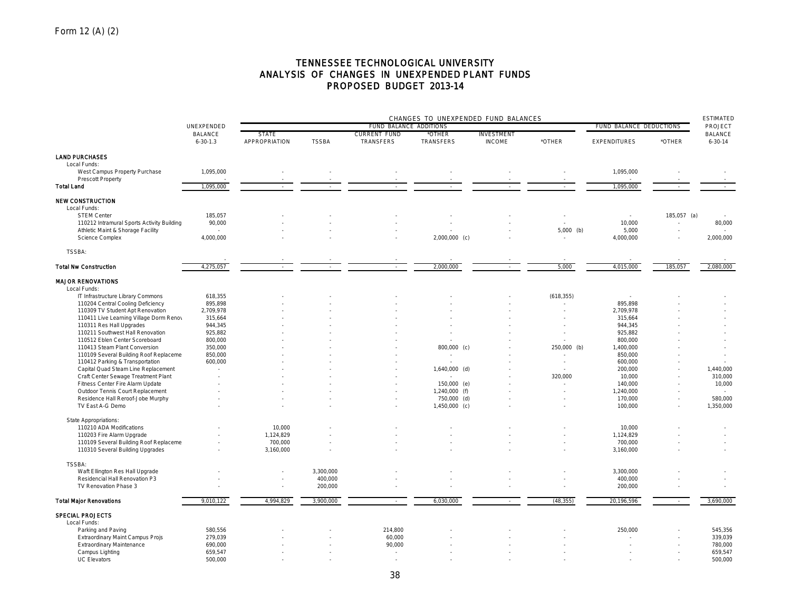## TENNESSEE TECHNOLOGICAL UNIVERSITY ANALYSIS OF CHANGES IN UNEXPENDED PLANT FUNDS PROPOSED BUDGET 2013-14

|                                            | UNEXPENDED<br><b>BALANCE</b><br>$6 - 30 - 1.3$ |                               |              |                                  | CHANGES TO UNEXPENDED FUND BALANCES |                                    |                          |                          |                          | <b>ESTIMATED</b>                |
|--------------------------------------------|------------------------------------------------|-------------------------------|--------------|----------------------------------|-------------------------------------|------------------------------------|--------------------------|--------------------------|--------------------------|---------------------------------|
|                                            |                                                |                               |              | FUND BALANCE ADDITIONS           |                                     |                                    |                          | FUND BALANCE DEDUCTIONS  |                          | PROJECT                         |
|                                            |                                                | <b>STATE</b><br>APPROPRIATION | <b>TSSBA</b> | <b>CURRENT FUND</b><br>TRANSFERS | *OTHER<br>TRANSFERS                 | <b>INVESTMENT</b><br><b>INCOME</b> | *OTHER                   | <b>EXPENDITURES</b>      | *OTHER                   | <b>BALANCE</b><br>$6 - 30 - 14$ |
| <b>LAND PURCHASES</b>                      |                                                |                               |              |                                  |                                     |                                    |                          |                          |                          |                                 |
| Local Funds:                               |                                                |                               |              |                                  |                                     |                                    |                          |                          |                          |                                 |
| West Campus Property Purchase              | 1,095,000                                      |                               |              |                                  |                                     |                                    |                          | 1,095,000                |                          |                                 |
| <b>Prescott Property</b>                   |                                                |                               |              |                                  |                                     |                                    |                          |                          |                          |                                 |
| <b>Total Land</b>                          | 1,095,000                                      |                               |              | $\sim$                           |                                     |                                    |                          | 1,095,000                |                          |                                 |
| <b>NEW CONSTRUCTION</b>                    |                                                |                               |              |                                  |                                     |                                    |                          |                          |                          |                                 |
| Local Funds:                               |                                                |                               |              |                                  |                                     |                                    |                          |                          |                          |                                 |
| <b>STEM Center</b>                         | 185,057                                        |                               |              |                                  |                                     |                                    | $\overline{\phantom{a}}$ | $\overline{\phantom{a}}$ | 185,057 (a)              |                                 |
| 110212 Intramural Sports Activity Building | 90,000                                         |                               |              |                                  |                                     |                                    |                          | 10,000                   |                          | 80,000                          |
| Athletic Maint & Shorage Facility          | $\overline{\phantom{a}}$                       |                               |              |                                  |                                     |                                    | $5,000$ (b)              | 5,000                    |                          |                                 |
| Science Complex                            | 4,000,000                                      |                               |              |                                  | 2,000,000 (c)                       |                                    |                          | 4,000,000                | ÷                        | 2,000,000                       |
| TSSBA:                                     |                                                |                               |              |                                  |                                     |                                    |                          |                          |                          |                                 |
| <b>Total Nw Construction</b>               | 4,275,057                                      |                               |              |                                  | 2,000,000                           |                                    | 5,000                    | 4,015,000                | 185,057                  | 2,080,000                       |
| <b>MAJOR RENOVATIONS</b><br>Local Funds:   |                                                |                               |              |                                  |                                     |                                    |                          |                          |                          |                                 |
| IT Infrastructure Library Commons          | 618,355                                        |                               |              |                                  |                                     |                                    | (618, 355)               |                          |                          |                                 |
| 110204 Central Cooling Deficiency          | 895,898                                        |                               |              |                                  |                                     |                                    |                          | 895,898                  |                          |                                 |
| 110309 TV Student Apt Renovation           | 2,709,978                                      |                               |              |                                  |                                     |                                    |                          | 2,709,978                |                          |                                 |
| 110411 Live Learning Village Dorm Renov    | 315,664                                        |                               |              |                                  |                                     |                                    |                          | 315,664                  |                          |                                 |
| 110311 Res Hall Upgrades                   | 944.345                                        |                               |              |                                  |                                     |                                    |                          | 944.345                  |                          |                                 |
| 110211 Southwest Hall Renovation           | 925,882                                        |                               |              |                                  |                                     |                                    | J.                       | 925,882                  |                          |                                 |
| 110512 Eblen Center Scoreboard             | 800,000                                        |                               |              |                                  |                                     |                                    |                          | 800,000                  |                          |                                 |
| 110413 Steam Plant Conversion              | 350,000                                        |                               |              |                                  | 800,000 (c)                         |                                    | 250,000 (b)              | 1,400,000                |                          |                                 |
| 110109 Several Building Roof Replaceme     | 850,000                                        |                               |              |                                  |                                     |                                    |                          | 850,000                  |                          |                                 |
| 110412 Parking & Transportation            | 600,000                                        |                               |              |                                  |                                     |                                    | ٠                        | 600,000                  |                          |                                 |
| Capital Quad Steam Line Replacement        | ٠                                              |                               |              |                                  | 1,640,000 (d)                       |                                    |                          | 200,000                  |                          | 1,440,000                       |
| Craft Center Sewage Treatment Plant        |                                                |                               |              |                                  |                                     |                                    | 320,000                  | 10,000                   |                          | 310,000                         |
| Fitness Center Fire Alarm Update           |                                                |                               |              |                                  | 150,000 (e)                         |                                    |                          | 140,000                  |                          | 10,000                          |
| Outdoor Tennis Court Replacement           |                                                |                               |              |                                  | 1,240,000 (f)                       |                                    |                          | 1,240,000                |                          | $\sim$                          |
| Residence Hall Reroof-Jobe Murphy          |                                                |                               |              |                                  | 750,000 (d)                         |                                    |                          | 170,000                  | $\overline{\phantom{a}}$ | 580,000                         |
| TV East A-G Demo                           |                                                |                               |              |                                  | 1,450,000 (c)                       |                                    |                          | 100,000                  |                          | 1,350,000                       |
| State Appropriations:                      |                                                |                               |              |                                  |                                     |                                    |                          |                          |                          |                                 |
| 110210 ADA Modifications                   |                                                | 10,000                        |              |                                  |                                     |                                    |                          | 10,000                   |                          |                                 |
| 110203 Fire Alarm Upgrade                  |                                                | 1,124,829                     |              |                                  |                                     |                                    |                          | 1,124,829                |                          |                                 |
| 110109 Several Building Roof Replaceme     |                                                | 700,000                       |              |                                  |                                     |                                    |                          | 700,000                  |                          |                                 |
| 110310 Several Building Upgrades           |                                                | 3,160,000                     |              |                                  |                                     |                                    |                          | 3,160,000                |                          |                                 |
| TSSBA:                                     |                                                |                               |              |                                  |                                     |                                    |                          |                          |                          |                                 |
| Waft Ellington Res Hall Upgrade            |                                                |                               | 3,300,000    |                                  |                                     |                                    |                          | 3,300,000                |                          |                                 |
| Residencial Hall Renovation P3             |                                                |                               | 400,000      |                                  |                                     |                                    |                          | 400,000                  |                          |                                 |
| TV Renovation Phase 3                      |                                                |                               | 200,000      |                                  |                                     |                                    |                          | 200,000                  |                          |                                 |
| <b>Total Major Renovations</b>             | 9,010,122                                      | 4,994,829                     | 3,900,000    |                                  | 6,030,000                           |                                    | (48, 355)                | 20,196,596               | $\overline{\phantom{a}}$ | 3,690,000                       |
| <b>SPECIAL PROJECTS</b>                    |                                                |                               |              |                                  |                                     |                                    |                          |                          |                          |                                 |
| Local Funds:                               |                                                |                               |              |                                  |                                     |                                    |                          |                          |                          |                                 |
| Parking and Paving                         | 580,556                                        |                               |              | 214,800                          |                                     |                                    |                          | 250,000                  |                          | 545,356                         |
| Extraordinary Maint Campus Projs           | 279,039                                        |                               |              | 60,000                           |                                     |                                    |                          |                          |                          | 339,039                         |
| <b>Extraordinary Maintenance</b>           | 690,000                                        |                               |              | 90,000                           |                                     |                                    |                          |                          |                          | 780,000                         |
| Campus Lighting<br><b>UC Elevators</b>     | 659.547                                        |                               |              |                                  |                                     |                                    |                          |                          |                          | 659,547<br>500,000              |
|                                            | 500,000                                        |                               |              |                                  |                                     |                                    |                          |                          |                          |                                 |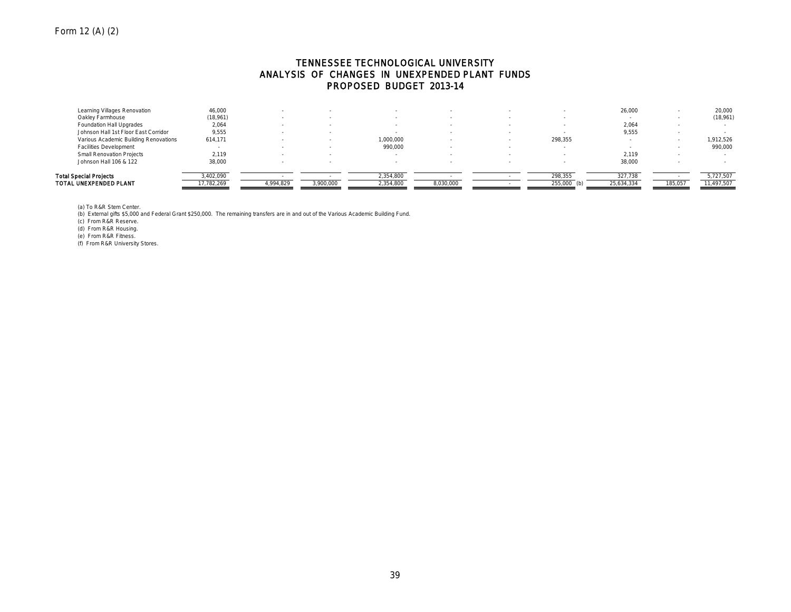## TENNESSEE TECHNOLOGICAL UNIVERSITY ANALYSIS OF CHANGES IN UNEXPENDED PLANT FUNDS PROPOSED BUDGET 2013-14

| Learning Villages Renovation          | 46,000     |           |           |           |           |             | 26,000     |         | 20,000     |
|---------------------------------------|------------|-----------|-----------|-----------|-----------|-------------|------------|---------|------------|
| Oakley Farmhouse                      | (18,961)   |           |           |           |           |             |            |         | (18,961)   |
| Foundation Hall Upgrades              | 2,064      |           |           |           |           |             | 2,064      |         |            |
| Johnson Hall 1st Floor East Corridor  | 9,555      |           |           |           |           |             | 9,555      |         |            |
| Various Academic Building Renovations | 614,171    |           |           | 1,000,000 |           | 298,355     |            |         | 1,912,526  |
| <b>Facilities Development</b>         |            |           |           | 990,000   |           |             |            |         | 990,000    |
| <b>Small Renovation Projects</b>      | 2.119      |           |           |           |           |             | 2.119      |         |            |
| Johnson Hall 106 & 122                | 38,000     |           |           |           |           |             | 38,000     |         |            |
| Total Special Projects                | 3,402,090  |           |           | 2,354,800 |           | 298,355     | 327,738    |         | 5,727,507  |
| TOTAL UNEXPENDED PLANT                | 17,782,269 | 4,994,829 | 3,900,000 | 2,354,800 | 8,030,000 | 255,000 (b) | 25,634,334 | 185,057 | 11,497,507 |
|                                       |            |           |           |           |           |             |            |         |            |

(a) To R&R Stem Center.

(b) External gifts \$5,000 and Federal Grant \$250,000. The remaining transfers are in and out of the Various Academic Building Fund. (c) From R&R Reserve.

(d) From R&R Housing.

(e) From R&R Fitness.

(f) From R&R University Stores.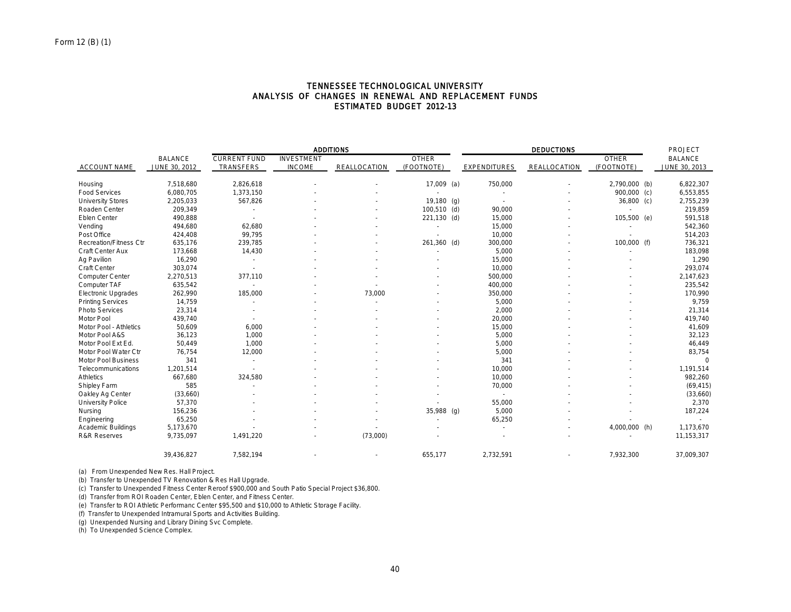|                                                        |                                  |                                    |                     | <b>ADDITIONS</b>           |                     |              | PROJECT                    |                                 |            |
|--------------------------------------------------------|----------------------------------|------------------------------------|---------------------|----------------------------|---------------------|--------------|----------------------------|---------------------------------|------------|
| <b>BALANCE</b><br><b>ACCOUNT NAME</b><br>JUNE 30, 2012 | <b>CURRENT FUND</b><br>TRANSFERS | <b>INVESTMENT</b><br><b>INCOME</b> | <b>REALLOCATION</b> | <b>OTHER</b><br>(FOOTNOTE) | <b>EXPENDITURES</b> | REALLOCATION | <b>OTHER</b><br>(FOOTNOTE) | <b>BALANCE</b><br>JUNE 30, 2013 |            |
| Housing                                                | 7,518,680                        | 2,826,618                          |                     |                            | 17,009 (a)          | 750,000      |                            | 2,790,000 (b)                   | 6,822,307  |
| <b>Food Services</b>                                   | 6,080,705                        | 1,373,150                          |                     |                            |                     |              |                            | 900,000 (c)                     | 6,553,855  |
| <b>University Stores</b>                               | 2,205,033                        | 567,826                            |                     |                            | 19,180 (g)          |              |                            | 36,800 (c)                      | 2,755,239  |
| Roaden Center                                          | 209,349                          |                                    |                     |                            | 100,510 (d)         | 90,000       |                            |                                 | 219,859    |
| Eblen Center                                           | 490,888                          |                                    |                     |                            | 221,130 (d)         | 15,000       |                            | 105,500 (e)                     | 591,518    |
| Vending                                                | 494,680                          | 62,680                             |                     |                            |                     | 15,000       |                            |                                 | 542,360    |
| Post Office                                            | 424,408                          | 99,795                             |                     |                            |                     | 10,000       |                            |                                 | 514,203    |
| <b>Recreation/Fitness Ctr</b>                          | 635,176                          | 239,785                            |                     |                            | 261,360 (d)         | 300,000      |                            | 100,000 (f)                     | 736,321    |
| Craft Center Aux                                       | 173,668                          | 14,430                             |                     |                            |                     |              | 5,000                      |                                 | 183,098    |
| Ag Pavilion                                            | 16,290                           | $\sim$                             |                     |                            |                     | 15,000       |                            |                                 | 1,290      |
| Craft Center                                           | 303,074                          | $\sim$                             |                     |                            |                     | 10,000       |                            |                                 | 293,074    |
| <b>Computer Center</b>                                 | 2,270,513                        | 377,110                            |                     |                            |                     | 500,000      |                            |                                 | 2,147,623  |
| Computer TAF                                           | 635,542                          | $\sim$                             |                     |                            |                     | 400,000      |                            |                                 | 235,542    |
| <b>Electronic Upgrades</b>                             | 262,990                          | 185,000                            |                     | 73,000                     |                     | 350,000      |                            |                                 | 170,990    |
| <b>Printing Services</b>                               | 14,759                           | $\sim$                             |                     |                            |                     |              | 5,000                      |                                 | 9,759      |
| <b>Photo Services</b>                                  | 23,314                           |                                    |                     |                            |                     |              | 2,000                      |                                 | 21,314     |
| Motor Pool                                             | 439,740                          |                                    |                     |                            |                     | 20,000       |                            |                                 | 419,740    |
| Motor Pool - Athletics                                 | 50,609                           | 6,000                              |                     |                            |                     | 15,000       |                            |                                 | 41,609     |
| Motor Pool A&S                                         | 36,123                           | 1,000                              |                     |                            |                     |              | 5,000                      |                                 | 32,123     |
| Motor Pool Ext Ed.                                     | 50,449                           | 1,000                              |                     |                            |                     |              | 5,000                      |                                 | 46,449     |
| Motor Pool Water Ctr                                   | 76,754                           | 12,000                             |                     |                            |                     |              | 5,000                      |                                 | 83,754     |
| Motor Pool Business                                    | 341                              | $\sim$                             |                     |                            |                     |              | 341                        |                                 | $\Omega$   |
| Telecommunications                                     | 1,201,514                        |                                    |                     |                            |                     | 10,000       |                            |                                 | 1,191,514  |
| <b>Athletics</b>                                       | 667,680                          | 324,580                            |                     |                            |                     | 10,000       |                            |                                 | 982,260    |
| Shipley Farm                                           | 585                              |                                    |                     |                            |                     | 70,000       |                            |                                 | (69, 415)  |
| Oakley Ag Center                                       | (33,660)                         |                                    |                     |                            |                     |              | $\ddot{\phantom{1}}$       |                                 | (33,660)   |
| <b>University Police</b>                               | 57,370                           |                                    |                     |                            |                     | 55,000       |                            |                                 | 2,370      |
| Nursing                                                | 156,236                          |                                    |                     |                            | 35,988<br>(g)       |              | 5,000                      |                                 | 187,224    |
| Engineering                                            | 65,250                           |                                    |                     |                            |                     | 65,250       |                            |                                 |            |
| <b>Academic Buildings</b>                              | 5,173,670                        |                                    |                     |                            |                     |              |                            | 4,000,000 (h)                   | 1,173,670  |
| <b>R&amp;R Reserves</b>                                | 9,735,097                        | 1,491,220                          |                     | (73,000)                   |                     |              |                            |                                 | 11,153,317 |

#### TENNESSEE TECHNOLOGICAL UNIVERSITY ANALYSIS OF CHANGES IN RENEWAL AND REPLACEMENT FUNDS ESTIMATED BUDGET 2012-13

(a) From Unexpended New Res. Hall Project.

(b) Transfer to Unexpended TV Renovation & Res Hall Upgrade.

(c) Transfer to Unexpended Fitness Center Reroof \$900,000 and South Patio Special Project \$36,800.

(d) Transfer from ROI Roaden Center, Eblen Center, and Fitness Center.

(e) Transfer to ROI Athletic Performanc Center \$95,500 and \$10,000 to Athletic Storage Facility.

(f) Transfer to Unexpended Intramural Sports and Activities Building.

(g) Unexpended Nursing and Library Dining Svc Complete.

(h) To Unexpended Science Complex.

39,436,827 7,582,194 655,177 2,732,591 7,932,300 37,009,307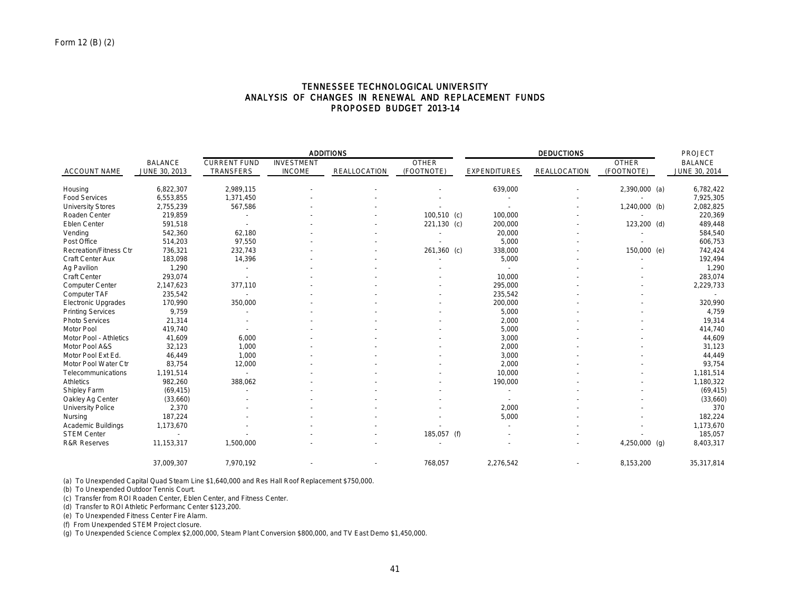|                               |                | <b>ADDITIONS</b>         |                   |                     |              |  |                     | PROJECT             |               |                |
|-------------------------------|----------------|--------------------------|-------------------|---------------------|--------------|--|---------------------|---------------------|---------------|----------------|
|                               | <b>BALANCE</b> | <b>CURRENT FUND</b>      | <b>INVESTMENT</b> |                     | <b>OTHER</b> |  |                     |                     | <b>OTHER</b>  | <b>BALANCE</b> |
| <b>ACCOUNT NAME</b>           | JUNE 30, 2013  | TRANSFERS                | <b>INCOME</b>     | <b>REALLOCATION</b> | (FOOTNOTE)   |  | <b>EXPENDITURES</b> | <b>REALLOCATION</b> | (FOOTNOTE)    | JUNE 30, 2014  |
| Housing                       | 6,822,307      | 2,989,115                |                   |                     |              |  | 639,000             |                     | 2,390,000 (a) | 6,782,422      |
| <b>Food Services</b>          | 6,553,855      | 1,371,450                |                   |                     |              |  |                     |                     |               | 7,925,305      |
| <b>University Stores</b>      | 2,755,239      | 567,586                  |                   |                     |              |  |                     |                     | 1,240,000 (b) | 2,082,825      |
| Roaden Center                 | 219,859        |                          |                   |                     | 100,510 (c)  |  | 100,000             |                     |               | 220,369        |
| Eblen Center                  | 591,518        | $\sim$                   |                   |                     | 221,130 (c)  |  | 200,000             |                     | 123,200 (d)   | 489,448        |
| Vending                       | 542,360        | 62,180                   |                   |                     |              |  | 20,000              |                     |               | 584,540        |
| Post Office                   | 514,203        | 97,550                   |                   |                     |              |  | 5,000               |                     |               | 606,753        |
| <b>Recreation/Fitness Ctr</b> | 736,321        | 232,743                  |                   |                     | 261,360 (c)  |  | 338,000             |                     | 150,000 (e)   | 742,424        |
| Craft Center Aux              | 183,098        | 14,396                   |                   |                     |              |  | 5,000               |                     |               | 192,494        |
| Ag Pavilion                   | 1,290          | $\overline{\phantom{a}}$ |                   |                     |              |  |                     |                     |               | 1,290          |
| Craft Center                  | 293,074        | $\sim$                   |                   |                     |              |  | 10,000              |                     |               | 283,074        |
| <b>Computer Center</b>        | 2,147,623      | 377,110                  |                   |                     |              |  | 295,000             |                     |               | 2,229,733      |
| Computer TAF                  | 235,542        | $\sim$                   |                   |                     |              |  | 235,542             |                     |               |                |
| <b>Electronic Upgrades</b>    | 170,990        | 350,000                  |                   |                     |              |  | 200,000             |                     |               | 320,990        |
| <b>Printing Services</b>      | 9,759          | $\blacksquare$           |                   |                     |              |  | 5,000               |                     |               | 4,759          |
| <b>Photo Services</b>         | 21,314         |                          |                   |                     |              |  | 2,000               |                     |               | 19,314         |
| Motor Pool                    | 419,740        | $\sim$                   |                   |                     |              |  | 5,000               |                     |               | 414,740        |
| Motor Pool - Athletics        | 41,609         | 6,000                    |                   |                     |              |  | 3,000               |                     |               | 44,609         |
| Motor Pool A&S                | 32,123         | 1,000                    |                   |                     |              |  | 2,000               |                     |               | 31,123         |
| Motor Pool Ext Ed.            | 46,449         | 1,000                    |                   |                     |              |  | 3,000               |                     |               | 44,449         |
| Motor Pool Water Ctr          | 83,754         | 12,000                   |                   |                     |              |  | 2,000               |                     |               | 93,754         |
| Telecommunications            | 1,191,514      | $\sim$                   |                   |                     |              |  | 10,000              |                     |               | 1,181,514      |
| Athletics                     | 982,260        | 388,062                  |                   |                     |              |  | 190,000             |                     |               | 1,180,322      |
| Shipley Farm                  | (69, 415)      |                          |                   |                     |              |  |                     |                     |               | (69, 415)      |
| Oakley Ag Center              | (33,660)       |                          |                   |                     |              |  |                     |                     |               | (33,660)       |
| <b>University Police</b>      | 2,370          |                          |                   |                     |              |  | 2,000               |                     |               | 370            |
| Nursing                       | 187,224        |                          |                   |                     |              |  | 5,000               |                     |               | 182,224        |
| <b>Academic Buildings</b>     | 1,173,670      |                          |                   |                     |              |  |                     |                     |               | 1,173,670      |
| <b>STEM Center</b>            |                |                          |                   |                     | 185,057 (f)  |  |                     |                     |               | 185,057        |
| <b>R&amp;R Reserves</b>       | 11,153,317     | 1,500,000                |                   |                     |              |  |                     |                     | 4,250,000 (g) | 8,403,317      |
|                               | 37,009,307     | 7,970,192                |                   |                     | 768,057      |  | 2,276,542           |                     | 8,153,200     | 35,317,814     |

#### TENNESSEE TECHNOLOGICAL UNIVERSITY ANALYSIS OF CHANGES IN RENEWAL AND REPLACEMENT FUNDS PROPOSED BUDGET 2013-14

(a) To Unexpended Capital Quad Steam Line \$1,640,000 and Res Hall Roof Replacement \$750,000.

(b) To Unexpended Outdoor Tennis Court.

(c) Transfer from ROI Roaden Center, Eblen Center, and Fitness Center.

(d) Transfer to ROI Athletic Performanc Center \$123,200.

(e) To Unexpended Fitness Center Fire Alarm.

(f) From Unexpended STEM Project closure.

(g) To Unexpended Science Complex \$2,000,000, Steam Plant Conversion \$800,000, and TV East Demo \$1,450,000.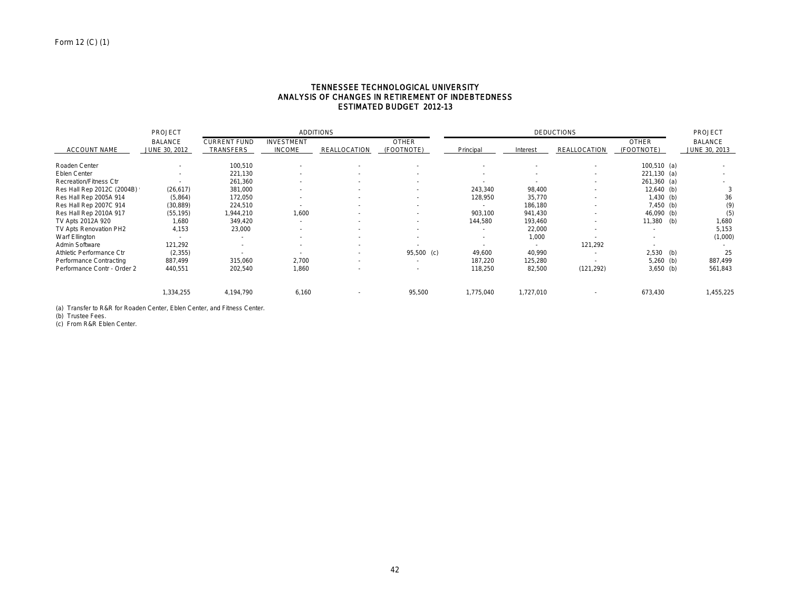#### TENNESSEE TECHNOLOGICAL UNIVERSITY ANALYSIS OF CHANGES IN RETIREMENT OF INDEBTEDNESS ESTIMATED BUDGET 2012-13

|                              | PROJECT                         | <b>ADDITIONS</b>                        |                                    |                          |                            | <b>DEDUCTIONS</b>        |                          |                          |                            | PROJECT                         |
|------------------------------|---------------------------------|-----------------------------------------|------------------------------------|--------------------------|----------------------------|--------------------------|--------------------------|--------------------------|----------------------------|---------------------------------|
| <b>ACCOUNT NAME</b>          | <b>BALANCE</b><br>JUNE 30, 2012 | <b>CURRENT FUND</b><br><b>TRANSFERS</b> | <b>INVESTMENT</b><br><b>INCOME</b> | REALLOCATION             | <b>OTHER</b><br>(FOOTNOTE) | Principal                | Interest                 | <b>REALLOCATION</b>      | <b>OTHER</b><br>(FOOTNOTE) | <b>BALANCE</b><br>JUNE 30, 2013 |
| Roaden Center                |                                 | 100,510                                 | $\overline{\phantom{a}}$           |                          |                            |                          |                          | $\overline{\phantom{a}}$ | $100,510$ (a)              |                                 |
| Eblen Center                 | ٠                               | 221,130                                 | $\overline{a}$                     | $\overline{a}$           | $\overline{\phantom{a}}$   | $\overline{\phantom{a}}$ | $\overline{\phantom{a}}$ | $\overline{\phantom{a}}$ | $221,130$ (a)              |                                 |
| Recreation/Fitness Ctr       |                                 | 261,360                                 | $\overline{\phantom{a}}$           | $\overline{a}$           | $\overline{\phantom{a}}$   | $\overline{\phantom{a}}$ |                          | $\overline{\phantom{a}}$ | $261,360$ (a)              |                                 |
| Res Hall Rep 2012C (2004B) ' | (26, 617)                       | 381,000                                 |                                    |                          | ۰                          | 243,340                  | 98,400                   | $\overline{\phantom{a}}$ | $12,640$ (b)               | 3                               |
| Res Hall Rep 2005A 914       | (5,864)                         | 172,050                                 | $\overline{\phantom{a}}$           |                          | $\overline{\phantom{a}}$   | 128,950                  | 35,770                   | $\overline{\phantom{a}}$ | $1,430$ (b)                | 36                              |
| Res Hall Rep 2007C 914       | (30, 889)                       | 224,510                                 | $\sim$                             | $\overline{a}$           | $\sim$                     | $\overline{\phantom{a}}$ | 186,180                  | $\overline{\phantom{a}}$ | $7,450$ (b)                | (9)                             |
| Res Hall Rep 2010A 917       | (55, 195)                       | 1,944,210                               | 1,600                              | $\overline{a}$           | $\overline{\phantom{a}}$   | 903,100                  | 941,430                  | $\overline{\phantom{a}}$ | 46,090 (b)                 | (5)                             |
| TV Apts 2012A 920            | 1,680                           | 349,420                                 | $\sim$                             |                          |                            | 144,580                  | 193,460                  | $\overline{\phantom{a}}$ | $11,380$ (b)               | 1,680                           |
| TV Apts Renovation PH2       | 4,153                           | 23,000                                  |                                    |                          |                            | $\overline{\phantom{a}}$ | 22,000                   | $\overline{\phantom{a}}$ |                            | 5,153                           |
| Warf Ellington               |                                 |                                         | $\overline{a}$                     |                          | $\overline{\phantom{a}}$   | $\overline{\phantom{a}}$ | 1,000                    |                          |                            | (1,000)                         |
| Admin Software               | 121,292                         |                                         |                                    |                          |                            |                          |                          | 121,292                  |                            |                                 |
| Athletic Performance Ctr     | (2, 355)                        |                                         | . п.                               | $\overline{a}$           | 95,500 (c)                 | 49,600                   | 40,990                   |                          | $2,530$ (b)                | 25                              |
| Performance Contracting      | 887,499                         | 315,060                                 | 2.700                              | $\overline{a}$           |                            | 187.220                  | 125,280                  |                          | $5,260$ (b)                | 887,499                         |
| Performance Contr - Order 2  | 440,551                         | 202,540                                 | 1,860                              |                          |                            | 118,250                  | 82,500                   | (121, 292)               | $3,650$ (b)                | 561,843                         |
|                              | 1,334,255                       | 4.194.790                               | 6,160                              | $\overline{\phantom{a}}$ | 95,500                     | 1,775,040                | 1,727,010                | $\overline{\phantom{a}}$ | 673,430                    | 1,455,225                       |

(a) Transfer to R&R for Roaden Center, Eblen Center, and Fitness Center. (b) Trustee Fees. (c) From R&R Eblen Center.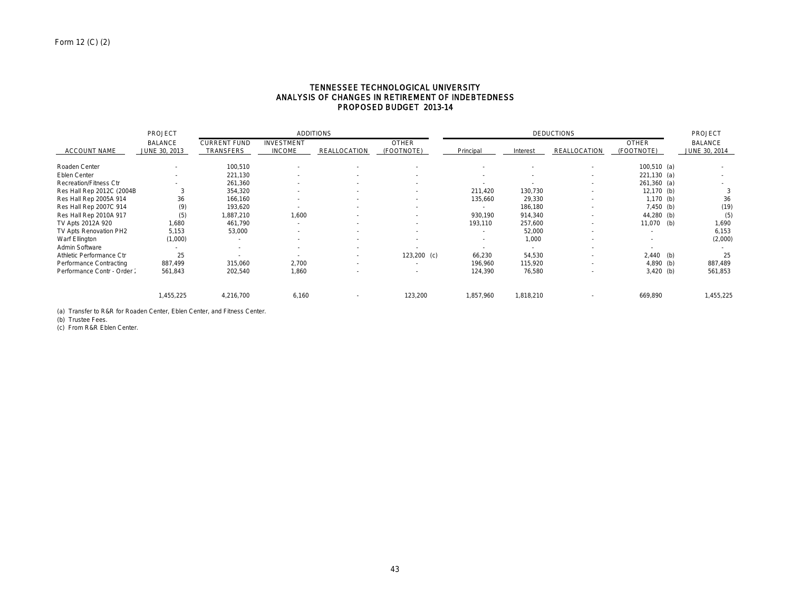#### TENNESSEE TECHNOLOGICAL UNIVERSITY ANALYSIS OF CHANGES IN RETIREMENT OF INDEBTEDNESS PROPOSED BUDGET 2013-14

|                               | PROJECT        |                     | <b>ADDITIONS</b>  |                          | <b>DEDUCTIONS</b>        |                          |           |                          | PROJECT                  |                |
|-------------------------------|----------------|---------------------|-------------------|--------------------------|--------------------------|--------------------------|-----------|--------------------------|--------------------------|----------------|
|                               | <b>BALANCE</b> | <b>CURRENT FUND</b> | <b>INVESTMENT</b> |                          | <b>OTHER</b>             |                          |           |                          | <b>OTHER</b>             | <b>BALANCE</b> |
| <b>ACCOUNT NAME</b>           | JUNE 30, 2013  | TRANSFERS           | <b>INCOME</b>     | REALLOCATION             | (FOOTNOTE)               | Principal                | Interest  | REALLOCATION             | (FOOTNOTE)               | JUNE 30, 2014  |
|                               |                |                     |                   |                          |                          |                          |           |                          |                          |                |
| Roaden Center                 |                | 100,510             |                   |                          |                          |                          |           |                          | $100,510$ (a)            |                |
| Eblen Center                  |                | 221,130             |                   | $\overline{\phantom{a}}$ |                          | $\overline{\phantom{a}}$ |           |                          | $221,130$ (a)            |                |
| <b>Recreation/Fitness Ctr</b> |                | 261,360             |                   | $\overline{a}$           | $\overline{a}$           |                          |           |                          | $261,360$ (a)            |                |
| Res Hall Rep 2012C (2004B)    |                | 354,320             |                   | $\sim$                   | $\overline{a}$           | 211,420                  | 130,730   |                          | $12,170$ (b)             |                |
| Res Hall Rep 2005A 914        | 36             | 166,160             |                   | $\sim$                   | $\overline{a}$           | 135,660                  | 29,330    |                          | $1,170$ (b)              | 36             |
| Res Hall Rep 2007C 914        | (9)            | 193,620             |                   | $\overline{a}$           | $\sim$                   |                          | 186,180   | $\overline{\phantom{a}}$ | 7,450 (b)                | (19)           |
| Res Hall Rep 2010A 917        | (5)            | 1,887,210           | 1,600             | $\sim$                   | $\overline{\phantom{a}}$ | 930,190                  | 914,340   |                          | 44,280 (b)               | (5)            |
| TV Apts 2012A 920             | 1,680          | 461,790             | $\sim$            | $\overline{\phantom{a}}$ | $\overline{\phantom{a}}$ | 193,110                  | 257,600   | $\overline{\phantom{a}}$ | $11,070$ (b)             | 1,690          |
| TV Apts Renovation PH2        | 5,153          | 53,000              |                   | $\overline{\phantom{a}}$ | $\overline{a}$           | $\overline{\phantom{a}}$ | 52,000    | $\overline{\phantom{a}}$ |                          | 6,153          |
| Warf Ellington                | (1,000)        | $\sim$              | $\overline{a}$    | $\overline{a}$           | $\overline{\phantom{a}}$ | $\sim$                   | 1,000     | $\overline{\phantom{a}}$ | $\overline{\phantom{a}}$ | (2,000)        |
| Admin Software                |                | $\sim$              |                   | $\overline{\phantom{a}}$ |                          |                          |           |                          |                          |                |
| Athletic Performance Ctr      | 25             |                     |                   | $\sim$                   | $123,200$ (c)            | 66,230                   | 54,530    | $\overline{\phantom{a}}$ | $2,440$ (b)              | 25             |
| Performance Contracting       | 887,499        | 315,060             | 2,700             | $\sim$                   | $\overline{\phantom{a}}$ | 196,960                  | 115,920   | $\overline{a}$           | 4,890 (b)                | 887,489        |
| Performance Contr - Order:    | 561,843        | 202,540             | 1,860             |                          |                          | 124,390                  | 76,580    |                          | $3,420$ (b)              | 561,853        |
|                               |                |                     |                   |                          |                          |                          |           |                          |                          |                |
|                               | 1,455,225      | 4,216,700           | 6,160             |                          | 123,200                  | 1,857,960                | 1,818,210 |                          | 669,890                  | 1,455,225      |

(a) Transfer to R&R for Roaden Center, Eblen Center, and Fitness Center.

(b) Trustee Fees.

(c) From R&R Eblen Center.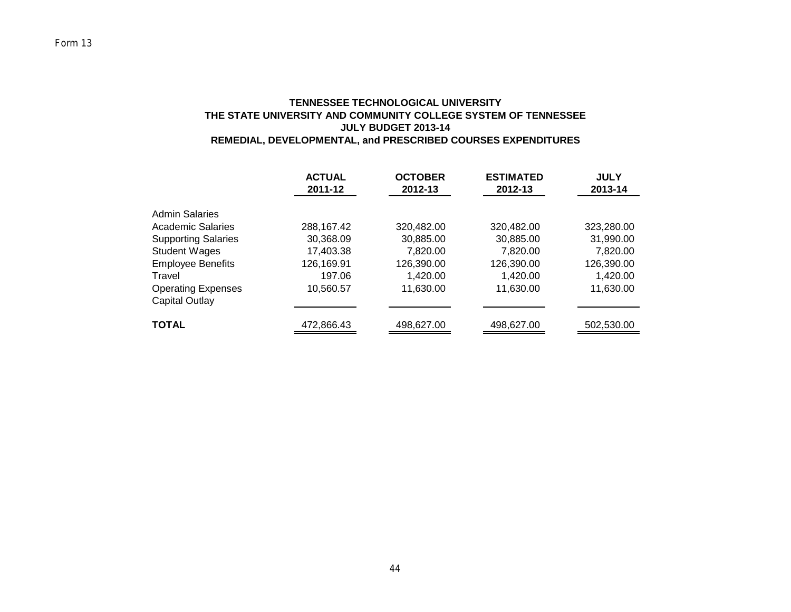## **TENNESSEE TECHNOLOGICAL UNIVERSITY THE STATE UNIVERSITY AND COMMUNITY COLLEGE SYSTEM OF TENNESSEE JULY BUDGET 2013-14 REMEDIAL, DEVELOPMENTAL, and PRESCRIBED COURSES EXPENDITURES**

|                            | <b>ACTUAL</b> | <b>OCTOBER</b> | <b>ESTIMATED</b> | <b>JULY</b> |
|----------------------------|---------------|----------------|------------------|-------------|
|                            | 2011-12       | 2012-13        | 2012-13          | 2013-14     |
| <b>Admin Salaries</b>      |               |                |                  |             |
| Academic Salaries          | 288,167.42    | 320,482.00     | 320,482.00       | 323,280.00  |
| <b>Supporting Salaries</b> | 30,368.09     | 30,885.00      | 30,885.00        | 31,990.00   |
| <b>Student Wages</b>       | 17,403.38     | 7,820.00       | 7,820.00         | 7,820.00    |
| <b>Employee Benefits</b>   | 126,169.91    | 126,390.00     | 126,390.00       | 126,390.00  |
| Travel                     | 197.06        | 1,420.00       | 1,420.00         | 1,420.00    |
| <b>Operating Expenses</b>  | 10,560.57     | 11,630.00      | 11,630.00        | 11,630.00   |
| <b>Capital Outlay</b>      |               |                |                  |             |
| <b>TOTAL</b>               | 472,866.43    | 498,627.00     | 498,627.00       | 502,530.00  |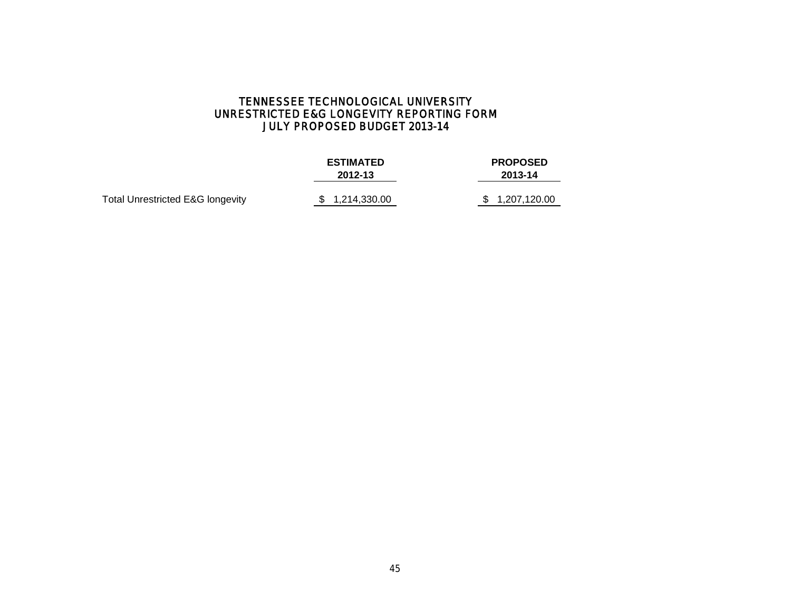## TENNESSEE TECHNOLOGICAL UNIVERSITY UNRESTRICTED E&G LONGEVITY REPORTING FORM JULY PROPOSED BUDGET 2013-14

|                                  | <b>ESTIMATED</b><br>2012-13 | <b>PROPOSED</b><br>2013-14 |
|----------------------------------|-----------------------------|----------------------------|
| Total Unrestricted E&G longevity | \$1,214,330.00              | \$1,207,120.00             |